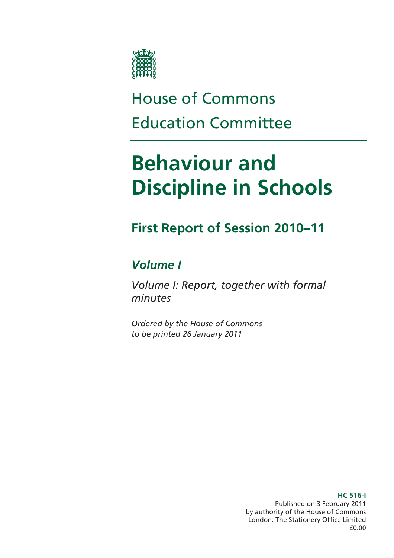

# House of Commons Education Committee

# **Behaviour and Discipline in Schools**

### **First Report of Session 2010–11**

### *Volume I*

*Volume I: Report, together with formal minutes* 

*Ordered by the House of Commons to be printed 26 January 2011* 

> Published on 3 February 2011 by authority of the House of Commons London: The Stationery Office Limited £0.00

#### **HC 516-I**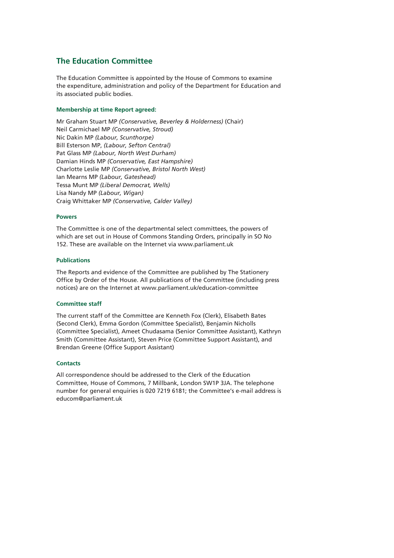#### **The Education Committee**

The Education Committee is appointed by the House of Commons to examine the expenditure, administration and policy of the Department for Education and its associated public bodies.

#### **Membership at time Report agreed:**

Mr Graham Stuart MP *(Conservative, Beverley & Holderness)* (Chair) Neil Carmichael MP *(Conservative, Stroud)*  Nic Dakin MP *(Labour, Scunthorpe)*  Bill Esterson MP, *(Labour, Sefton Central)*  Pat Glass MP *(Labour, North West Durham)*  Damian Hinds MP *(Conservative, East Hampshire)*  Charlotte Leslie MP *(Conservative, Bristol North West)*  Ian Mearns MP *(Labour, Gateshead)*  Tessa Munt MP *(Liberal Democrat, Wells)*  Lisa Nandy MP *(Labour, Wigan)*  Craig Whittaker MP *(Conservative, Calder Valley)* 

#### **Powers**

The Committee is one of the departmental select committees, the powers of which are set out in House of Commons Standing Orders, principally in SO No 152. These are available on the Internet via www.parliament.uk

#### **Publications**

The Reports and evidence of the Committee are published by The Stationery Office by Order of the House. All publications of the Committee (including press notices) are on the Internet at www.parliament.uk/education-committee

#### **Committee staff**

The current staff of the Committee are Kenneth Fox (Clerk), Elisabeth Bates (Second Clerk), Emma Gordon (Committee Specialist), Benjamin Nicholls (Committee Specialist), Ameet Chudasama (Senior Committee Assistant), Kathryn Smith (Committee Assistant), Steven Price (Committee Support Assistant), and Brendan Greene (Office Support Assistant)

#### **Contacts**

All correspondence should be addressed to the Clerk of the Education Committee, House of Commons, 7 Millbank, London SW1P 3JA. The telephone number for general enquiries is 020 7219 6181; the Committee's e-mail address is educom@parliament.uk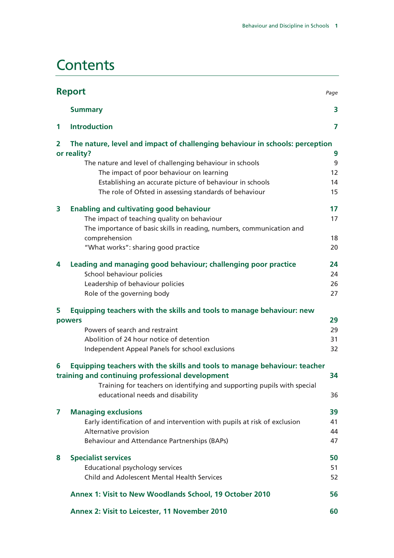### **Contents**

| <b>Report</b><br>Page |                                                                              |    |
|-----------------------|------------------------------------------------------------------------------|----|
|                       | <b>Summary</b>                                                               | 3  |
| 1                     | <b>Introduction</b>                                                          | 7  |
| $\overline{2}$        | The nature, level and impact of challenging behaviour in schools: perception |    |
|                       | or reality?                                                                  | 9  |
|                       | The nature and level of challenging behaviour in schools                     | 9  |
|                       | The impact of poor behaviour on learning                                     | 12 |
|                       | Establishing an accurate picture of behaviour in schools                     | 14 |
|                       | The role of Ofsted in assessing standards of behaviour                       | 15 |
| 3                     | <b>Enabling and cultivating good behaviour</b>                               | 17 |
|                       | The impact of teaching quality on behaviour                                  | 17 |
|                       | The importance of basic skills in reading, numbers, communication and        |    |
|                       | comprehension                                                                | 18 |
|                       | "What works": sharing good practice                                          | 20 |
| 4                     | Leading and managing good behaviour; challenging poor practice               | 24 |
|                       | School behaviour policies                                                    | 24 |
|                       | Leadership of behaviour policies                                             | 26 |
|                       | Role of the governing body                                                   | 27 |
| 5                     | Equipping teachers with the skills and tools to manage behaviour: new        |    |
|                       | powers                                                                       | 29 |
|                       | Powers of search and restraint                                               | 29 |
|                       | Abolition of 24 hour notice of detention                                     | 31 |
|                       | Independent Appeal Panels for school exclusions                              | 32 |
| 6                     | Equipping teachers with the skills and tools to manage behaviour: teacher    |    |
|                       | training and continuing professional development                             | 34 |
|                       | Training for teachers on identifying and supporting pupils with special      |    |
|                       | educational needs and disability                                             | 36 |
| $\overline{ }$        | <b>Managing exclusions</b>                                                   | 39 |
|                       | Early identification of and intervention with pupils at risk of exclusion    | 41 |
|                       | Alternative provision                                                        | 44 |
|                       | Behaviour and Attendance Partnerships (BAPs)                                 | 47 |
| 8                     | <b>Specialist services</b>                                                   | 50 |
|                       | <b>Educational psychology services</b>                                       | 51 |
|                       | <b>Child and Adolescent Mental Health Services</b>                           | 52 |
|                       | Annex 1: Visit to New Woodlands School, 19 October 2010                      | 56 |
|                       | Annex 2: Visit to Leicester, 11 November 2010                                | 60 |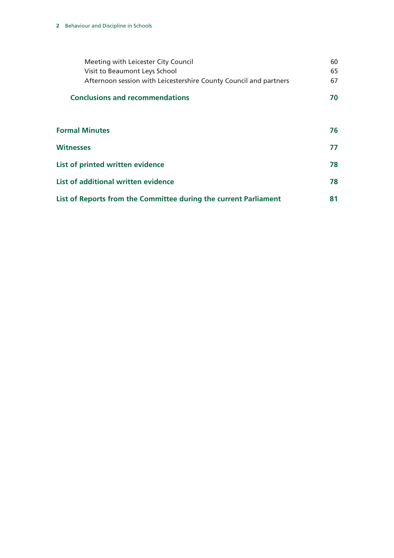| Meeting with Leicester City Council<br>Visit to Beaumont Leys School<br>Afternoon session with Leicestershire County Council and partners | 60<br>65<br>67 |  |
|-------------------------------------------------------------------------------------------------------------------------------------------|----------------|--|
| <b>Conclusions and recommendations</b>                                                                                                    | 70             |  |
|                                                                                                                                           |                |  |
| <b>Formal Minutes</b>                                                                                                                     | 76             |  |
| <b>Witnesses</b>                                                                                                                          | 77             |  |
| List of printed written evidence                                                                                                          | 78             |  |
| List of additional written evidence                                                                                                       | 78             |  |
| List of Reports from the Committee during the current Parliament                                                                          |                |  |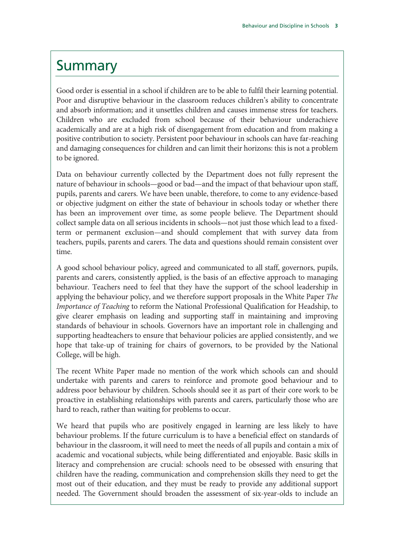### **Summary**

Good order is essential in a school if children are to be able to fulfil their learning potential. Poor and disruptive behaviour in the classroom reduces children's ability to concentrate and absorb information; and it unsettles children and causes immense stress for teachers. Children who are excluded from school because of their behaviour underachieve academically and are at a high risk of disengagement from education and from making a positive contribution to society. Persistent poor behaviour in schools can have far-reaching and damaging consequences for children and can limit their horizons: this is not a problem to be ignored.

Data on behaviour currently collected by the Department does not fully represent the nature of behaviour in schools—good or bad—and the impact of that behaviour upon staff, pupils, parents and carers. We have been unable, therefore, to come to any evidence-based or objective judgment on either the state of behaviour in schools today or whether there has been an improvement over time, as some people believe. The Department should collect sample data on all serious incidents in schools—not just those which lead to a fixedterm or permanent exclusion—and should complement that with survey data from teachers, pupils, parents and carers. The data and questions should remain consistent over time.

A good school behaviour policy, agreed and communicated to all staff, governors, pupils, parents and carers, consistently applied, is the basis of an effective approach to managing behaviour. Teachers need to feel that they have the support of the school leadership in applying the behaviour policy, and we therefore support proposals in the White Paper *The Importance of Teaching* to reform the National Professional Qualification for Headship, to give clearer emphasis on leading and supporting staff in maintaining and improving standards of behaviour in schools. Governors have an important role in challenging and supporting headteachers to ensure that behaviour policies are applied consistently, and we hope that take-up of training for chairs of governors, to be provided by the National College, will be high.

The recent White Paper made no mention of the work which schools can and should undertake with parents and carers to reinforce and promote good behaviour and to address poor behaviour by children. Schools should see it as part of their core work to be proactive in establishing relationships with parents and carers, particularly those who are hard to reach, rather than waiting for problems to occur.

We heard that pupils who are positively engaged in learning are less likely to have behaviour problems. If the future curriculum is to have a beneficial effect on standards of behaviour in the classroom, it will need to meet the needs of all pupils and contain a mix of academic and vocational subjects, while being differentiated and enjoyable. Basic skills in literacy and comprehension are crucial: schools need to be obsessed with ensuring that children have the reading, communication and comprehension skills they need to get the most out of their education, and they must be ready to provide any additional support needed. The Government should broaden the assessment of six-year-olds to include an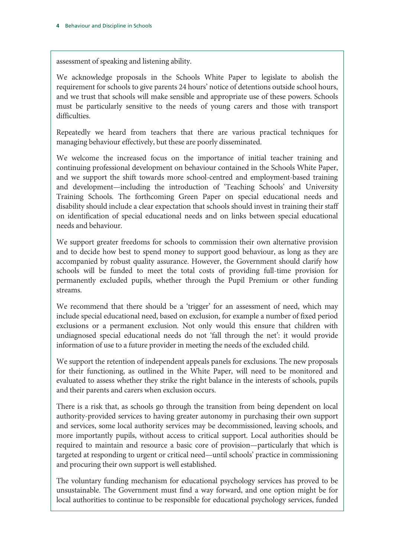assessment of speaking and listening ability.

We acknowledge proposals in the Schools White Paper to legislate to abolish the requirement for schools to give parents 24 hours' notice of detentions outside school hours, and we trust that schools will make sensible and appropriate use of these powers. Schools must be particularly sensitive to the needs of young carers and those with transport difficulties.

Repeatedly we heard from teachers that there are various practical techniques for managing behaviour effectively, but these are poorly disseminated.

We welcome the increased focus on the importance of initial teacher training and continuing professional development on behaviour contained in the Schools White Paper, and we support the shift towards more school-centred and employment-based training and development—including the introduction of 'Teaching Schools' and University Training Schools. The forthcoming Green Paper on special educational needs and disability should include a clear expectation that schools should invest in training their staff on identification of special educational needs and on links between special educational needs and behaviour.

We support greater freedoms for schools to commission their own alternative provision and to decide how best to spend money to support good behaviour, as long as they are accompanied by robust quality assurance. However, the Government should clarify how schools will be funded to meet the total costs of providing full-time provision for permanently excluded pupils, whether through the Pupil Premium or other funding streams.

We recommend that there should be a 'trigger' for an assessment of need, which may include special educational need, based on exclusion, for example a number of fixed period exclusions or a permanent exclusion. Not only would this ensure that children with undiagnosed special educational needs do not 'fall through the net': it would provide information of use to a future provider in meeting the needs of the excluded child.

We support the retention of independent appeals panels for exclusions. The new proposals for their functioning, as outlined in the White Paper, will need to be monitored and evaluated to assess whether they strike the right balance in the interests of schools, pupils and their parents and carers when exclusion occurs.

There is a risk that, as schools go through the transition from being dependent on local authority-provided services to having greater autonomy in purchasing their own support and services, some local authority services may be decommissioned, leaving schools, and more importantly pupils, without access to critical support. Local authorities should be required to maintain and resource a basic core of provision—particularly that which is targeted at responding to urgent or critical need—until schools' practice in commissioning and procuring their own support is well established.

The voluntary funding mechanism for educational psychology services has proved to be unsustainable. The Government must find a way forward, and one option might be for local authorities to continue to be responsible for educational psychology services, funded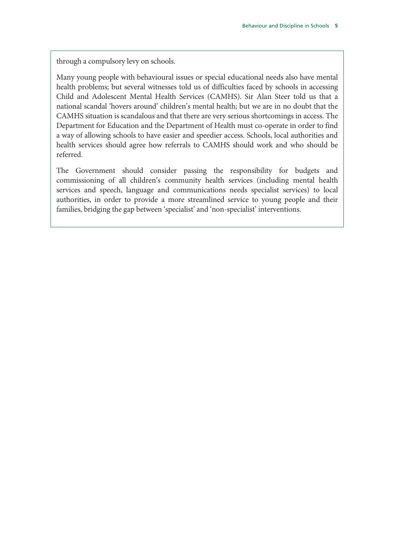through a compulsory levy on schools.

Many young people with behavioural issues or special educational needs also have mental health problems; but several witnesses told us of difficulties faced by schools in accessing Child and Adolescent Mental Health Services (CAMHS). Sir Alan Steer told us that a national scandal 'hovers around' children's mental health; but we are in no doubt that the CAMHS situation is scandalous and that there are very serious shortcomings in access. The Department for Education and the Department of Health must co-operate in order to find a way of allowing schools to have easier and speedier access. Schools, local authorities and health services should agree how referrals to CAMHS should work and who should be referred.

The Government should consider passing the responsibility for budgets and commissioning of all children's community health services (including mental health services and speech, language and communications needs specialist services) to local authorities, in order to provide a more streamlined service to young people and their families, bridging the gap between 'specialist' and 'non-specialist' interventions.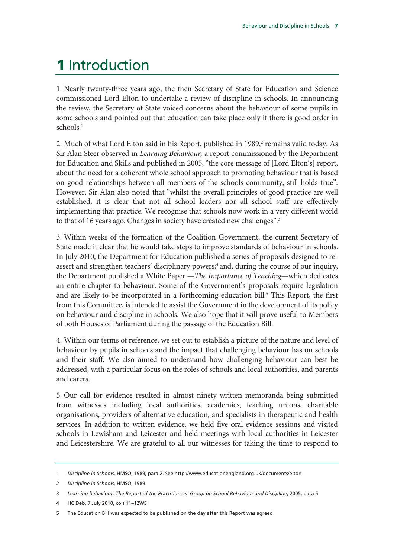# 1 Introduction

1. Nearly twenty-three years ago, the then Secretary of State for Education and Science commissioned Lord Elton to undertake a review of discipline in schools. In announcing the review, the Secretary of State voiced concerns about the behaviour of some pupils in some schools and pointed out that education can take place only if there is good order in schools.<sup>1</sup>

2. Much of what Lord Elton said in his Report, published in 1989,<sup>2</sup> remains valid today. As Sir Alan Steer observed in *Learning Behaviour,* a report commissioned by the Department for Education and Skills and published in 2005, "the core message of [Lord Elton's] report, about the need for a coherent whole school approach to promoting behaviour that is based on good relationships between all members of the schools community, still holds true". However, Sir Alan also noted that "whilst the overall principles of good practice are well established, it is clear that not all school leaders nor all school staff are effectively implementing that practice. We recognise that schools now work in a very different world to that of 16 years ago. Changes in society have created new challenges".<sup>3</sup>

3. Within weeks of the formation of the Coalition Government, the current Secretary of State made it clear that he would take steps to improve standards of behaviour in schools. In July 2010, the Department for Education published a series of proposals designed to reassert and strengthen teachers' disciplinary powers;<sup>4</sup> and, during the course of our inquiry, the Department published a White Paper —*The Importance of Teaching*—which dedicates an entire chapter to behaviour. Some of the Government's proposals require legislation and are likely to be incorporated in a forthcoming education bill.<sup>5</sup> This Report, the first from this Committee, is intended to assist the Government in the development of its policy on behaviour and discipline in schools. We also hope that it will prove useful to Members of both Houses of Parliament during the passage of the Education Bill.

4. Within our terms of reference, we set out to establish a picture of the nature and level of behaviour by pupils in schools and the impact that challenging behaviour has on schools and their staff. We also aimed to understand how challenging behaviour can best be addressed, with a particular focus on the roles of schools and local authorities, and parents and carers.

5. Our call for evidence resulted in almost ninety written memoranda being submitted from witnesses including local authorities, academics, teaching unions, charitable organisations, providers of alternative education, and specialists in therapeutic and health services. In addition to written evidence, we held five oral evidence sessions and visited schools in Lewisham and Leicester and held meetings with local authorities in Leicester and Leicestershire. We are grateful to all our witnesses for taking the time to respond to

4 HC Deb, 7 July 2010, cols 11–12WS

<sup>1</sup> *Discipline in Schools*, HMSO, 1989, para 2. See http://www.educationengland.org.uk/documents/elton

<sup>2</sup> *Discipline in Schools*, HMSO, 1989

<sup>3</sup> *Learning behaviour: The Report of the Practitioners' Group on School Behaviour and Discipline*, 2005, para 5

<sup>5</sup> The Education Bill was expected to be published on the day after this Report was agreed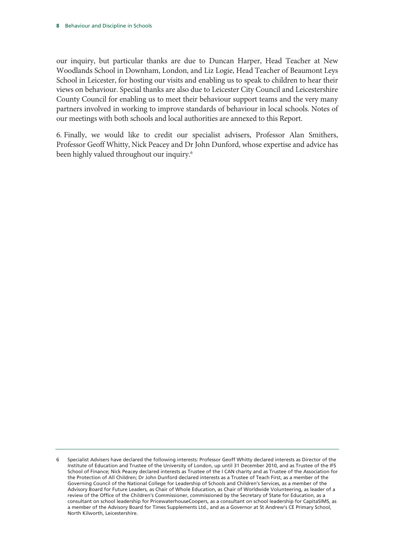our inquiry, but particular thanks are due to Duncan Harper, Head Teacher at New Woodlands School in Downham, London, and Liz Logie, Head Teacher of Beaumont Leys School in Leicester, for hosting our visits and enabling us to speak to children to hear their views on behaviour. Special thanks are also due to Leicester City Council and Leicestershire County Council for enabling us to meet their behaviour support teams and the very many partners involved in working to improve standards of behaviour in local schools. Notes of our meetings with both schools and local authorities are annexed to this Report.

6. Finally, we would like to credit our specialist advisers, Professor Alan Smithers, Professor Geoff Whitty, Nick Peacey and Dr John Dunford, whose expertise and advice has been highly valued throughout our inquiry.<sup>6</sup>

<sup>6</sup> Specialist Advisers have declared the following interests: Professor Geoff Whitty declared interests as Director of the Institute of Education and Trustee of the University of London, up until 31 December 2010, and as Trustee of the IFS School of Finance; Nick Peacey declared interests as Trustee of the I CAN charity and as Trustee of the Association for the Protection of All Children; Dr John Dunford declared interests as a Trustee of Teach First, as a member of the Governing Council of the National College for Leadership of Schools and Children's Services, as a member of the Advisory Board for Future Leaders, as Chair of Whole Education, as Chair of Worldwide Volunteering, as leader of a review of the Office of the Children's Commissioner, commissioned by the Secretary of State for Education, as a consultant on school leadership for PricewaterhouseCoopers, as a consultant on school leadership for CapitaSIMS, as a member of the Advisory Board for Times Supplements Ltd., and as a Governor at St Andrew's CE Primary School, North Kilworth, Leicestershire.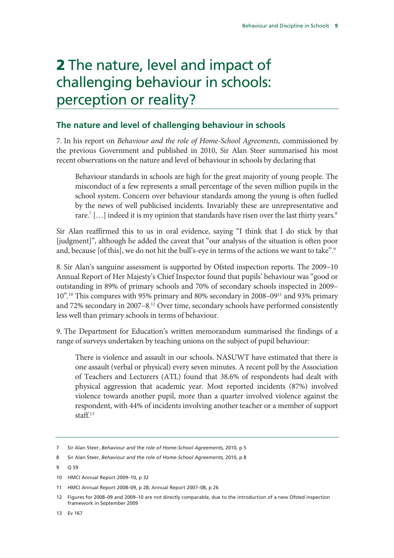# 2 The nature, level and impact of challenging behaviour in schools: perception or reality?

#### **The nature and level of challenging behaviour in schools**

7. In his report on *Behaviour and the role of Home-School Agreements,* commissioned by the previous Government and published in 2010, Sir Alan Steer summarised his most recent observations on the nature and level of behaviour in schools by declaring that

Behaviour standards in schools are high for the great majority of young people. The misconduct of a few represents a small percentage of the seven million pupils in the school system. Concern over behaviour standards among the young is often fuelled by the news of well publicised incidents. Invariably these are unrepresentative and rare. $^7$  [...] indeed it is my opinion that standards have risen over the last thirty years. $^8$ 

Sir Alan reaffirmed this to us in oral evidence, saying "I think that I do stick by that [judgment]", although he added the caveat that "our analysis of the situation is often poor and, because [of this], we do not hit the bull's-eye in terms of the actions we want to take".<sup>9</sup>

8. Sir Alan's sanguine assessment is supported by Ofsted inspection reports. The 2009–10 Annual Report of Her Majesty's Chief Inspector found that pupils' behaviour was "good or outstanding in 89% of primary schools and 70% of secondary schools inspected in 2009– 10".10 This compares with 95% primary and 80% secondary in 2008–0911 and 93% primary and 72% secondary in 2007–8.12 Over time, secondary schools have performed consistently less well than primary schools in terms of behaviour.

9. The Department for Education's written memorandum summarised the findings of a range of surveys undertaken by teaching unions on the subject of pupil behaviour:

There is violence and assault in our schools. NASUWT have estimated that there is one assault (verbal or physical) every seven minutes. A recent poll by the Association of Teachers and Lecturers (ATL) found that 38.6% of respondents had dealt with physical aggression that academic year. Most reported incidents (87%) involved violence towards another pupil, more than a quarter involved violence against the respondent, with 44% of incidents involving another teacher or a member of support staff.13

13 Ev 167

<sup>7</sup> Sir Alan Steer, *Behaviour and the role of Home-School Agreements,* 2010, p 5

<sup>8</sup> Sir Alan Steer, *Behaviour and the role of Home-School Agreements,* 2010, p 8

<sup>9</sup> Q 59

<sup>10</sup> HMCI Annual Report 2009–10, p 32

<sup>11</sup> HMCI Annual Report 2008–09, p 28; Annual Report 2007–08, p 26

<sup>12</sup> Figures for 2008–09 and 2009–10 are not directly comparable, due to the introduction of a new Ofsted inspection framework in September 2009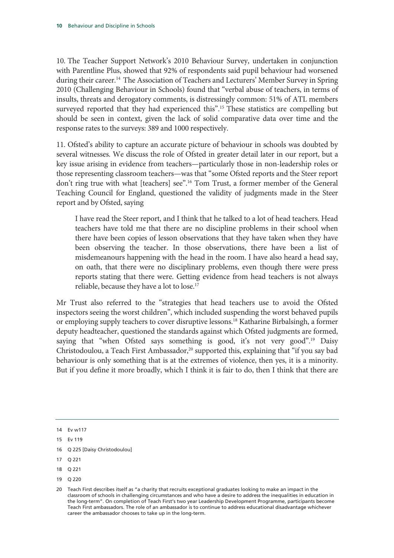10. The Teacher Support Network's 2010 Behaviour Survey, undertaken in conjunction with Parentline Plus, showed that 92% of respondents said pupil behaviour had worsened during their career.<sup>14</sup> The Association of Teachers and Lecturers' Member Survey in Spring 2010 (Challenging Behaviour in Schools) found that "verbal abuse of teachers, in terms of insults, threats and derogatory comments, is distressingly common: 51% of ATL members surveyed reported that they had experienced this".<sup>15</sup> These statistics are compelling but should be seen in context, given the lack of solid comparative data over time and the response rates to the surveys: 389 and 1000 respectively.

11. Ofsted's ability to capture an accurate picture of behaviour in schools was doubted by several witnesses. We discuss the role of Ofsted in greater detail later in our report, but a key issue arising in evidence from teachers—particularly those in non-leadership roles or those representing classroom teachers—was that "some Ofsted reports and the Steer report don't ring true with what [teachers] see".16 Tom Trust, a former member of the General Teaching Council for England, questioned the validity of judgments made in the Steer report and by Ofsted, saying

I have read the Steer report, and I think that he talked to a lot of head teachers. Head teachers have told me that there are no discipline problems in their school when there have been copies of lesson observations that they have taken when they have been observing the teacher. In those observations, there have been a list of misdemeanours happening with the head in the room. I have also heard a head say, on oath, that there were no disciplinary problems, even though there were press reports stating that there were. Getting evidence from head teachers is not always reliable, because they have a lot to lose.<sup>17</sup>

Mr Trust also referred to the "strategies that head teachers use to avoid the Ofsted inspectors seeing the worst children", which included suspending the worst behaved pupils or employing supply teachers to cover disruptive lessons.18 Katharine Birbalsingh, a former deputy headteacher, questioned the standards against which Ofsted judgments are formed, saying that "when Ofsted says something is good, it's not very good".<sup>19</sup> Daisy Christodoulou, a Teach First Ambassador,<sup>20</sup> supported this, explaining that "if you say bad behaviour is only something that is at the extremes of violence, then yes, it is a minority. But if you define it more broadly, which I think it is fair to do, then I think that there are

<sup>14</sup> Ev w117

<sup>15</sup> Ev 119

<sup>16</sup> Q 225 [Daisy Christodoulou]

<sup>17</sup> Q 221

<sup>18</sup> Q 221

<sup>19</sup> Q 220

<sup>20</sup> Teach First describes itself as "a charity that recruits exceptional graduates looking to make an impact in the classroom of schools in challenging circumstances and who have a desire to address the inequalities in education in the long-term". On completion of Teach First's two year Leadership Development Programme, participants become Teach First ambassadors. The role of an ambassador is to continue to address educational disadvantage whichever career the ambassador chooses to take up in the long-term.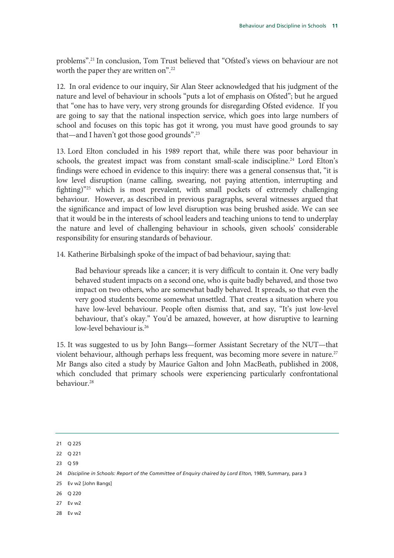problems".21 In conclusion, Tom Trust believed that "Ofsted's views on behaviour are not worth the paper they are written on".<sup>22</sup>

12. In oral evidence to our inquiry, Sir Alan Steer acknowledged that his judgment of the nature and level of behaviour in schools "puts a lot of emphasis on Ofsted"; but he argued that "one has to have very, very strong grounds for disregarding Ofsted evidence. If you are going to say that the national inspection service, which goes into large numbers of school and focuses on this topic has got it wrong, you must have good grounds to say that—and I haven't got those good grounds".23

13. Lord Elton concluded in his 1989 report that, while there was poor behaviour in schools, the greatest impact was from constant small-scale indiscipline.<sup>24</sup> Lord Elton's findings were echoed in evidence to this inquiry: there was a general consensus that, "it is low level disruption (name calling, swearing, not paying attention, interrupting and fighting)"25 which is most prevalent, with small pockets of extremely challenging behaviour. However, as described in previous paragraphs, several witnesses argued that the significance and impact of low level disruption was being brushed aside. We can see that it would be in the interests of school leaders and teaching unions to tend to underplay the nature and level of challenging behaviour in schools, given schools' considerable responsibility for ensuring standards of behaviour.

14. Katherine Birbalsingh spoke of the impact of bad behaviour, saying that:

Bad behaviour spreads like a cancer; it is very difficult to contain it. One very badly behaved student impacts on a second one, who is quite badly behaved, and those two impact on two others, who are somewhat badly behaved. It spreads, so that even the very good students become somewhat unsettled. That creates a situation where you have low-level behaviour. People often dismiss that, and say, "It's just low-level behaviour, that's okay." You'd be amazed, however, at how disruptive to learning low-level behaviour is.<sup>26</sup>

15. It was suggested to us by John Bangs—former Assistant Secretary of the NUT—that violent behaviour, although perhaps less frequent, was becoming more severe in nature.<sup>27</sup> Mr Bangs also cited a study by Maurice Galton and John MacBeath, published in 2008, which concluded that primary schools were experiencing particularly confrontational behaviour.<sup>28</sup>

- 25 Ev w2 [John Bangs]
- 26 Q 220
- 27 Ev w2
- 28 Ev w2

<sup>21</sup> Q 225

<sup>22</sup> Q 221

<sup>23</sup> Q 59

<sup>24</sup> *Discipline in Schools: Report of the Committee of Enquiry chaired by Lord Elton, 1989, Summary, para 3*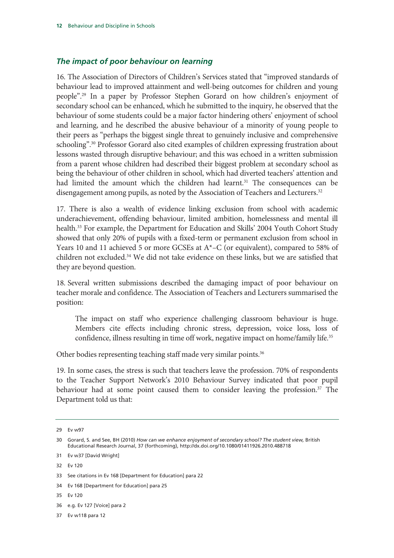#### *The impact of poor behaviour on learning*

16. The Association of Directors of Children's Services stated that "improved standards of behaviour lead to improved attainment and well-being outcomes for children and young people".29 In a paper by Professor Stephen Gorard on how children's enjoyment of secondary school can be enhanced, which he submitted to the inquiry, he observed that the behaviour of some students could be a major factor hindering others' enjoyment of school and learning, and he described the abusive behaviour of a minority of young people to their peers as "perhaps the biggest single threat to genuinely inclusive and comprehensive schooling".<sup>30</sup> Professor Gorard also cited examples of children expressing frustration about lessons wasted through disruptive behaviour; and this was echoed in a written submission from a parent whose children had described their biggest problem at secondary school as being the behaviour of other children in school, which had diverted teachers' attention and had limited the amount which the children had learnt.<sup>31</sup> The consequences can be disengagement among pupils, as noted by the Association of Teachers and Lecturers.<sup>32</sup>

17. There is also a wealth of evidence linking exclusion from school with academic underachievement, offending behaviour, limited ambition, homelessness and mental ill health.<sup>33</sup> For example, the Department for Education and Skills' 2004 Youth Cohort Study showed that only 20% of pupils with a fixed-term or permanent exclusion from school in Years 10 and 11 achieved 5 or more GCSEs at A\*–C (or equivalent), compared to 58% of children not excluded.34 We did not take evidence on these links, but we are satisfied that they are beyond question.

18. Several written submissions described the damaging impact of poor behaviour on teacher morale and confidence. The Association of Teachers and Lecturers summarised the position:

The impact on staff who experience challenging classroom behaviour is huge. Members cite effects including chronic stress, depression, voice loss, loss of confidence, illness resulting in time off work, negative impact on home/family life.<sup>35</sup>

Other bodies representing teaching staff made very similar points.<sup>36</sup>

19. In some cases, the stress is such that teachers leave the profession. 70% of respondents to the Teacher Support Network's 2010 Behaviour Survey indicated that poor pupil behaviour had at some point caused them to consider leaving the profession.<sup>37</sup> The Department told us that:

32 Ev 120

35 Ev 120

<sup>29</sup> Ev w97

<sup>30</sup> Gorard, S. and See, BH (2010) *How can we enhance enjoyment of secondary school? The student view,* British Educational Research Journal, 37 (forthcoming), http://dx.doi.org/10.1080/01411926.2010.488718

<sup>31</sup> Ev w37 [David Wright]

<sup>33</sup> See citations in Ev 168 [Department for Education] para 22

<sup>34</sup> Ev 168 [Department for Education] para 25

<sup>36</sup> e.g. Ev 127 [Voice] para 2

<sup>37</sup> Ev w118 para 12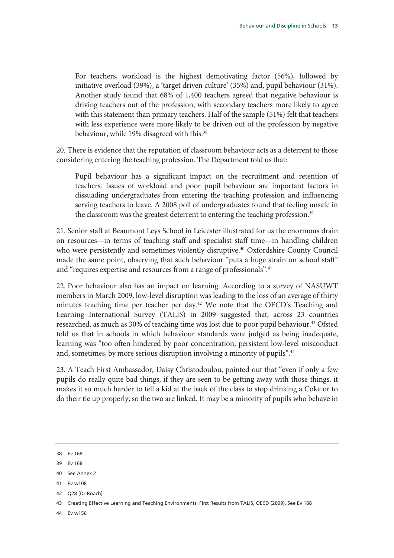For teachers, workload is the highest demotivating factor (56%), followed by initiative overload (39%), a 'target driven culture' (35%) and, pupil behaviour (31%). Another study found that 68% of 1,400 teachers agreed that negative behaviour is driving teachers out of the profession, with secondary teachers more likely to agree with this statement than primary teachers. Half of the sample (51%) felt that teachers with less experience were more likely to be driven out of the profession by negative behaviour, while 19% disagreed with this.<sup>38</sup>

20. There is evidence that the reputation of classroom behaviour acts as a deterrent to those considering entering the teaching profession. The Department told us that:

Pupil behaviour has a significant impact on the recruitment and retention of teachers. Issues of workload and poor pupil behaviour are important factors in dissuading undergraduates from entering the teaching profession and influencing serving teachers to leave. A 2008 poll of undergraduates found that feeling unsafe in the classroom was the greatest deterrent to entering the teaching profession.<sup>39</sup>

21. Senior staff at Beaumont Leys School in Leicester illustrated for us the enormous drain on resources—in terms of teaching staff and specialist staff time—in handling children who were persistently and sometimes violently disruptive.<sup>40</sup> Oxfordshire County Council made the same point, observing that such behaviour "puts a huge strain on school staff" and "requires expertise and resources from a range of professionals".<sup>41</sup>

22. Poor behaviour also has an impact on learning. According to a survey of NASUWT members in March 2009, low-level disruption was leading to the loss of an average of thirty minutes teaching time per teacher per day.<sup>42</sup> We note that the OECD's Teaching and Learning International Survey (TALIS) in 2009 suggested that, across 23 countries researched, as much as 30% of teaching time was lost due to poor pupil behaviour.<sup>43</sup> Ofsted told us that in schools in which behaviour standards were judged as being inadequate, learning was "too often hindered by poor concentration, persistent low-level misconduct and, sometimes, by more serious disruption involving a minority of pupils".<sup>44</sup>

23. A Teach First Ambassador, Daisy Christodoulou, pointed out that "even if only a few pupils do really quite bad things, if they are seen to be getting away with those things, it makes it so much harder to tell a kid at the back of the class to stop drinking a Coke or to do their tie up properly, so the two are linked. It may be a minority of pupils who behave in

41 Ev w108

<sup>38</sup> Ev 168

<sup>39</sup> Ev 168

<sup>40</sup> See Annex 2

<sup>42</sup> Q28 [Dr Roach]

<sup>43</sup> Creating Effective Learning and Teaching Environments: First Results from TALIS, OECD (2009). See Ev 168

<sup>44</sup> Ev w156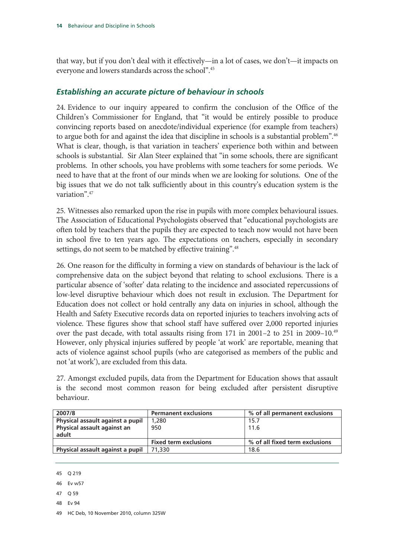that way, but if you don't deal with it effectively—in a lot of cases, we don't—it impacts on everyone and lowers standards across the school".45

#### *Establishing an accurate picture of behaviour in schools*

24. Evidence to our inquiry appeared to confirm the conclusion of the Office of the Children's Commissioner for England, that "it would be entirely possible to produce convincing reports based on anecdote/individual experience (for example from teachers) to argue both for and against the idea that discipline in schools is a substantial problem".<sup>46</sup> What is clear, though, is that variation in teachers' experience both within and between schools is substantial. Sir Alan Steer explained that "in some schools, there are significant problems. In other schools, you have problems with some teachers for some periods. We need to have that at the front of our minds when we are looking for solutions. One of the big issues that we do not talk sufficiently about in this country's education system is the variation".47

25. Witnesses also remarked upon the rise in pupils with more complex behavioural issues. The Association of Educational Psychologists observed that "educational psychologists are often told by teachers that the pupils they are expected to teach now would not have been in school five to ten years ago. The expectations on teachers, especially in secondary settings, do not seem to be matched by effective training".<sup>48</sup>

26. One reason for the difficulty in forming a view on standards of behaviour is the lack of comprehensive data on the subject beyond that relating to school exclusions. There is a particular absence of 'softer' data relating to the incidence and associated repercussions of low-level disruptive behaviour which does not result in exclusion. The Department for Education does not collect or hold centrally any data on injuries in school, although the Health and Safety Executive records data on reported injuries to teachers involving acts of violence. These figures show that school staff have suffered over 2,000 reported injuries over the past decade, with total assaults rising from 171 in 2001–2 to 251 in 2009–10.49 However, only physical injuries suffered by people 'at work' are reportable, meaning that acts of violence against school pupils (who are categorised as members of the public and not 'at work'), are excluded from this data.

27. Amongst excluded pupils, data from the Department for Education shows that assault is the second most common reason for being excluded after persistent disruptive behaviour.

| <b>Permanent exclusions</b>  | % of all permanent exclusions  |
|------------------------------|--------------------------------|
| 1,280                        | 15.7                           |
| 950                          | 11.6                           |
|                              |                                |
| <b>Fixed term exclusions</b> | % of all fixed term exclusions |
| 71.330                       | 18.6                           |
|                              |                                |

<sup>45</sup> Q 219

- 47 Q 59
- 48 Ev 94

<sup>46</sup> Ev w57

<sup>49</sup> HC Deb, 10 November 2010, column 325W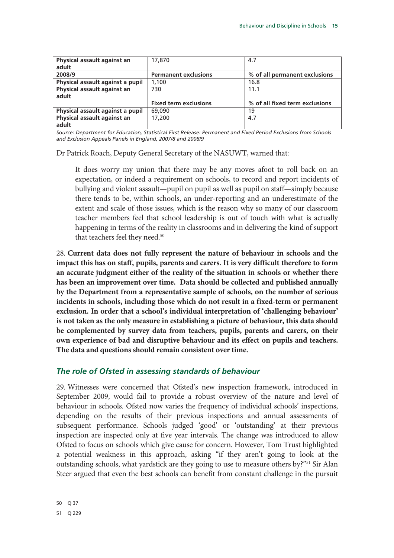| Physical assault against an      | 17,870                       | 4.7                            |
|----------------------------------|------------------------------|--------------------------------|
| adult                            |                              |                                |
| 2008/9                           | <b>Permanent exclusions</b>  | % of all permanent exclusions  |
| Physical assault against a pupil | 1,100                        | 16.8                           |
| Physical assault against an      | 730                          | 11.1                           |
| adult                            |                              |                                |
|                                  | <b>Fixed term exclusions</b> | % of all fixed term exclusions |
| Physical assault against a pupil | 69,090                       | 19                             |
| Physical assault against an      | 17,200                       | 4.7                            |
| adult                            |                              |                                |

*Source: Department for Education, Statistical First Release: Permanent and Fixed Period Exclusions from Schools and Exclusion Appeals Panels in England, 2007/8 and 2008/9* 

Dr Patrick Roach, Deputy General Secretary of the NASUWT, warned that:

It does worry my union that there may be any moves afoot to roll back on an expectation, or indeed a requirement on schools, to record and report incidents of bullying and violent assault—pupil on pupil as well as pupil on staff—simply because there tends to be, within schools, an under-reporting and an underestimate of the extent and scale of those issues, which is the reason why so many of our classroom teacher members feel that school leadership is out of touch with what is actually happening in terms of the reality in classrooms and in delivering the kind of support that teachers feel they need.<sup>50</sup>

28. **Current data does not fully represent the nature of behaviour in schools and the impact this has on staff, pupils, parents and carers. It is very difficult therefore to form an accurate judgment either of the reality of the situation in schools or whether there has been an improvement over time. Data should be collected and published annually by the Department from a representative sample of schools, on the number of serious incidents in schools, including those which do not result in a fixed-term or permanent exclusion. In order that a school's individual interpretation of 'challenging behaviour' is not taken as the only measure in establishing a picture of behaviour, this data should be complemented by survey data from teachers, pupils, parents and carers, on their own experience of bad and disruptive behaviour and its effect on pupils and teachers. The data and questions should remain consistent over time.**

#### *The role of Ofsted in assessing standards of behaviour*

29. Witnesses were concerned that Ofsted's new inspection framework, introduced in September 2009, would fail to provide a robust overview of the nature and level of behaviour in schools. Ofsted now varies the frequency of individual schools' inspections, depending on the results of their previous inspections and annual assessments of subsequent performance. Schools judged 'good' or 'outstanding' at their previous inspection are inspected only at five year intervals. The change was introduced to allow Ofsted to focus on schools which give cause for concern. However, Tom Trust highlighted a potential weakness in this approach, asking "if they aren't going to look at the outstanding schools, what yardstick are they going to use to measure others by?"<sup>51</sup> Sir Alan Steer argued that even the best schools can benefit from constant challenge in the pursuit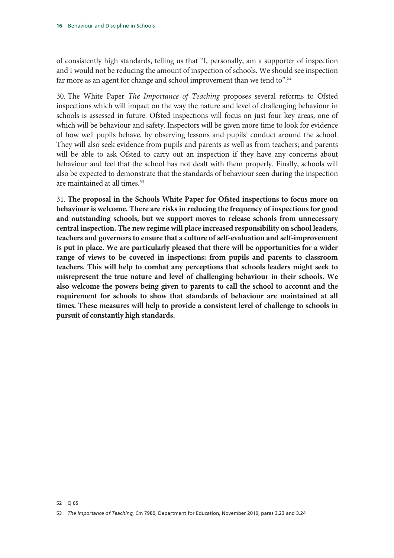of consistently high standards, telling us that "I, personally, am a supporter of inspection and I would not be reducing the amount of inspection of schools. We should see inspection far more as an agent for change and school improvement than we tend to".<sup>52</sup>

30. The White Paper *The Importance of Teaching* proposes several reforms to Ofsted inspections which will impact on the way the nature and level of challenging behaviour in schools is assessed in future. Ofsted inspections will focus on just four key areas, one of which will be behaviour and safety. Inspectors will be given more time to look for evidence of how well pupils behave, by observing lessons and pupils' conduct around the school. They will also seek evidence from pupils and parents as well as from teachers; and parents will be able to ask Ofsted to carry out an inspection if they have any concerns about behaviour and feel that the school has not dealt with them properly. Finally, schools will also be expected to demonstrate that the standards of behaviour seen during the inspection are maintained at all times.<sup>53</sup>

31. **The proposal in the Schools White Paper for Ofsted inspections to focus more on behaviour is welcome. There are risks in reducing the frequency of inspections for good and outstanding schools, but we support moves to release schools from unnecessary central inspection. The new regime will place increased responsibility on school leaders, teachers and governors to ensure that a culture of self-evaluation and self-improvement is put in place. We are particularly pleased that there will be opportunities for a wider range of views to be covered in inspections: from pupils and parents to classroom teachers. This will help to combat any perceptions that schools leaders might seek to misrepresent the true nature and level of challenging behaviour in their schools. We also welcome the powers being given to parents to call the school to account and the requirement for schools to show that standards of behaviour are maintained at all times. These measures will help to provide a consistent level of challenge to schools in pursuit of constantly high standards.** 

<sup>52</sup> Q 65

<sup>53</sup> *The Importance of Teaching,* Cm 7980, Department for Education, November 2010, paras 3.23 and 3.24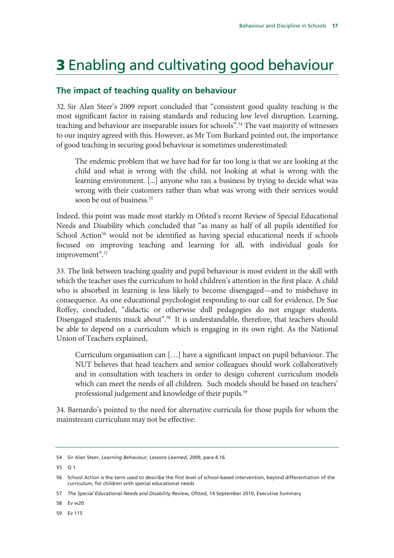# 3 Enabling and cultivating good behaviour

### **The impact of teaching quality on behaviour**

32. Sir Alan Steer's 2009 report concluded that "consistent good quality teaching is the most significant factor in raising standards and reducing low level disruption. Learning, teaching and behaviour are inseparable issues for schools".<sup>54</sup> The vast majority of witnesses to our inquiry agreed with this. However, as Mr Tom Burkard pointed out, the importance of good teaching in securing good behaviour is sometimes underestimated:

The endemic problem that we have had for far too long is that we are looking at the child and what is wrong with the child, not looking at what is wrong with the learning environment. [...] anyone who ran a business by trying to decide what was wrong with their customers rather than what was wrong with their services would soon be out of business.<sup>55</sup>

Indeed, this point was made most starkly in Ofsted's recent Review of Special Educational Needs and Disability which concluded that "as many as half of all pupils identified for School Action<sup>56</sup> would not be identified as having special educational needs if schools focused on improving teaching and learning for all, with individual goals for improvement".57

33. The link between teaching quality and pupil behaviour is most evident in the skill with which the teacher uses the curriculum to hold children's attention in the first place. A child who is absorbed in learning is less likely to become disengaged—and to misbehave in consequence. As one educational psychologist responding to our call for evidence, Dr Sue Roffey, concluded, "didactic or otherwise dull pedagogies do not engage students. Disengaged students muck about".<sup>58</sup> It is understandable, therefore, that teachers should be able to depend on a curriculum which is engaging in its own right. As the National Union of Teachers explained,

Curriculum organisation can […] have a significant impact on pupil behaviour. The NUT believes that head teachers and senior colleagues should work collaboratively and in consultation with teachers in order to design coherent curriculum models which can meet the needs of all children. Such models should be based on teachers' professional judgement and knowledge of their pupils.<sup>59</sup>

34. Barnardo's pointed to the need for alternative curricula for those pupils for whom the mainstream curriculum may not be effective:

55 Q 1

58 Ev w20

59 Ev 115

<sup>54</sup> Sir Alan Steer, *Learning Behaviour, Lessons Learned,* 2009, para 4.16

<sup>56</sup> School Action is the term used to describe the first level of school-based intervention, beyond differentiation of the curriculum, for children with special educational needs

<sup>57</sup> *The Special Educational Needs and Disability Review*, Ofsted, 14 September 2010, Executive Summary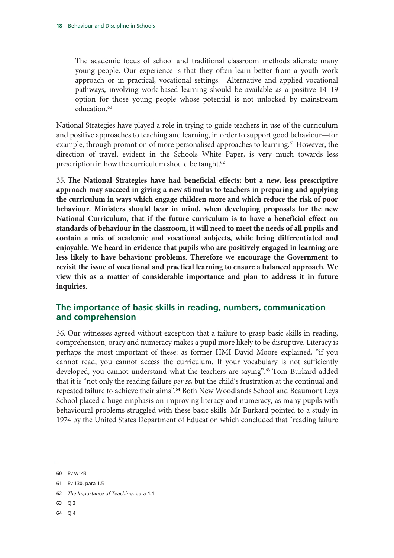The academic focus of school and traditional classroom methods alienate many young people. Our experience is that they often learn better from a youth work approach or in practical, vocational settings. Alternative and applied vocational pathways, involving work-based learning should be available as a positive 14–19 option for those young people whose potential is not unlocked by mainstream education.<sup>60</sup>

National Strategies have played a role in trying to guide teachers in use of the curriculum and positive approaches to teaching and learning, in order to support good behaviour—for example, through promotion of more personalised approaches to learning.<sup>61</sup> However, the direction of travel, evident in the Schools White Paper, is very much towards less prescription in how the curriculum should be taught.<sup>62</sup>

35. **The National Strategies have had beneficial effects; but a new, less prescriptive approach may succeed in giving a new stimulus to teachers in preparing and applying the curriculum in ways which engage children more and which reduce the risk of poor behaviour. Ministers should bear in mind, when developing proposals for the new National Curriculum, that if the future curriculum is to have a beneficial effect on standards of behaviour in the classroom, it will need to meet the needs of all pupils and contain a mix of academic and vocational subjects, while being differentiated and enjoyable. We heard in evidence that pupils who are positively engaged in learning are less likely to have behaviour problems. Therefore we encourage the Government to revisit the issue of vocational and practical learning to ensure a balanced approach. We view this as a matter of considerable importance and plan to address it in future inquiries.**

### **The importance of basic skills in reading, numbers, communication and comprehension**

36. Our witnesses agreed without exception that a failure to grasp basic skills in reading, comprehension, oracy and numeracy makes a pupil more likely to be disruptive. Literacy is perhaps the most important of these: as former HMI David Moore explained, "if you cannot read, you cannot access the curriculum. If your vocabulary is not sufficiently developed, you cannot understand what the teachers are saying".63 Tom Burkard added that it is "not only the reading failure *per se*, but the child's frustration at the continual and repeated failure to achieve their aims".<sup>64</sup> Both New Woodlands School and Beaumont Leys School placed a huge emphasis on improving literacy and numeracy, as many pupils with behavioural problems struggled with these basic skills. Mr Burkard pointed to a study in 1974 by the United States Department of Education which concluded that "reading failure

- 62 *The Importance of Teaching*, para 4.1
- 63 Q 3
- 64 Q 4

<sup>60</sup> Ev w143

<sup>61</sup> Ev 130, para 1.5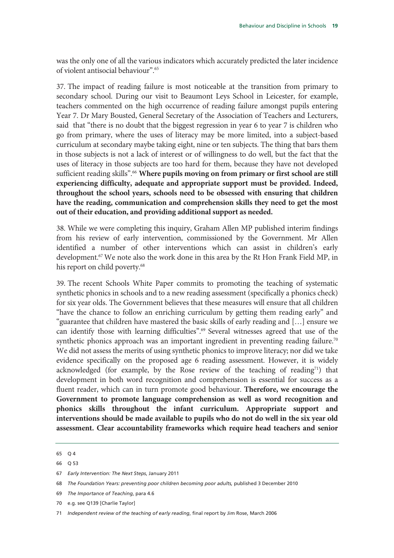was the only one of all the various indicators which accurately predicted the later incidence of violent antisocial behaviour".65

37. The impact of reading failure is most noticeable at the transition from primary to secondary school. During our visit to Beaumont Leys School in Leicester, for example, teachers commented on the high occurrence of reading failure amongst pupils entering Year 7. Dr Mary Bousted, General Secretary of the Association of Teachers and Lecturers, said that "there is no doubt that the biggest regression in year 6 to year 7 is children who go from primary, where the uses of literacy may be more limited, into a subject-based curriculum at secondary maybe taking eight, nine or ten subjects. The thing that bars them in those subjects is not a lack of interest or of willingness to do well, but the fact that the uses of literacy in those subjects are too hard for them, because they have not developed sufficient reading skills".<sup>66</sup> Where pupils moving on from primary or first school are still **experiencing difficulty, adequate and appropriate support must be provided. Indeed, throughout the school years, schools need to be obsessed with ensuring that children have the reading, communication and comprehension skills they need to get the most out of their education, and providing additional support as needed.**

38. While we were completing this inquiry, Graham Allen MP published interim findings from his review of early intervention, commissioned by the Government. Mr Allen identified a number of other interventions which can assist in children's early development.<sup>67</sup> We note also the work done in this area by the Rt Hon Frank Field MP, in his report on child poverty.<sup>68</sup>

39. The recent Schools White Paper commits to promoting the teaching of systematic synthetic phonics in schools and to a new reading assessment (specifically a phonics check) for six year olds. The Government believes that these measures will ensure that all children "have the chance to follow an enriching curriculum by getting them reading early" and "guarantee that children have mastered the basic skills of early reading and […] ensure we can identify those with learning difficulties".69 Several witnesses agreed that use of the synthetic phonics approach was an important ingredient in preventing reading failure.<sup>70</sup> We did not assess the merits of using synthetic phonics to improve literacy; nor did we take evidence specifically on the proposed age 6 reading assessment. However, it is widely acknowledged (for example, by the Rose review of the teaching of reading<sup>71</sup>) that development in both word recognition and comprehension is essential for success as a fluent reader, which can in turn promote good behaviour. **Therefore, we encourage the Government to promote language comprehension as well as word recognition and phonics skills throughout the infant curriculum. Appropriate support and interventions should be made available to pupils who do not do well in the six year old assessment. Clear accountability frameworks which require head teachers and senior** 

<sup>65</sup> Q 4

<sup>66</sup> Q 53

<sup>67</sup> *Early Intervention: The Next Steps*, January 2011

<sup>68</sup> *The Foundation Years: preventing poor children becoming poor adults,* published 3 December 2010

<sup>69</sup> *The Importance of Teaching*, para 4.6

<sup>70</sup> e.g. see Q139 [Charlie Taylor]

<sup>71</sup> *Independent review of the teaching of early reading*, final report by Jim Rose, March 2006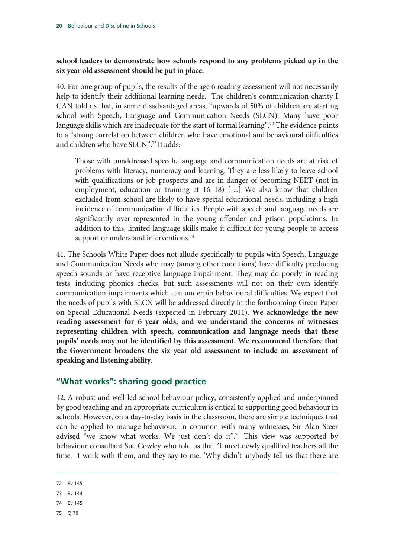#### **school leaders to demonstrate how schools respond to any problems picked up in the six year old assessment should be put in place.**

40. For one group of pupils, the results of the age 6 reading assessment will not necessarily help to identify their additional learning needs. The children's communication charity I CAN told us that, in some disadvantaged areas, "upwards of 50% of children are starting school with Speech, Language and Communication Needs (SLCN). Many have poor language skills which are inadequate for the start of formal learning".<sup>72</sup> The evidence points to a "strong correlation between children who have emotional and behavioural difficulties and children who have SLCN".73 It adds:

Those with unaddressed speech, language and communication needs are at risk of problems with literacy, numeracy and learning. They are less likely to leave school with qualifications or job prospects and are in danger of becoming NEET (not in employment, education or training at 16–18) […] We also know that children excluded from school are likely to have special educational needs, including a high incidence of communication difficulties. People with speech and language needs are significantly over-represented in the young offender and prison populations. In addition to this, limited language skills make it difficult for young people to access support or understand interventions.<sup>74</sup>

41. The Schools White Paper does not allude specifically to pupils with Speech, Language and Communication Needs who may (among other conditions) have difficulty producing speech sounds or have receptive language impairment. They may do poorly in reading tests, including phonics checks, but such assessments will not on their own identify communication impairments which can underpin behavioural difficulties. We expect that the needs of pupils with SLCN will be addressed directly in the forthcoming Green Paper on Special Educational Needs (expected in February 2011). **We acknowledge the new reading assessment for 6 year olds, and we understand the concerns of witnesses representing children with speech, communication and language needs that these pupils' needs may not be identified by this assessment. We recommend therefore that the Government broadens the six year old assessment to include an assessment of speaking and listening ability.** 

#### **"What works": sharing good practice**

42. A robust and well-led school behaviour policy, consistently applied and underpinned by good teaching and an appropriate curriculum is critical to supporting good behaviour in schools. However, on a day-to-day basis in the classroom, there are simple techniques that can be applied to manage behaviour. In common with many witnesses, Sir Alan Steer advised "we know what works. We just don't do it".<sup>75</sup> This view was supported by behaviour consultant Sue Cowley who told us that "I meet newly qualified teachers all the time. I work with them, and they say to me, 'Why didn't anybody tell us that there are

- 74 Ev 145
- 75 Q 70

<sup>72</sup> Ev 145

<sup>73</sup> Ev 144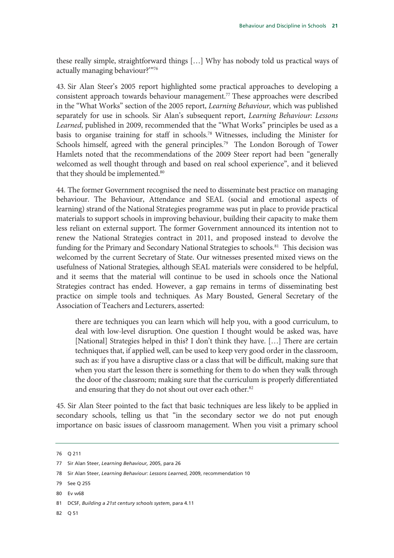these really simple, straightforward things […] Why has nobody told us practical ways of actually managing behaviour?'"76

43. Sir Alan Steer's 2005 report highlighted some practical approaches to developing a consistent approach towards behaviour management.77 These approaches were described in the "What Works" section of the 2005 report, *Learning Behaviour,* which was published separately for use in schools. Sir Alan's subsequent report, *Learning Behaviour: Lessons Learned*, published in 2009, recommended that the "What Works" principles be used as a basis to organise training for staff in schools.78 Witnesses, including the Minister for Schools himself, agreed with the general principles.<sup>79</sup> The London Borough of Tower Hamlets noted that the recommendations of the 2009 Steer report had been "generally welcomed as well thought through and based on real school experience", and it believed that they should be implemented.<sup>80</sup>

44. The former Government recognised the need to disseminate best practice on managing behaviour. The Behaviour, Attendance and SEAL (social and emotional aspects of learning) strand of the National Strategies programme was put in place to provide practical materials to support schools in improving behaviour, building their capacity to make them less reliant on external support. The former Government announced its intention not to renew the National Strategies contract in 2011, and proposed instead to devolve the funding for the Primary and Secondary National Strategies to schools.<sup>81</sup> This decision was welcomed by the current Secretary of State. Our witnesses presented mixed views on the usefulness of National Strategies, although SEAL materials were considered to be helpful, and it seems that the material will continue to be used in schools once the National Strategies contract has ended. However, a gap remains in terms of disseminating best practice on simple tools and techniques. As Mary Bousted, General Secretary of the Association of Teachers and Lecturers, asserted:

there are techniques you can learn which will help you, with a good curriculum, to deal with low-level disruption. One question I thought would be asked was, have [National] Strategies helped in this? I don't think they have. […] There are certain techniques that, if applied well, can be used to keep very good order in the classroom, such as: if you have a disruptive class or a class that will be difficult, making sure that when you start the lesson there is something for them to do when they walk through the door of the classroom; making sure that the curriculum is properly differentiated and ensuring that they do not shout out over each other.<sup>82</sup>

45. Sir Alan Steer pointed to the fact that basic techniques are less likely to be applied in secondary schools, telling us that "in the secondary sector we do not put enough importance on basic issues of classroom management. When you visit a primary school

82 Q 51

<sup>76</sup> Q 211

<sup>77</sup> Sir Alan Steer, *Learning Behaviour,* 2005, para 26

<sup>78</sup> Sir Alan Steer, *Learning Behaviour: Lessons Learned,* 2009, recommendation 10

<sup>79</sup> See Q 255

<sup>80</sup> Ev w68

<sup>81</sup> DCSF, *Building a 21st century schools system*, para 4.11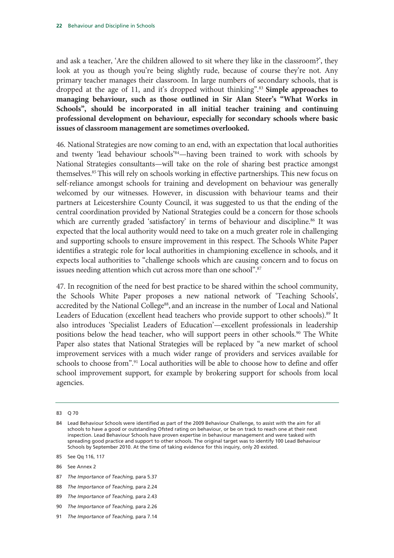and ask a teacher, 'Are the children allowed to sit where they like in the classroom?', they look at you as though you're being slightly rude, because of course they're not. Any primary teacher manages their classroom. In large numbers of secondary schools, that is dropped at the age of 11, and it's dropped without thinking".83 **Simple approaches to managing behaviour, such as those outlined in Sir Alan Steer's "What Works in Schools", should be incorporated in all initial teacher training and continuing professional development on behaviour, especially for secondary schools where basic issues of classroom management are sometimes overlooked.**

46. National Strategies are now coming to an end, with an expectation that local authorities and twenty 'lead behaviour schools'84—having been trained to work with schools by National Strategies consultants—will take on the role of sharing best practice amongst themselves.85 This will rely on schools working in effective partnerships. This new focus on self-reliance amongst schools for training and development on behaviour was generally welcomed by our witnesses. However, in discussion with behaviour teams and their partners at Leicestershire County Council, it was suggested to us that the ending of the central coordination provided by National Strategies could be a concern for those schools which are currently graded 'satisfactory' in terms of behaviour and discipline.<sup>86</sup> It was expected that the local authority would need to take on a much greater role in challenging and supporting schools to ensure improvement in this respect. The Schools White Paper identifies a strategic role for local authorities in championing excellence in schools, and it expects local authorities to "challenge schools which are causing concern and to focus on issues needing attention which cut across more than one school".<sup>87</sup>

47. In recognition of the need for best practice to be shared within the school community, the Schools White Paper proposes a new national network of 'Teaching Schools', accredited by the National College<sup>88</sup>, and an increase in the number of Local and National Leaders of Education (excellent head teachers who provide support to other schools).<sup>89</sup> It also introduces 'Specialist Leaders of Education'—excellent professionals in leadership positions below the head teacher, who will support peers in other schools.<sup>90</sup> The White Paper also states that National Strategies will be replaced by "a new market of school improvement services with a much wider range of providers and services available for schools to choose from".<sup>91</sup> Local authorities will be able to choose how to define and offer school improvement support, for example by brokering support for schools from local agencies.

85 See Qq 116, 117

- 87 *The Importance of Teaching,* para 5.37
- 88 *The Importance of Teaching,* para 2.24
- 89 *The Importance of Teaching,* para 2.43
- 90 *The Importance of Teaching,* para 2.26
- 91 *The Importance of Teaching,* para 7.14

<sup>83</sup> Q 70

<sup>84</sup> Lead Behaviour Schools were identified as part of the 2009 Behaviour Challenge, to assist with the aim for all schools to have a good or outstanding Ofsted rating on behaviour, or be on track to reach one at their next inspection. Lead Behaviour Schools have proven expertise in behaviour management and were tasked with spreading good practice and support to other schools. The original target was to identify 100 Lead Behaviour Schools by September 2010. At the time of taking evidence for this inquiry, only 20 existed.

<sup>86</sup> See Annex 2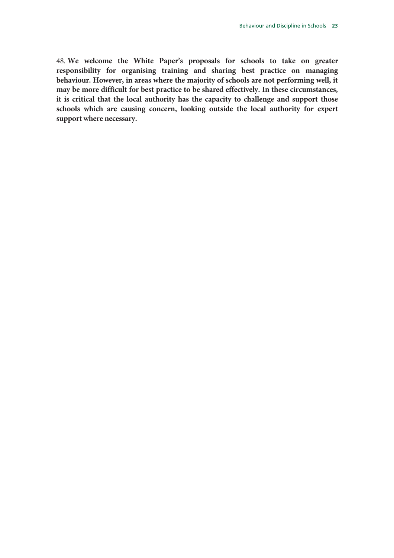48. **We welcome the White Paper's proposals for schools to take on greater responsibility for organising training and sharing best practice on managing behaviour. However, in areas where the majority of schools are not performing well, it may be more difficult for best practice to be shared effectively. In these circumstances, it is critical that the local authority has the capacity to challenge and support those schools which are causing concern, looking outside the local authority for expert support where necessary.**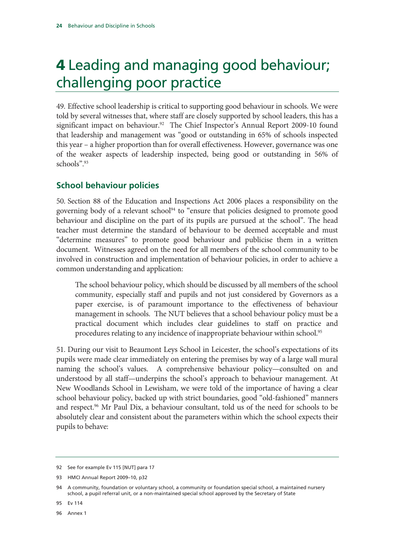# 4 Leading and managing good behaviour; challenging poor practice

49. Effective school leadership is critical to supporting good behaviour in schools. We were told by several witnesses that, where staff are closely supported by school leaders, this has a significant impact on behaviour.<sup>92</sup> The Chief Inspector's Annual Report 2009-10 found that leadership and management was "good or outstanding in 65% of schools inspected this year – a higher proportion than for overall effectiveness. However, governance was one of the weaker aspects of leadership inspected, being good or outstanding in 56% of schools".93

### **School behaviour policies**

50. Section 88 of the Education and Inspections Act 2006 places a responsibility on the governing body of a relevant school<sup>94</sup> to "ensure that policies designed to promote good behaviour and discipline on the part of its pupils are pursued at the school". The head teacher must determine the standard of behaviour to be deemed acceptable and must "determine measures" to promote good behaviour and publicise them in a written document. Witnesses agreed on the need for all members of the school community to be involved in construction and implementation of behaviour policies, in order to achieve a common understanding and application:

The school behaviour policy, which should be discussed by all members of the school community, especially staff and pupils and not just considered by Governors as a paper exercise, is of paramount importance to the effectiveness of behaviour management in schools. The NUT believes that a school behaviour policy must be a practical document which includes clear guidelines to staff on practice and procedures relating to any incidence of inappropriate behaviour within school.<sup>95</sup>

51. During our visit to Beaumont Leys School in Leicester, the school's expectations of its pupils were made clear immediately on entering the premises by way of a large wall mural naming the school's values. A comprehensive behaviour policy—consulted on and understood by all staff—underpins the school's approach to behaviour management. At New Woodlands School in Lewisham, we were told of the importance of having a clear school behaviour policy, backed up with strict boundaries, good "old-fashioned" manners and respect.<sup>96</sup> Mr Paul Dix, a behaviour consultant, told us of the need for schools to be absolutely clear and consistent about the parameters within which the school expects their pupils to behave:

96 Annex 1

<sup>92</sup> See for example Ev 115 [NUT] para 17

<sup>93</sup> HMCI Annual Report 2009–10, p32

<sup>94</sup> A community, foundation or voluntary school, a community or foundation special school, a maintained nursery school, a pupil referral unit, or a non-maintained special school approved by the Secretary of State

<sup>95</sup> Ev 114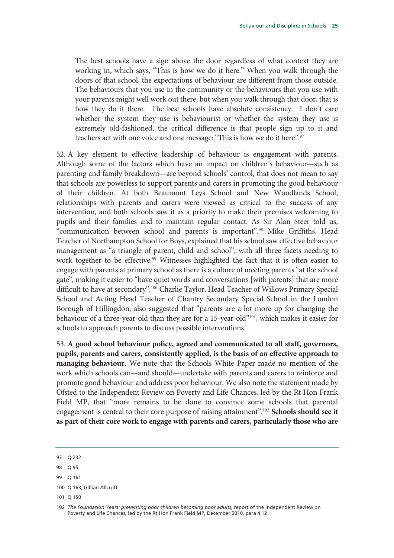The best schools have a sign above the door regardless of what context they are working in, which says, "This is how we do it here." When you walk through the doors of that school, the expectations of behaviour are different from those outside. The behaviours that you use in the community or the behaviours that you use with your parents might well work out there, but when you walk through that door, that is how they do it there. The best schools have absolute consistency. I don't care whether the system they use is behaviourist or whether the system they use is extremely old-fashioned, the critical difference is that people sign up to it and teachers act with one voice and one message: "This is how we do it here".<sup>97</sup>

52. A key element to effective leadership of behaviour is engagement with parents. Although some of the factors which have an impact on children's behaviour—such as parenting and family breakdown—are beyond schools' control, that does not mean to say that schools are powerless to support parents and carers in promoting the good behaviour of their children. At both Beaumont Leys School and New Woodlands School, relationships with parents and carers were viewed as critical to the success of any intervention, and both schools saw it as a priority to make their premises welcoming to pupils and their families and to maintain regular contact. As Sir Alan Steer told us, "communication between school and parents is important".98 Mike Griffiths, Head Teacher of Northampton School for Boys, explained that his school saw effective behaviour management as "a triangle of parent, child and school", with all three facets needing to work together to be effective.<sup>99</sup> Witnesses highlighted the fact that it is often easier to engage with parents at primary school as there is a culture of meeting parents "at the school gate", making it easier to "have quiet words and conversations [with parents] that are more difficult to have at secondary".<sup>100</sup> Charlie Taylor, Head Teacher of Willows Primary Special School and Acting Head Teacher of Chantry Secondary Special School in the London Borough of Hillingdon, also suggested that "parents are a lot more up for changing the behaviour of a three-year-old than they are for a 15-year-old"<sup>101</sup>, which makes it easier for schools to approach parents to discuss possible interventions.

53. **A good school behaviour policy, agreed and communicated to all staff, governors, pupils, parents and carers, consistently applied, is the basis of an effective approach to managing behaviour.** We note that the Schools White Paper made no mention of the work which schools can—and should—undertake with parents and carers to reinforce and promote good behaviour and address poor behaviour. We also note the statement made by Ofsted to the Independent Review on Poverty and Life Chances, led by the Rt Hon Frank Field MP, that "more remains to be done to convince some schools that parental engagement is central to their core purpose of raising attainment".102 **Schools should see it as part of their core work to engage with parents and carers, particularly those who are** 

98 Q 95

101 Q 150

<sup>97</sup> Q 232

<sup>99</sup> Q 161

<sup>100</sup> Q 163, Gillian Allcroft

<sup>102</sup> *The Foundation Years: preventing poor children becoming poor adults*, report of the Independent Review on Poverty and Life Chances, led by the Rt Hon Frank Field MP, December 2010, para 4.12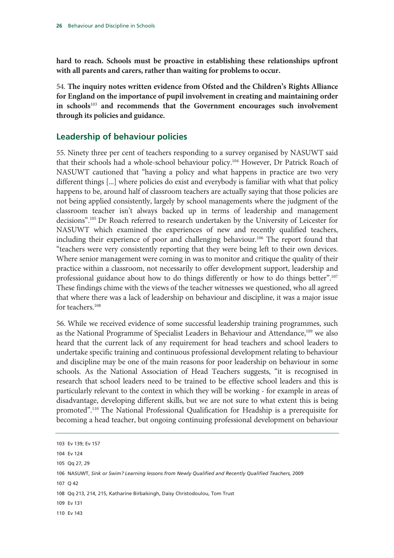**hard to reach. Schools must be proactive in establishing these relationships upfront with all parents and carers, rather than waiting for problems to occur.** 

54. **The inquiry notes written evidence from Ofsted and the Children's Rights Alliance for England on the importance of pupil involvement in creating and maintaining order in schools**<sup>103</sup> **and recommends that the Government encourages such involvement through its policies and guidance.**

### **Leadership of behaviour policies**

55. Ninety three per cent of teachers responding to a survey organised by NASUWT said that their schools had a whole-school behaviour policy.<sup>104</sup> However, Dr Patrick Roach of NASUWT cautioned that "having a policy and what happens in practice are two very different things [...] where policies do exist and everybody is familiar with what that policy happens to be, around half of classroom teachers are actually saying that those policies are not being applied consistently, largely by school managements where the judgment of the classroom teacher isn't always backed up in terms of leadership and management decisions".105 Dr Roach referred to research undertaken by the University of Leicester for NASUWT which examined the experiences of new and recently qualified teachers, including their experience of poor and challenging behaviour.<sup>106</sup> The report found that "teachers were very consistently reporting that they were being left to their own devices. Where senior management were coming in was to monitor and critique the quality of their practice within a classroom, not necessarily to offer development support, leadership and professional guidance about how to do things differently or how to do things better".107 These findings chime with the views of the teacher witnesses we questioned, who all agreed that where there was a lack of leadership on behaviour and discipline, it was a major issue for teachers.<sup>108</sup>

56. While we received evidence of some successful leadership training programmes, such as the National Programme of Specialist Leaders in Behaviour and Attendance,<sup>109</sup> we also heard that the current lack of any requirement for head teachers and school leaders to undertake specific training and continuous professional development relating to behaviour and discipline may be one of the main reasons for poor leadership on behaviour in some schools. As the National Association of Head Teachers suggests, "it is recognised in research that school leaders need to be trained to be effective school leaders and this is particularly relevant to the context in which they will be working - for example in areas of disadvantage, developing different skills, but we are not sure to what extent this is being promoted".110 The National Professional Qualification for Headship is a prerequisite for becoming a head teacher, but ongoing continuing professional development on behaviour

103 Ev 139; Ev 157 104 Ev 124 105 Qq 27, 29 106 NASUWT, Sink or Swim? Learning lessons from Newly Qualified and Recently Qualified Teachers, 2009 107 Q 42 108 Qq 213, 214, 215, Katharine Birbalsingh, Daisy Christodoulou, Tom Trust 109 Ev 131 110 Ev 143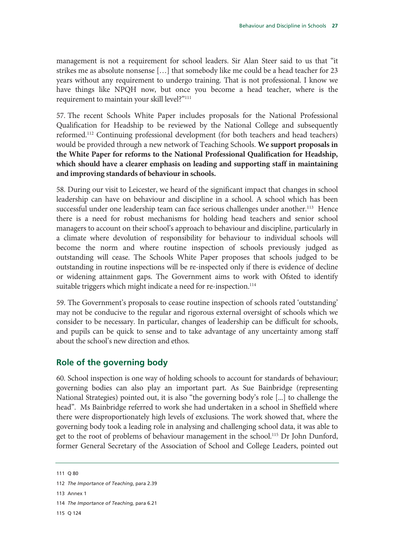management is not a requirement for school leaders. Sir Alan Steer said to us that "it strikes me as absolute nonsense […] that somebody like me could be a head teacher for 23 years without any requirement to undergo training. That is not professional. I know we have things like NPQH now, but once you become a head teacher, where is the requirement to maintain your skill level?"111

57. The recent Schools White Paper includes proposals for the National Professional Qualification for Headship to be reviewed by the National College and subsequently reformed.112 Continuing professional development (for both teachers and head teachers) would be provided through a new network of Teaching Schools. **We support proposals in the White Paper for reforms to the National Professional Qualification for Headship, which should have a clearer emphasis on leading and supporting staff in maintaining and improving standards of behaviour in schools.**

58. During our visit to Leicester, we heard of the significant impact that changes in school leadership can have on behaviour and discipline in a school. A school which has been successful under one leadership team can face serious challenges under another.<sup>113</sup> Hence there is a need for robust mechanisms for holding head teachers and senior school managers to account on their school's approach to behaviour and discipline, particularly in a climate where devolution of responsibility for behaviour to individual schools will become the norm and where routine inspection of schools previously judged as outstanding will cease. The Schools White Paper proposes that schools judged to be outstanding in routine inspections will be re-inspected only if there is evidence of decline or widening attainment gaps. The Government aims to work with Ofsted to identify suitable triggers which might indicate a need for re-inspection.<sup>114</sup>

59. The Government's proposals to cease routine inspection of schools rated 'outstanding' may not be conducive to the regular and rigorous external oversight of schools which we consider to be necessary. In particular, changes of leadership can be difficult for schools, and pupils can be quick to sense and to take advantage of any uncertainty among staff about the school's new direction and ethos.

### **Role of the governing body**

60. School inspection is one way of holding schools to account for standards of behaviour; governing bodies can also play an important part. As Sue Bainbridge (representing National Strategies) pointed out, it is also "the governing body's role [...] to challenge the head". Ms Bainbridge referred to work she had undertaken in a school in Sheffield where there were disproportionately high levels of exclusions. The work showed that, where the governing body took a leading role in analysing and challenging school data, it was able to get to the root of problems of behaviour management in the school.<sup>115</sup> Dr John Dunford, former General Secretary of the Association of School and College Leaders, pointed out

113 Annex 1

115 Q 124

<sup>111</sup> Q 80

<sup>112</sup> *The Importance of Teaching*, para 2.39

<sup>114</sup> *The Importance of Teaching,* para 6.21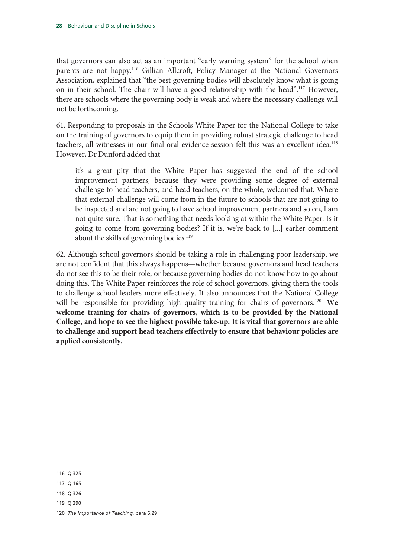that governors can also act as an important "early warning system" for the school when parents are not happy.116 Gillian Allcroft, Policy Manager at the National Governors Association, explained that "the best governing bodies will absolutely know what is going on in their school. The chair will have a good relationship with the head".<sup>117</sup> However, there are schools where the governing body is weak and where the necessary challenge will not be forthcoming.

61. Responding to proposals in the Schools White Paper for the National College to take on the training of governors to equip them in providing robust strategic challenge to head teachers, all witnesses in our final oral evidence session felt this was an excellent idea.<sup>118</sup> However, Dr Dunford added that

it's a great pity that the White Paper has suggested the end of the school improvement partners, because they were providing some degree of external challenge to head teachers, and head teachers, on the whole, welcomed that. Where that external challenge will come from in the future to schools that are not going to be inspected and are not going to have school improvement partners and so on, I am not quite sure. That is something that needs looking at within the White Paper. Is it going to come from governing bodies? If it is, we're back to [...] earlier comment about the skills of governing bodies.<sup>119</sup>

62. Although school governors should be taking a role in challenging poor leadership, we are not confident that this always happens—whether because governors and head teachers do not see this to be their role, or because governing bodies do not know how to go about doing this. The White Paper reinforces the role of school governors, giving them the tools to challenge school leaders more effectively. It also announces that the National College will be responsible for providing high quality training for chairs of governors.<sup>120</sup> We **welcome training for chairs of governors, which is to be provided by the National College, and hope to see the highest possible take-up. It is vital that governors are able to challenge and support head teachers effectively to ensure that behaviour policies are applied consistently.** 

116 Q 325

117 Q 165

118 Q 326

119 Q 390

120 *The Importance of Teaching*, para 6.29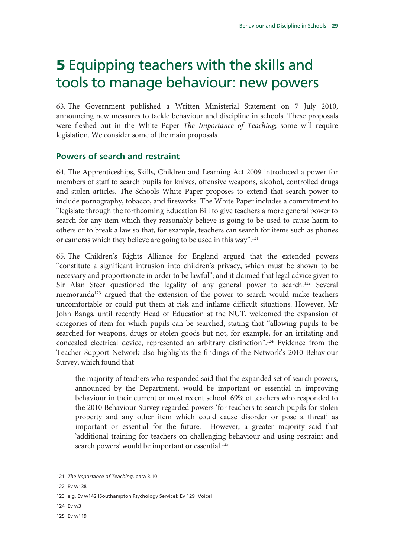# **5** Equipping teachers with the skills and tools to manage behaviour: new powers

63. The Government published a Written Ministerial Statement on 7 July 2010, announcing new measures to tackle behaviour and discipline in schools. These proposals were fleshed out in the White Paper *The Importance of Teaching*; some will require legislation. We consider some of the main proposals.

### **Powers of search and restraint**

64. The Apprenticeships, Skills, Children and Learning Act 2009 introduced a power for members of staff to search pupils for knives, offensive weapons, alcohol, controlled drugs and stolen articles. The Schools White Paper proposes to extend that search power to include pornography, tobacco, and fireworks. The White Paper includes a commitment to "legislate through the forthcoming Education Bill to give teachers a more general power to search for any item which they reasonably believe is going to be used to cause harm to others or to break a law so that, for example, teachers can search for items such as phones or cameras which they believe are going to be used in this way".121

65. The Children's Rights Alliance for England argued that the extended powers "constitute a significant intrusion into children's privacy, which must be shown to be necessary and proportionate in order to be lawful"; and it claimed that legal advice given to Sir Alan Steer questioned the legality of any general power to search.<sup>122</sup> Several memoranda<sup>123</sup> argued that the extension of the power to search would make teachers uncomfortable or could put them at risk and inflame difficult situations. However, Mr John Bangs, until recently Head of Education at the NUT, welcomed the expansion of categories of item for which pupils can be searched, stating that "allowing pupils to be searched for weapons, drugs or stolen goods but not, for example, for an irritating and concealed electrical device, represented an arbitrary distinction".124 Evidence from the Teacher Support Network also highlights the findings of the Network's 2010 Behaviour Survey, which found that

the majority of teachers who responded said that the expanded set of search powers, announced by the Department, would be important or essential in improving behaviour in their current or most recent school. 69% of teachers who responded to the 2010 Behaviour Survey regarded powers 'for teachers to search pupils for stolen property and any other item which could cause disorder or pose a threat' as important or essential for the future. However, a greater majority said that 'additional training for teachers on challenging behaviour and using restraint and search powers' would be important or essential.<sup>125</sup>

122 Ev w138

- 124 Ev w3
- 125 Ev w119

<sup>121</sup> *The Importance of Teaching*, para 3.10

<sup>123</sup> e.g. Ev w142 [Southampton Psychology Service]; Ev 129 [Voice]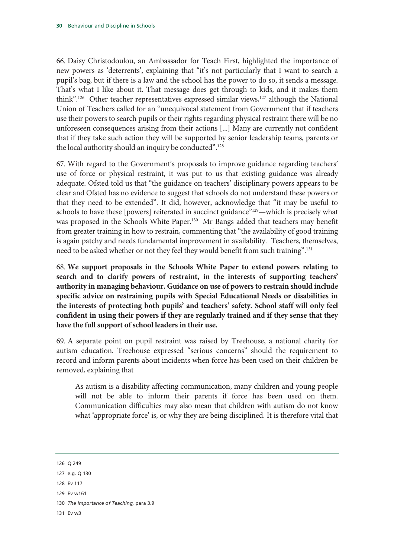66. Daisy Christodoulou, an Ambassador for Teach First, highlighted the importance of new powers as 'deterrents', explaining that "it's not particularly that I want to search a pupil's bag, but if there is a law and the school has the power to do so, it sends a message. That's what I like about it. That message does get through to kids, and it makes them think".<sup>126</sup> Other teacher representatives expressed similar views,<sup>127</sup> although the National Union of Teachers called for an "unequivocal statement from Government that if teachers use their powers to search pupils or their rights regarding physical restraint there will be no unforeseen consequences arising from their actions [...] Many are currently not confident that if they take such action they will be supported by senior leadership teams, parents or the local authority should an inquiry be conducted".<sup>128</sup>

67. With regard to the Government's proposals to improve guidance regarding teachers' use of force or physical restraint, it was put to us that existing guidance was already adequate. Ofsted told us that "the guidance on teachers' disciplinary powers appears to be clear and Ofsted has no evidence to suggest that schools do not understand these powers or that they need to be extended". It did, however, acknowledge that "it may be useful to schools to have these [powers] reiterated in succinct guidance"<sup>129</sup>—which is precisely what was proposed in the Schools White Paper.<sup>130</sup> Mr Bangs added that teachers may benefit from greater training in how to restrain, commenting that "the availability of good training is again patchy and needs fundamental improvement in availability. Teachers, themselves, need to be asked whether or not they feel they would benefit from such training".131

68. **We support proposals in the Schools White Paper to extend powers relating to search and to clarify powers of restraint, in the interests of supporting teachers' authority in managing behaviour. Guidance on use of powers to restrain should include specific advice on restraining pupils with Special Educational Needs or disabilities in the interests of protecting both pupils' and teachers' safety. School staff will only feel confident in using their powers if they are regularly trained and if they sense that they have the full support of school leaders in their use.** 

69. A separate point on pupil restraint was raised by Treehouse, a national charity for autism education. Treehouse expressed "serious concerns" should the requirement to record and inform parents about incidents when force has been used on their children be removed, explaining that

As autism is a disability affecting communication, many children and young people will not be able to inform their parents if force has been used on them. Communication difficulties may also mean that children with autism do not know what 'appropriate force' is, or why they are being disciplined. It is therefore vital that

126 Q 249

- 128 Ev 117
- 129 Ev w161
- 130 *The Importance of Teaching,* para 3.9
- 131 Ev w3

<sup>127</sup> e.g. Q 130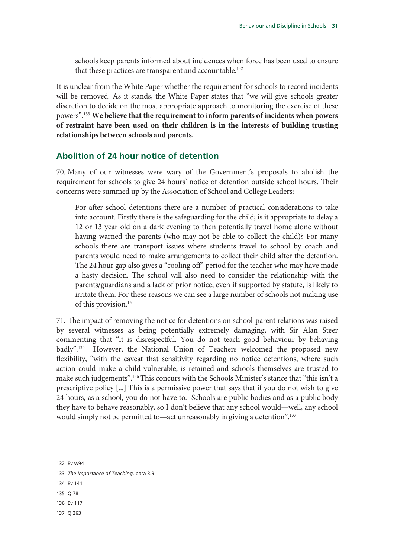schools keep parents informed about incidences when force has been used to ensure that these practices are transparent and accountable.<sup>132</sup>

It is unclear from the White Paper whether the requirement for schools to record incidents will be removed. As it stands, the White Paper states that "we will give schools greater discretion to decide on the most appropriate approach to monitoring the exercise of these powers".133 **We believe that the requirement to inform parents of incidents when powers of restraint have been used on their children is in the interests of building trusting relationships between schools and parents.**

### **Abolition of 24 hour notice of detention**

70. Many of our witnesses were wary of the Government's proposals to abolish the requirement for schools to give 24 hours' notice of detention outside school hours. Their concerns were summed up by the Association of School and College Leaders:

For after school detentions there are a number of practical considerations to take into account. Firstly there is the safeguarding for the child; is it appropriate to delay a 12 or 13 year old on a dark evening to then potentially travel home alone without having warned the parents (who may not be able to collect the child)? For many schools there are transport issues where students travel to school by coach and parents would need to make arrangements to collect their child after the detention. The 24 hour gap also gives a "cooling off" period for the teacher who may have made a hasty decision. The school will also need to consider the relationship with the parents/guardians and a lack of prior notice, even if supported by statute, is likely to irritate them. For these reasons we can see a large number of schools not making use of this provision.134

71. The impact of removing the notice for detentions on school-parent relations was raised by several witnesses as being potentially extremely damaging, with Sir Alan Steer commenting that "it is disrespectful. You do not teach good behaviour by behaving badly".<sup>135</sup> However, the National Union of Teachers welcomed the proposed new flexibility, "with the caveat that sensitivity regarding no notice detentions, where such action could make a child vulnerable, is retained and schools themselves are trusted to make such judgements".136 This concurs with the Schools Minister's stance that "this isn't a prescriptive policy [...] This is a permissive power that says that if you do not wish to give 24 hours, as a school, you do not have to. Schools are public bodies and as a public body they have to behave reasonably, so I don't believe that any school would—well, any school would simply not be permitted to—act unreasonably in giving a detention".<sup>137</sup>

132 Ev w94

- 134 Ev 141
- 135 Q 78
- 136 Ev 117
- 137 Q 263

<sup>133</sup> *The Importance of Teaching*, para 3.9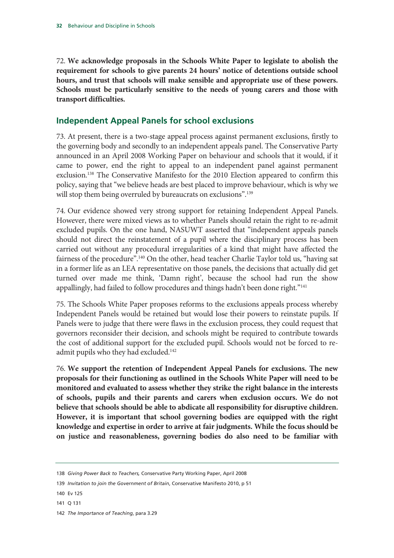72. **We acknowledge proposals in the Schools White Paper to legislate to abolish the requirement for schools to give parents 24 hours' notice of detentions outside school hours, and trust that schools will make sensible and appropriate use of these powers. Schools must be particularly sensitive to the needs of young carers and those with transport difficulties.**

### **Independent Appeal Panels for school exclusions**

73. At present, there is a two-stage appeal process against permanent exclusions, firstly to the governing body and secondly to an independent appeals panel. The Conservative Party announced in an April 2008 Working Paper on behaviour and schools that it would, if it came to power, end the right to appeal to an independent panel against permanent exclusion.<sup>138</sup> The Conservative Manifesto for the 2010 Election appeared to confirm this policy, saying that "we believe heads are best placed to improve behaviour, which is why we will stop them being overruled by bureaucrats on exclusions".<sup>139</sup>

74. Our evidence showed very strong support for retaining Independent Appeal Panels. However, there were mixed views as to whether Panels should retain the right to re-admit excluded pupils. On the one hand, NASUWT asserted that "independent appeals panels should not direct the reinstatement of a pupil where the disciplinary process has been carried out without any procedural irregularities of a kind that might have affected the fairness of the procedure".<sup>140</sup> On the other, head teacher Charlie Taylor told us, "having sat in a former life as an LEA representative on those panels, the decisions that actually did get turned over made me think, 'Damn right', because the school had run the show appallingly, had failed to follow procedures and things hadn't been done right."<sup>141</sup>

75. The Schools White Paper proposes reforms to the exclusions appeals process whereby Independent Panels would be retained but would lose their powers to reinstate pupils. If Panels were to judge that there were flaws in the exclusion process, they could request that governors reconsider their decision, and schools might be required to contribute towards the cost of additional support for the excluded pupil. Schools would not be forced to readmit pupils who they had excluded.<sup>142</sup>

76. **We support the retention of Independent Appeal Panels for exclusions. The new proposals for their functioning as outlined in the Schools White Paper will need to be monitored and evaluated to assess whether they strike the right balance in the interests of schools, pupils and their parents and carers when exclusion occurs. We do not believe that schools should be able to abdicate all responsibility for disruptive children. However, it is important that school governing bodies are equipped with the right knowledge and expertise in order to arrive at fair judgments. While the focus should be on justice and reasonableness, governing bodies do also need to be familiar with** 

141 Q 131

<sup>138</sup> *Giving Power Back to Teachers,* Conservative Party Working Paper, April 2008

<sup>139</sup> *Invitation to join the Government of Britain*, Conservative Manifesto 2010, p 51

<sup>140</sup> Ev 125

<sup>142</sup> *The Importance of Teaching*, para 3.29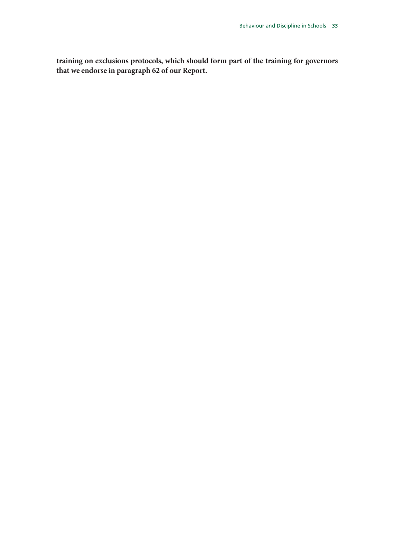**training on exclusions protocols, which should form part of the training for governors that we endorse in paragraph 62 of our Report.**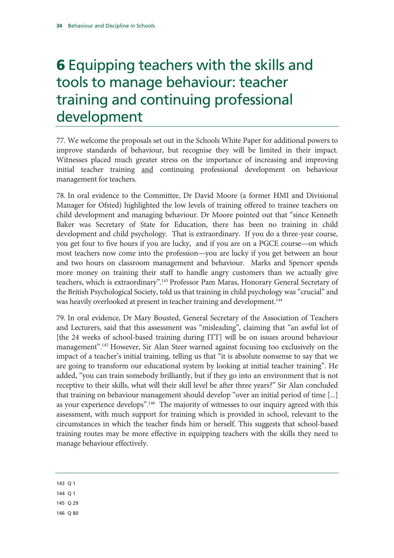## 6 Equipping teachers with the skills and tools to manage behaviour: teacher training and continuing professional development

77. We welcome the proposals set out in the Schools White Paper for additional powers to improve standards of behaviour, but recognise they will be limited in their impact. Witnesses placed much greater stress on the importance of increasing and improving initial teacher training and continuing professional development on behaviour management for teachers.

78. In oral evidence to the Committee, Dr David Moore (a former HMI and Divisional Manager for Ofsted) highlighted the low levels of training offered to trainee teachers on child development and managing behaviour. Dr Moore pointed out that "since Kenneth Baker was Secretary of State for Education, there has been no training in child development and child psychology. That is extraordinary. If you do a three-year course, you get four to five hours if you are lucky, and if you are on a PGCE course—on which most teachers now come into the profession—you are lucky if you get between an hour and two hours on classroom management and behaviour. Marks and Spencer spends more money on training their staff to handle angry customers than we actually give teachers, which is extraordinary".<sup>143</sup> Professor Pam Maras, Honorary General Secretary of the British Psychological Society, told us that training in child psychology was "crucial" and was heavily overlooked at present in teacher training and development.<sup>144</sup>

79. In oral evidence, Dr Mary Bousted, General Secretary of the Association of Teachers and Lecturers, said that this assessment was "misleading", claiming that "an awful lot of [the 24 weeks of school-based training during ITT] will be on issues around behaviour management".<sup>145</sup> However, Sir Alan Steer warned against focusing too exclusively on the impact of a teacher's initial training, telling us that "it is absolute nonsense to say that we are going to transform our educational system by looking at initial teacher training". He added, "you can train somebody brilliantly, but if they go into an environment that is not receptive to their skills, what will their skill level be after three years?" Sir Alan concluded that training on behaviour management should develop "over an initial period of time [...] as your experience develops".<sup>146</sup> The majority of witnesses to our inquiry agreed with this assessment, with much support for training which is provided in school, relevant to the circumstances in which the teacher finds him or herself. This suggests that school-based training routes may be more effective in equipping teachers with the skills they need to manage behaviour effectively.

143 Q 1

144 Q 1

145 Q 29

146 Q 80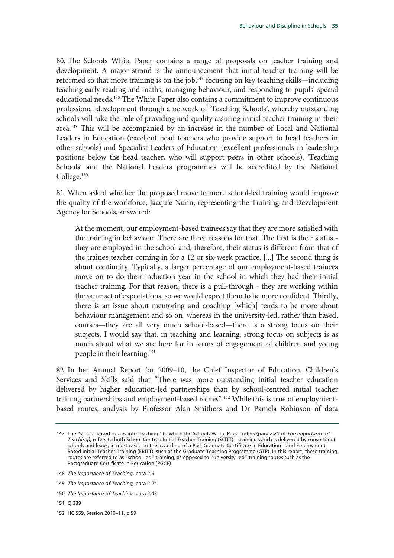80. The Schools White Paper contains a range of proposals on teacher training and development. A major strand is the announcement that initial teacher training will be reformed so that more training is on the job,<sup>147</sup> focusing on key teaching skills—including teaching early reading and maths, managing behaviour, and responding to pupils' special educational needs.148 The White Paper also contains a commitment to improve continuous professional development through a network of 'Teaching Schools', whereby outstanding schools will take the role of providing and quality assuring initial teacher training in their area.149 This will be accompanied by an increase in the number of Local and National Leaders in Education (excellent head teachers who provide support to head teachers in other schools) and Specialist Leaders of Education (excellent professionals in leadership positions below the head teacher, who will support peers in other schools). 'Teaching Schools' and the National Leaders programmes will be accredited by the National College.<sup>150</sup>

81. When asked whether the proposed move to more school-led training would improve the quality of the workforce, Jacquie Nunn, representing the Training and Development Agency for Schools, answered:

At the moment, our employment-based trainees say that they are more satisfied with the training in behaviour. There are three reasons for that. The first is their status they are employed in the school and, therefore, their status is different from that of the trainee teacher coming in for a 12 or six-week practice. [...] The second thing is about continuity. Typically, a larger percentage of our employment-based trainees move on to do their induction year in the school in which they had their initial teacher training. For that reason, there is a pull-through - they are working within the same set of expectations, so we would expect them to be more confident. Thirdly, there is an issue about mentoring and coaching [which] tends to be more about behaviour management and so on, whereas in the university-led, rather than based, courses—they are all very much school-based—there is a strong focus on their subjects. I would say that, in teaching and learning, strong focus on subjects is as much about what we are here for in terms of engagement of children and young people in their learning.151

82. In her Annual Report for 2009–10, the Chief Inspector of Education, Children's Services and Skills said that "There was more outstanding initial teacher education delivered by higher education-led partnerships than by school-centred initial teacher training partnerships and employment-based routes".<sup>152</sup> While this is true of employmentbased routes, analysis by Professor Alan Smithers and Dr Pamela Robinson of data

- 151 Q 339
- 152 HC 559, Session 2010–11, p 59

<sup>147</sup> The "school-based routes into teaching" to which the Schools White Paper refers (para 2.21 of *The Importance of Teaching),* refers to both School Centred Initial Teacher Training (SCITT)—training which is delivered by consortia of schools and leads, in most cases, to the awarding of a Post Graduate Certificate in Education—and Employment Based Initial Teacher Training (EBITT), such as the Graduate Teaching Programme (GTP). In this report, these training routes are referred to as "school-led" training, as opposed to "university-led" training routes such as the Postgraduate Certificate in Education (PGCE).

<sup>148</sup> *The Importance of Teaching*, para 2.6

<sup>149</sup> *The Importance of Teaching,* para 2.24

<sup>150</sup> *The Importance of Teaching,* para 2.43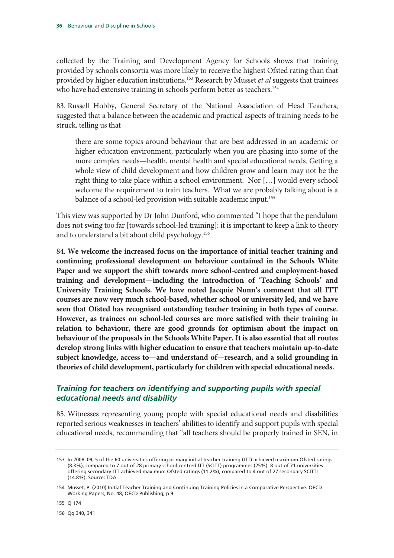collected by the Training and Development Agency for Schools shows that training provided by schools consortia was more likely to receive the highest Ofsted rating than that provided by higher education institutions.153 Research by Musset *et al* suggests that trainees who have had extensive training in schools perform better as teachers.<sup>154</sup>

83. Russell Hobby, General Secretary of the National Association of Head Teachers, suggested that a balance between the academic and practical aspects of training needs to be struck, telling us that

there are some topics around behaviour that are best addressed in an academic or higher education environment, particularly when you are phasing into some of the more complex needs—health, mental health and special educational needs. Getting a whole view of child development and how children grow and learn may not be the right thing to take place within a school environment. Nor […] would every school welcome the requirement to train teachers. What we are probably talking about is a balance of a school-led provision with suitable academic input.<sup>155</sup>

This view was supported by Dr John Dunford, who commented "I hope that the pendulum does not swing too far [towards school-led training]: it is important to keep a link to theory and to understand a bit about child psychology.<sup>156</sup>

84. **We welcome the increased focus on the importance of initial teacher training and continuing professional development on behaviour contained in the Schools White Paper and we support the shift towards more school-centred and employment-based training and development—including the introduction of 'Teaching Schools' and University Training Schools. We have noted Jacquie Nunn's comment that all ITT courses are now very much school-based, whether school or university led, and we have seen that Ofsted has recognised outstanding teacher training in both types of course. However, as trainees on school-led courses are more satisfied with their training in relation to behaviour, there are good grounds for optimism about the impact on behaviour of the proposals in the Schools White Paper. It is also essential that all routes develop strong links with higher education to ensure that teachers maintain up-to-date subject knowledge, access to—and understand of—research, and a solid grounding in theories of child development, particularly for children with special educational needs.** 

# *Training for teachers on identifying and supporting pupils with special educational needs and disability*

85. Witnesses representing young people with special educational needs and disabilities reported serious weaknesses in teachers' abilities to identify and support pupils with special educational needs, recommending that "all teachers should be properly trained in SEN, in

155 Q 174

156 Qq 340, 341

<sup>153</sup> In 2008–09, 5 of the 60 universities offering primary initial teacher training (ITT) achieved maximum Ofsted ratings (8.3%), compared to 7 out of 28 primary school-centred ITT (SCITT) programmes (25%). 8 out of 71 universities offering secondary ITT achieved maximum Ofsted ratings (11.2%), compared to 4 out of 27 secondary SCITTs (14.8%). Source: TDA

<sup>154</sup> Musset, P. (2010) Initial Teacher Training and Continuing Training Policies in a Comparative Perspective. OECD Working Papers, No. 48, OECD Publishing, p 9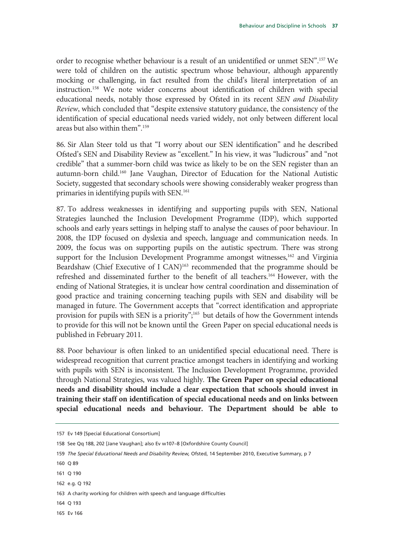order to recognise whether behaviour is a result of an unidentified or unmet SEN".157 We were told of children on the autistic spectrum whose behaviour, although apparently mocking or challenging, in fact resulted from the child's literal interpretation of an instruction.158 We note wider concerns about identification of children with special educational needs, notably those expressed by Ofsted in its recent *SEN and Disability Review*, which concluded that "despite extensive statutory guidance, the consistency of the identification of special educational needs varied widely, not only between different local areas but also within them".159

86. Sir Alan Steer told us that "I worry about our SEN identification" and he described Ofsted's SEN and Disability Review as "excellent." In his view, it was "ludicrous" and "not credible" that a summer-born child was twice as likely to be on the SEN register than an autumn-born child.160 Jane Vaughan, Director of Education for the National Autistic Society, suggested that secondary schools were showing considerably weaker progress than primaries in identifying pupils with SEN.161

87. To address weaknesses in identifying and supporting pupils with SEN, National Strategies launched the Inclusion Development Programme (IDP), which supported schools and early years settings in helping staff to analyse the causes of poor behaviour. In 2008, the IDP focused on dyslexia and speech, language and communication needs. In 2009, the focus was on supporting pupils on the autistic spectrum. There was strong support for the Inclusion Development Programme amongst witnesses,  $162$  and Virginia Beardshaw (Chief Executive of I CAN)<sup>163</sup> recommended that the programme should be refreshed and disseminated further to the benefit of all teachers.164 However, with the ending of National Strategies, it is unclear how central coordination and dissemination of good practice and training concerning teaching pupils with SEN and disability will be managed in future. The Government accepts that "correct identification and appropriate provision for pupils with SEN is a priority";165 but details of how the Government intends to provide for this will not be known until the Green Paper on special educational needs is published in February 2011*.*

88. Poor behaviour is often linked to an unidentified special educational need. There is widespread recognition that current practice amongst teachers in identifying and working with pupils with SEN is inconsistent. The Inclusion Development Programme, provided through National Strategies, was valued highly. **The Green Paper on special educational needs and disability should include a clear expectation that schools should invest in training their staff on identification of special educational needs and on links between special educational needs and behaviour. The Department should be able to** 

- 164 Q 193
- 165 Ev 166

<sup>157</sup> Ev 149 [Special Educational Consortium]

<sup>158</sup> See Qq 188, 202 [Jane Vaughan]; also Ev w107–8 [Oxfordshire County Council]

<sup>159</sup> *The Special Educational Needs and Disability Review,* Ofsted, 14 September 2010, Executive Summary, p 7

<sup>160</sup> Q 89

<sup>161</sup> Q 190

<sup>162</sup> e.g. Q 192

<sup>163</sup> A charity working for children with speech and language difficulties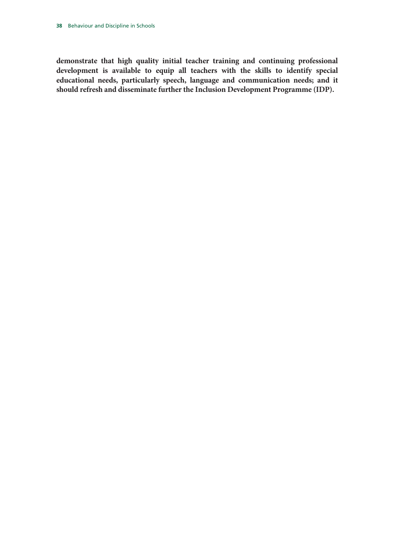**demonstrate that high quality initial teacher training and continuing professional development is available to equip all teachers with the skills to identify special educational needs, particularly speech, language and communication needs; and it should refresh and disseminate further the Inclusion Development Programme (IDP).**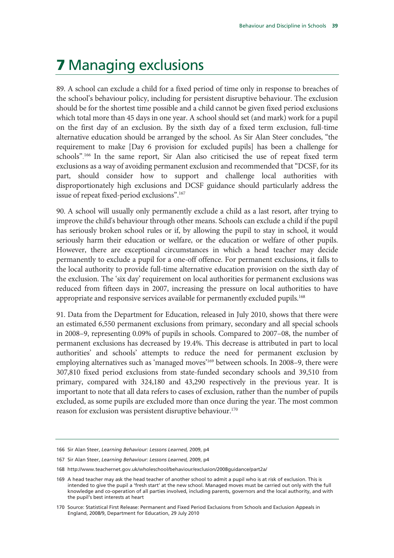# 7 Managing exclusions

89. A school can exclude a child for a fixed period of time only in response to breaches of the school's behaviour policy, including for persistent disruptive behaviour. The exclusion should be for the shortest time possible and a child cannot be given fixed period exclusions which total more than 45 days in one year. A school should set (and mark) work for a pupil on the first day of an exclusion. By the sixth day of a fixed term exclusion, full-time alternative education should be arranged by the school. As Sir Alan Steer concludes, "the requirement to make [Day 6 provision for excluded pupils] has been a challenge for schools". 166 In the same report, Sir Alan also criticised the use of repeat fixed term exclusions as a way of avoiding permanent exclusion and recommended that "DCSF, for its part, should consider how to support and challenge local authorities with disproportionately high exclusions and DCSF guidance should particularly address the issue of repeat fixed-period exclusions".167

90. A school will usually only permanently exclude a child as a last resort, after trying to improve the child's behaviour through other means. Schools can exclude a child if the pupil has seriously broken school rules or if, by allowing the pupil to stay in school, it would seriously harm their education or welfare, or the education or welfare of other pupils. However, there are exceptional circumstances in which a head teacher may decide permanently to exclude a pupil for a one-off offence. For permanent exclusions, it falls to the local authority to provide full-time alternative education provision on the sixth day of the exclusion. The 'six day' requirement on local authorities for permanent exclusions was reduced from fifteen days in 2007, increasing the pressure on local authorities to have appropriate and responsive services available for permanently excluded pupils.<sup>168</sup>

91. Data from the Department for Education, released in July 2010, shows that there were an estimated 6,550 permanent exclusions from primary, secondary and all special schools in 2008–9, representing 0.09% of pupils in schools. Compared to 2007–08, the number of permanent exclusions has decreased by 19.4%. This decrease is attributed in part to local authorities' and schools' attempts to reduce the need for permanent exclusion by employing alternatives such as 'managed moves'<sup>169</sup> between schools. In 2008–9, there were 307,810 fixed period exclusions from state-funded secondary schools and 39,510 from primary, compared with 324,180 and 43,290 respectively in the previous year. It is important to note that all data refers to cases of exclusion, rather than the number of pupils excluded, as some pupils are excluded more than once during the year. The most common reason for exclusion was persistent disruptive behaviour.<sup>170</sup>

<sup>166</sup> Sir Alan Steer, *Learning Behaviour: Lessons Learned,* 2009, p4

<sup>167</sup> Sir Alan Steer, *Learning Behaviour: Lessons Learned,* 2009, p4

<sup>168</sup> http://www.teachernet.gov.uk/wholeschool/behaviour/exclusion/2008guidance/part2a/

<sup>169</sup> A head teacher may ask the head teacher of another school to admit a pupil who is at risk of exclusion. This is intended to give the pupil a 'fresh start' at the new school. Managed moves must be carried out only with the full knowledge and co-operation of all parties involved, including parents, governors and the local authority, and with the pupil's best interests at heart

<sup>170</sup> Source: Statistical First Release: Permanent and Fixed Period Exclusions from Schools and Exclusion Appeals in England, 2008/9, Department for Education, 29 July 2010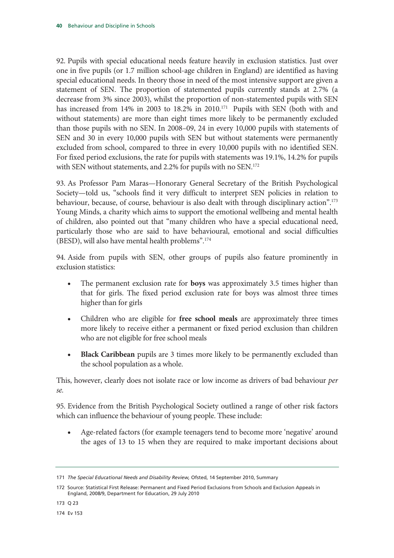92. Pupils with special educational needs feature heavily in exclusion statistics. Just over one in five pupils (or 1.7 million school-age children in England) are identified as having special educational needs. In theory those in need of the most intensive support are given a statement of SEN. The proportion of statemented pupils currently stands at 2.7% (a decrease from 3% since 2003), whilst the proportion of non-statemented pupils with SEN has increased from 14% in 2003 to 18.2% in 2010.<sup>171</sup> Pupils with SEN (both with and without statements) are more than eight times more likely to be permanently excluded than those pupils with no SEN. In 2008–09, 24 in every 10,000 pupils with statements of SEN and 30 in every 10,000 pupils with SEN but without statements were permanently excluded from school, compared to three in every 10,000 pupils with no identified SEN. For fixed period exclusions, the rate for pupils with statements was 19.1%, 14.2% for pupils with SEN without statements, and 2.2% for pupils with no SEN.<sup>172</sup>

93. As Professor Pam Maras—Honorary General Secretary of the British Psychological Society—told us, "schools find it very difficult to interpret SEN policies in relation to behaviour, because, of course, behaviour is also dealt with through disciplinary action".<sup>173</sup> Young Minds, a charity which aims to support the emotional wellbeing and mental health of children, also pointed out that "many children who have a special educational need, particularly those who are said to have behavioural, emotional and social difficulties (BESD), will also have mental health problems".174

94. Aside from pupils with SEN, other groups of pupils also feature prominently in exclusion statistics:

- The permanent exclusion rate for **boys** was approximately 3.5 times higher than that for girls. The fixed period exclusion rate for boys was almost three times higher than for girls
- Children who are eligible for **free school meals** are approximately three times more likely to receive either a permanent or fixed period exclusion than children who are not eligible for free school meals
- **Black Caribbean** pupils are 3 times more likely to be permanently excluded than the school population as a whole.

This, however, clearly does not isolate race or low income as drivers of bad behaviour *per se.*

95. Evidence from the British Psychological Society outlined a range of other risk factors which can influence the behaviour of young people. These include:

• Age-related factors (for example teenagers tend to become more 'negative' around the ages of 13 to 15 when they are required to make important decisions about

174 Ev 153

<sup>171</sup> *The Special Educational Needs and Disability Review,* Ofsted, 14 September 2010, Summary

<sup>172</sup> Source: Statistical First Release: Permanent and Fixed Period Exclusions from Schools and Exclusion Appeals in England, 2008/9, Department for Education, 29 July 2010

<sup>173</sup> Q 23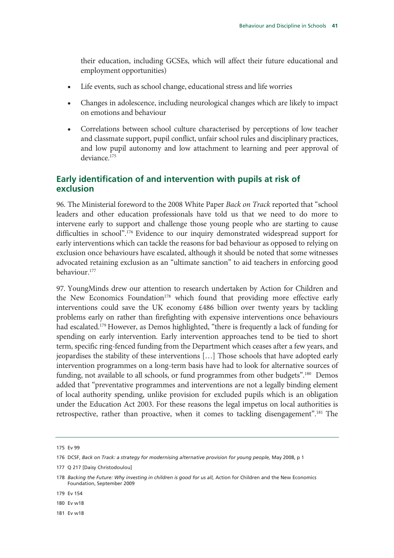their education, including GCSEs, which will affect their future educational and employment opportunities)

- Life events, such as school change, educational stress and life worries
- Changes in adolescence, including neurological changes which are likely to impact on emotions and behaviour
- Correlations between school culture characterised by perceptions of low teacher and classmate support, pupil conflict, unfair school rules and disciplinary practices, and low pupil autonomy and low attachment to learning and peer approval of deviance.175

# **Early identification of and intervention with pupils at risk of exclusion**

96. The Ministerial foreword to the 2008 White Paper *Back on Track* reported that "school leaders and other education professionals have told us that we need to do more to intervene early to support and challenge those young people who are starting to cause difficulties in school".<sup>176</sup> Evidence to our inquiry demonstrated widespread support for early interventions which can tackle the reasons for bad behaviour as opposed to relying on exclusion once behaviours have escalated, although it should be noted that some witnesses advocated retaining exclusion as an "ultimate sanction" to aid teachers in enforcing good behaviour.177

97. YoungMinds drew our attention to research undertaken by Action for Children and the New Economics Foundation<sup>178</sup> which found that providing more effective early interventions could save the UK economy £486 billion over twenty years by tackling problems early on rather than firefighting with expensive interventions once behaviours had escalated.<sup>179</sup> However, as Demos highlighted, "there is frequently a lack of funding for spending on early intervention. Early intervention approaches tend to be tied to short term, specific ring-fenced funding from the Department which ceases after a few years, and jeopardises the stability of these interventions […] Those schools that have adopted early intervention programmes on a long-term basis have had to look for alternative sources of funding, not available to all schools, or fund programmes from other budgets".<sup>180</sup> Demos added that "preventative programmes and interventions are not a legally binding element of local authority spending, unlike provision for excluded pupils which is an obligation under the Education Act 2003. For these reasons the legal impetus on local authorities is retrospective, rather than proactive, when it comes to tackling disengagement".<sup>181</sup> The

179 Ev 154

180 Ev w18

181 Ev w18

<sup>175</sup> Ev 99

<sup>176</sup> DCSF, *Back on Track: a strategy for modernising alternative provision for young people,* May 2008, p 1

<sup>177</sup> Q 217 [Daisy Christodoulou]

<sup>178</sup> Backing the Future: Why investing in children is good for us all, Action for Children and the New Economics Foundation, September 2009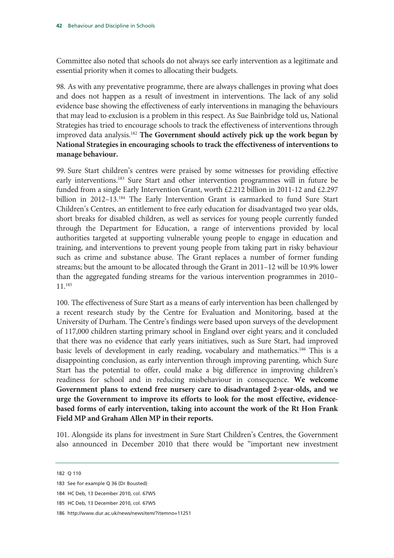Committee also noted that schools do not always see early intervention as a legitimate and essential priority when it comes to allocating their budgets.

98. As with any preventative programme, there are always challenges in proving what does and does not happen as a result of investment in interventions. The lack of any solid evidence base showing the effectiveness of early interventions in managing the behaviours that may lead to exclusion is a problem in this respect. As Sue Bainbridge told us, National Strategies has tried to encourage schools to track the effectiveness of interventions through improved data analysis.182 **The Government should actively pick up the work begun by National Strategies in encouraging schools to track the effectiveness of interventions to manage behaviour.** 

99. Sure Start children's centres were praised by some witnesses for providing effective early interventions.183 Sure Start and other intervention programmes will in future be funded from a single Early Intervention Grant, worth £2.212 billion in 2011-12 and £2.297 billion in 2012–13.<sup>184</sup> The Early Intervention Grant is earmarked to fund Sure Start Children's Centres, an entitlement to free early education for disadvantaged two year olds, short breaks for disabled children, as well as services for young people currently funded through the Department for Education, a range of interventions provided by local authorities targeted at supporting vulnerable young people to engage in education and training, and interventions to prevent young people from taking part in risky behaviour such as crime and substance abuse. The Grant replaces a number of former funding streams; but the amount to be allocated through the Grant in 2011–12 will be 10.9% lower than the aggregated funding streams for the various intervention programmes in 2010– 11.185

100. The effectiveness of Sure Start as a means of early intervention has been challenged by a recent research study by the Centre for Evaluation and Monitoring, based at the University of Durham. The Centre's findings were based upon surveys of the development of 117,000 children starting primary school in England over eight years; and it concluded that there was no evidence that early years initiatives, such as Sure Start, had improved basic levels of development in early reading, vocabulary and mathematics.<sup>186</sup> This is a disappointing conclusion, as early intervention through improving parenting, which Sure Start has the potential to offer, could make a big difference in improving children's readiness for school and in reducing misbehaviour in consequence. **We welcome Government plans to extend free nursery care to disadvantaged 2-year-olds, and we urge the Government to improve its efforts to look for the most effective, evidencebased forms of early intervention, taking into account the work of the Rt Hon Frank Field MP and Graham Allen MP in their reports.**

101. Alongside its plans for investment in Sure Start Children's Centres, the Government also announced in December 2010 that there would be "important new investment

<sup>182</sup> Q 110

<sup>183</sup> See for example Q 36 (Dr Bousted)

<sup>184</sup> HC Deb, 13 December 2010, col. 67WS

<sup>185</sup> HC Deb, 13 December 2010, col. 67WS

<sup>186</sup> http://www.dur.ac.uk/news/newsitem/?itemno=11251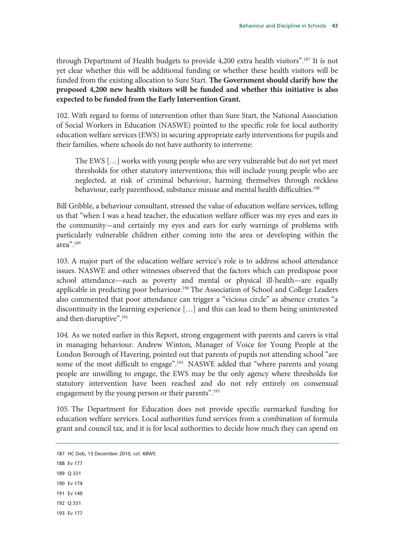through Department of Health budgets to provide 4,200 extra health visitors".187 It is not yet clear whether this will be additional funding or whether these health visitors will be funded from the existing allocation to Sure Start. **The Government should clarify how the proposed 4,200 new health visitors will be funded and whether this initiative is also expected to be funded from the Early Intervention Grant.**

102. With regard to forms of intervention other than Sure Start, the National Association of Social Workers in Education (NASWE) pointed to the specific role for local authority education welfare services (EWS) in securing appropriate early interventions for pupils and their families, where schools do not have authority to intervene:

The EWS […] works with young people who are very vulnerable but do not yet meet thresholds for other statutory interventions; this will include young people who are neglected, at risk of criminal behaviour, harming themselves through reckless behaviour, early parenthood, substance misuse and mental health difficulties.<sup>188</sup>

Bill Gribble, a behaviour consultant, stressed the value of education welfare services, telling us that "when I was a head teacher, the education welfare officer was my eyes and ears in the community—and certainly my eyes and ears for early warnings of problems with particularly vulnerable children either coming into the area or developing within the area".189

103. A major part of the education welfare service's role is to address school attendance issues. NASWE and other witnesses observed that the factors which can predispose poor school attendance—such as poverty and mental or physical ill-health—are equally applicable in predicting poor behaviour.<sup>190</sup> The Association of School and College Leaders also commented that poor attendance can trigger a "vicious circle" as absence creates "a discontinuity in the learning experience […] and this can lead to them being uninterested and then disruptive".191

104. As we noted earlier in this Report, strong engagement with parents and carers is vital in managing behaviour. Andrew Winton, Manager of Voice for Young People at the London Borough of Havering, pointed out that parents of pupils not attending school "are some of the most difficult to engage".<sup>192</sup> NASWE added that "where parents and young people are unwilling to engage, the EWS may be the only agency where thresholds for statutory intervention have been reached and do not rely entirely on consensual engagement by the young person or their parents".<sup>193</sup>

105. The Department for Education does not provide specific earmarked funding for education welfare services. Local authorities fund services from a combination of formula grant and council tax, and it is for local authorities to decide how much they can spend on

- 188 Ev 177
- 189 Q 331
- 190 Ev 174
- 191 Ev 140
- 192 Q 331
- 193 Ev 177

<sup>187</sup> HC Deb, 13 December 2010, col. 68WS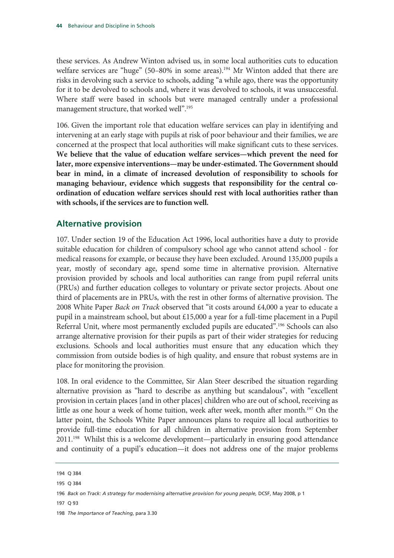these services. As Andrew Winton advised us, in some local authorities cuts to education welfare services are "huge" (50-80% in some areas).<sup>194</sup> Mr Winton added that there are risks in devolving such a service to schools, adding "a while ago, there was the opportunity for it to be devolved to schools and, where it was devolved to schools, it was unsuccessful. Where staff were based in schools but were managed centrally under a professional management structure, that worked well".<sup>195</sup>

106. Given the important role that education welfare services can play in identifying and intervening at an early stage with pupils at risk of poor behaviour and their families, we are concerned at the prospect that local authorities will make significant cuts to these services. **We believe that the value of education welfare services—which prevent the need for later, more expensive interventions—may be under-estimated. The Government should bear in mind, in a climate of increased devolution of responsibility to schools for managing behaviour, evidence which suggests that responsibility for the central coordination of education welfare services should rest with local authorities rather than with schools, if the services are to function well.** 

### **Alternative provision**

107. Under section 19 of the Education Act 1996, local authorities have a duty to provide suitable education for children of compulsory school age who cannot attend school - for medical reasons for example, or because they have been excluded. Around 135,000 pupils a year, mostly of secondary age, spend some time in alternative provision. Alternative provision provided by schools and local authorities can range from pupil referral units (PRUs) and further education colleges to voluntary or private sector projects. About one third of placements are in PRUs, with the rest in other forms of alternative provision. The 2008 White Paper *Back on Track* observed that "it costs around £4,000 a year to educate a pupil in a mainstream school, but about £15,000 a year for a full-time placement in a Pupil Referral Unit, where most permanently excluded pupils are educated".<sup>196</sup> Schools can also arrange alternative provision for their pupils as part of their wider strategies for reducing exclusions. Schools and local authorities must ensure that any education which they commission from outside bodies is of high quality, and ensure that robust systems are in place for monitoring the provision.

108. In oral evidence to the Committee, Sir Alan Steer described the situation regarding alternative provision as "hard to describe as anything but scandalous", with "excellent provision in certain places [and in other places] children who are out of school, receiving as little as one hour a week of home tuition, week after week, month after month.197 On the latter point, the Schools White Paper announces plans to require all local authorities to provide full-time education for all children in alternative provision from September 2011.198 Whilst this is a welcome development—particularly in ensuring good attendance and continuity of a pupil's education—it does not address one of the major problems

197 Q 93

<sup>194</sup> Q 384

<sup>195</sup> Q 384

<sup>196</sup> Back on Track: A strategy for modernising alternative provision for young people, DCSF, May 2008, p 1

<sup>198</sup> *The Importance of Teaching*, para 3.30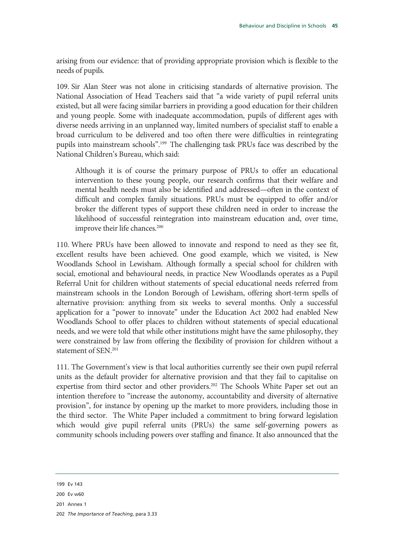arising from our evidence: that of providing appropriate provision which is flexible to the needs of pupils.

109. Sir Alan Steer was not alone in criticising standards of alternative provision. The National Association of Head Teachers said that "a wide variety of pupil referral units existed, but all were facing similar barriers in providing a good education for their children and young people. Some with inadequate accommodation, pupils of different ages with diverse needs arriving in an unplanned way, limited numbers of specialist staff to enable a broad curriculum to be delivered and too often there were difficulties in reintegrating pupils into mainstream schools".199 The challenging task PRUs face was described by the National Children's Bureau, which said:

Although it is of course the primary purpose of PRUs to offer an educational intervention to these young people, our research confirms that their welfare and mental health needs must also be identified and addressed—often in the context of difficult and complex family situations. PRUs must be equipped to offer and/or broker the different types of support these children need in order to increase the likelihood of successful reintegration into mainstream education and, over time, improve their life chances.<sup>200</sup>

110. Where PRUs have been allowed to innovate and respond to need as they see fit, excellent results have been achieved. One good example, which we visited, is New Woodlands School in Lewisham. Although formally a special school for children with social, emotional and behavioural needs, in practice New Woodlands operates as a Pupil Referral Unit for children without statements of special educational needs referred from mainstream schools in the London Borough of Lewisham, offering short-term spells of alternative provision: anything from six weeks to several months. Only a successful application for a "power to innovate" under the Education Act 2002 had enabled New Woodlands School to offer places to children without statements of special educational needs, and we were told that while other institutions might have the same philosophy, they were constrained by law from offering the flexibility of provision for children without a statement of SEN.201

111. The Government's view is that local authorities currently see their own pupil referral units as the default provider for alternative provision and that they fail to capitalise on expertise from third sector and other providers.<sup>202</sup> The Schools White Paper set out an intention therefore to "increase the autonomy, accountability and diversity of alternative provision", for instance by opening up the market to more providers, including those in the third sector. The White Paper included a commitment to bring forward legislation which would give pupil referral units (PRUs) the same self-governing powers as community schools including powers over staffing and finance. It also announced that the

201 Annex 1

<sup>199</sup> Ev 143

<sup>200</sup> Ev w60

<sup>202</sup> *The Importance of Teaching*, para 3.33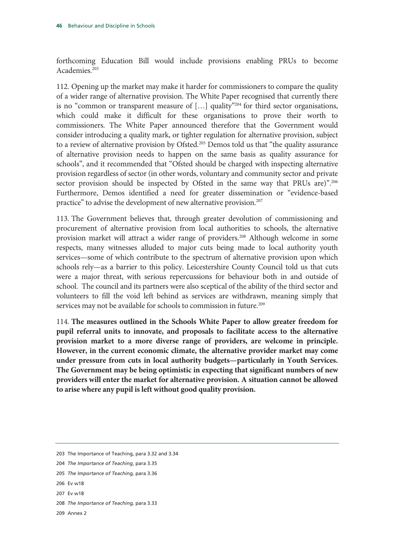forthcoming Education Bill would include provisions enabling PRUs to become Academies.203

112. Opening up the market may make it harder for commissioners to compare the quality of a wider range of alternative provision. The White Paper recognised that currently there is no "common or transparent measure of  $[\dots]$  quality"<sup>204</sup> for third sector organisations, which could make it difficult for these organisations to prove their worth to commissioners. The White Paper announced therefore that the Government would consider introducing a quality mark, or tighter regulation for alternative provision, subject to a review of alternative provision by Ofsted.<sup>205</sup> Demos told us that "the quality assurance of alternative provision needs to happen on the same basis as quality assurance for schools", and it recommended that "Ofsted should be charged with inspecting alternative provision regardless of sector (in other words, voluntary and community sector and private sector provision should be inspected by Ofsted in the same way that PRUs are)".<sup>206</sup> Furthermore, Demos identified a need for greater dissemination or "evidence-based practice" to advise the development of new alternative provision.<sup>207</sup>

113. The Government believes that, through greater devolution of commissioning and procurement of alternative provision from local authorities to schools, the alternative provision market will attract a wider range of providers.208 Although welcome in some respects, many witnesses alluded to major cuts being made to local authority youth services—some of which contribute to the spectrum of alternative provision upon which schools rely—as a barrier to this policy. Leicestershire County Council told us that cuts were a major threat, with serious repercussions for behaviour both in and outside of school. The council and its partners were also sceptical of the ability of the third sector and volunteers to fill the void left behind as services are withdrawn, meaning simply that services may not be available for schools to commission in future.<sup>209</sup>

114. **The measures outlined in the Schools White Paper to allow greater freedom for pupil referral units to innovate, and proposals to facilitate access to the alternative provision market to a more diverse range of providers, are welcome in principle. However, in the current economic climate, the alternative provider market may come under pressure from cuts in local authority budgets—particularly in Youth Services. The Government may be being optimistic in expecting that significant numbers of new providers will enter the market for alternative provision. A situation cannot be allowed to arise where any pupil is left without good quality provision.**

- 207 Ev w18
- 208 *The Importance of Teaching,* para 3.33
- 209 Annex 2

<sup>203</sup> The Importance of Teaching, para 3.32 and 3.34

<sup>204</sup> *The Importance of Teaching*, para 3.35

<sup>205</sup> *The Importance of Teaching,* para 3.36

<sup>206</sup> Ev w18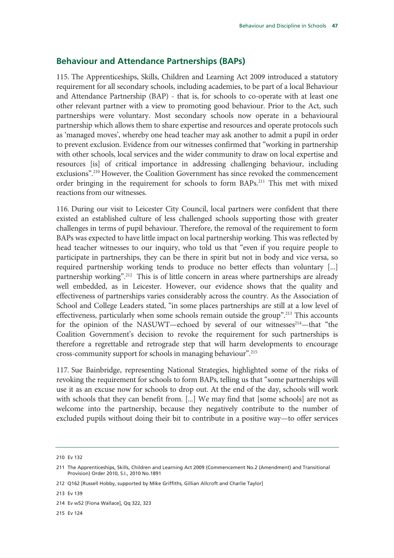#### **Behaviour and Attendance Partnerships (BAPs)**

115. The Apprenticeships, Skills, Children and Learning Act 2009 introduced a statutory requirement for all secondary schools, including academies, to be part of a local Behaviour and Attendance Partnership (BAP) - that is, for schools to co-operate with at least one other relevant partner with a view to promoting good behaviour. Prior to the Act, such partnerships were voluntary. Most secondary schools now operate in a behavioural partnership which allows them to share expertise and resources and operate protocols such as 'managed moves', whereby one head teacher may ask another to admit a pupil in order to prevent exclusion. Evidence from our witnesses confirmed that "working in partnership with other schools, local services and the wider community to draw on local expertise and resources [is] of critical importance in addressing challenging behaviour, including exclusions".210 However, the Coalition Government has since revoked the commencement order bringing in the requirement for schools to form BAPs.211 This met with mixed reactions from our witnesses.

116. During our visit to Leicester City Council, local partners were confident that there existed an established culture of less challenged schools supporting those with greater challenges in terms of pupil behaviour. Therefore, the removal of the requirement to form BAPs was expected to have little impact on local partnership working. This was reflected by head teacher witnesses to our inquiry, who told us that "even if you require people to participate in partnerships, they can be there in spirit but not in body and vice versa, so required partnership working tends to produce no better effects than voluntary [...] partnership working".<sup>212</sup> This is of little concern in areas where partnerships are already well embedded, as in Leicester. However, our evidence shows that the quality and effectiveness of partnerships varies considerably across the country. As the Association of School and College Leaders stated, "in some places partnerships are still at a low level of effectiveness, particularly when some schools remain outside the group".<sup>213</sup> This accounts for the opinion of the NASUWT—echoed by several of our witnesses $214$ —that "the Coalition Government's decision to revoke the requirement for such partnerships is therefore a regrettable and retrograde step that will harm developments to encourage cross-community support for schools in managing behaviour".215

117. Sue Bainbridge, representing National Strategies, highlighted some of the risks of revoking the requirement for schools to form BAPs, telling us that "some partnerships will use it as an excuse now for schools to drop out. At the end of the day, schools will work with schools that they can benefit from. [...] We may find that [some schools] are not as welcome into the partnership, because they negatively contribute to the number of excluded pupils without doing their bit to contribute in a positive way—to offer services

215 Ev 124

<sup>210</sup> Ev 132

<sup>211</sup> The Apprenticeships, Skills, Children and Learning Act 2009 (Commencement No.2 (Amendment) and Transitional Provision) Order 2010, S.I., 2010 No.1891

<sup>212</sup> Q162 [Russell Hobby, supported by Mike Griffiths, Gillian Allcroft and Charlie Taylor]

<sup>213</sup> Ev 139

<sup>214</sup> Ev w52 [Fiona Wallace], Qq 322, 323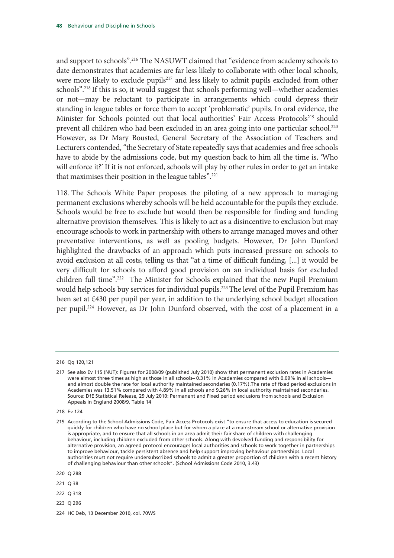and support to schools".216 The NASUWT claimed that "evidence from academy schools to date demonstrates that academies are far less likely to collaborate with other local schools, were more likely to exclude pupils<sup>217</sup> and less likely to admit pupils excluded from other schools".218 If this is so, it would suggest that schools performing well—whether academies or not—may be reluctant to participate in arrangements which could depress their standing in league tables or force them to accept 'problematic' pupils. In oral evidence, the Minister for Schools pointed out that local authorities' Fair Access Protocols<sup>219</sup> should prevent all children who had been excluded in an area going into one particular school.<sup>220</sup> However, as Dr Mary Bousted, General Secretary of the Association of Teachers and Lecturers contended, "the Secretary of State repeatedly says that academies and free schools have to abide by the admissions code, but my question back to him all the time is, 'Who will enforce it?' If it is not enforced, schools will play by other rules in order to get an intake that maximises their position in the league tables".221

118. The Schools White Paper proposes the piloting of a new approach to managing permanent exclusions whereby schools will be held accountable for the pupils they exclude. Schools would be free to exclude but would then be responsible for finding and funding alternative provision themselves. This is likely to act as a disincentive to exclusion but may encourage schools to work in partnership with others to arrange managed moves and other preventative interventions, as well as pooling budgets. However, Dr John Dunford highlighted the drawbacks of an approach which puts increased pressure on schools to avoid exclusion at all costs, telling us that "at a time of difficult funding, [...] it would be very difficult for schools to afford good provision on an individual basis for excluded children full time".222 The Minister for Schools explained that the new Pupil Premium would help schools buy services for individual pupils.<sup>223</sup> The level of the Pupil Premium has been set at £430 per pupil per year, in addition to the underlying school budget allocation per pupil.224 However, as Dr John Dunford observed, with the cost of a placement in a

- 222 Q 318
- 223 Q 296

<sup>216</sup> Qq 120,121

<sup>217</sup> See also Ev 115 (NUT): Figures for 2008/09 (published July 2010) show that permanent exclusion rates in Academies were almost three times as high as those in all schools– 0.31% in Academies compared with 0.09% in all schools and almost double the rate for local authority maintained secondaries (0.17%).The rate of fixed period exclusions in Academies was 13.51% compared with 4.89% in all schools and 9.26% in local authority maintained secondaries. Source: DfE Statistical Release, 29 July 2010: Permanent and Fixed period exclusions from schools and Exclusion Appeals in England 2008/9, Table 14

<sup>218</sup> Ev 124

<sup>219</sup> According to the School Admissions Code, Fair Access Protocols exist "to ensure that access to education is secured quickly for children who have no school place but for whom a place at a mainstream school or alternative provision is appropriate, and to ensure that all schools in an area admit their fair share of children with challenging behaviour, including children excluded from other schools. Along with devolved funding and responsibility for alternative provision, an agreed protocol encourages local authorities and schools to work together in partnerships to improve behaviour, tackle persistent absence and help support improving behaviour partnerships. Local authorities must not require undersubscribed schools to admit a greater proportion of children with a recent history of challenging behaviour than other schools". (School Admissions Code 2010, 3.43)

<sup>220</sup> Q 288

<sup>221</sup> Q 38

<sup>224</sup> HC Deb, 13 December 2010, col. 70WS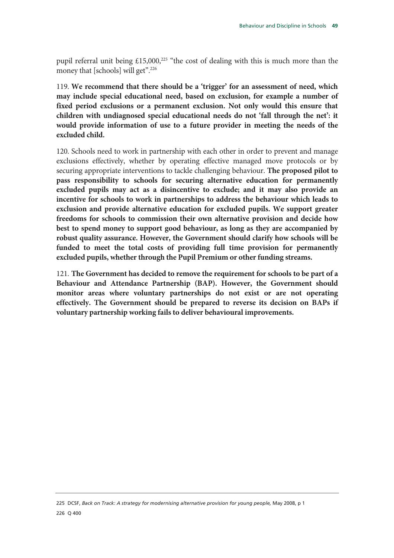pupil referral unit being  $£15,000,225$  "the cost of dealing with this is much more than the money that [schools] will get".<sup>226</sup>

119. **We recommend that there should be a 'trigger' for an assessment of need, which may include special educational need, based on exclusion, for example a number of fixed period exclusions or a permanent exclusion. Not only would this ensure that children with undiagnosed special educational needs do not 'fall through the net': it would provide information of use to a future provider in meeting the needs of the excluded child.** 

120. Schools need to work in partnership with each other in order to prevent and manage exclusions effectively, whether by operating effective managed move protocols or by securing appropriate interventions to tackle challenging behaviour. **The proposed pilot to pass responsibility to schools for securing alternative education for permanently excluded pupils may act as a disincentive to exclude; and it may also provide an incentive for schools to work in partnerships to address the behaviour which leads to exclusion and provide alternative education for excluded pupils. We support greater freedoms for schools to commission their own alternative provision and decide how best to spend money to support good behaviour, as long as they are accompanied by robust quality assurance. However, the Government should clarify how schools will be funded to meet the total costs of providing full time provision for permanently excluded pupils, whether through the Pupil Premium or other funding streams.**

121. **The Government has decided to remove the requirement for schools to be part of a Behaviour and Attendance Partnership (BAP). However, the Government should monitor areas where voluntary partnerships do not exist or are not operating effectively. The Government should be prepared to reverse its decision on BAPs if voluntary partnership working fails to deliver behavioural improvements.**

225 DCSF, *Back on Track: A strategy for modernising alternative provision for young people,* May 2008, p 1 226 Q 400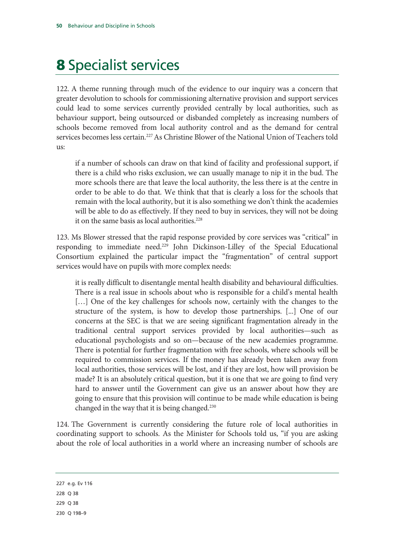# 8 Specialist services

122. A theme running through much of the evidence to our inquiry was a concern that greater devolution to schools for commissioning alternative provision and support services could lead to some services currently provided centrally by local authorities, such as behaviour support, being outsourced or disbanded completely as increasing numbers of schools become removed from local authority control and as the demand for central services becomes less certain.<sup>227</sup> As Christine Blower of the National Union of Teachers told us:

if a number of schools can draw on that kind of facility and professional support, if there is a child who risks exclusion, we can usually manage to nip it in the bud. The more schools there are that leave the local authority, the less there is at the centre in order to be able to do that. We think that that is clearly a loss for the schools that remain with the local authority, but it is also something we don't think the academies will be able to do as effectively. If they need to buy in services, they will not be doing it on the same basis as local authorities.<sup>228</sup>

123. Ms Blower stressed that the rapid response provided by core services was "critical" in responding to immediate need.<sup>229</sup> John Dickinson-Lilley of the Special Educational Consortium explained the particular impact the "fragmentation" of central support services would have on pupils with more complex needs:

it is really difficult to disentangle mental health disability and behavioural difficulties. There is a real issue in schools about who is responsible for a child's mental health [...] One of the key challenges for schools now, certainly with the changes to the structure of the system, is how to develop those partnerships. [...] One of our concerns at the SEC is that we are seeing significant fragmentation already in the traditional central support services provided by local authorities—such as educational psychologists and so on—because of the new academies programme. There is potential for further fragmentation with free schools, where schools will be required to commission services. If the money has already been taken away from local authorities, those services will be lost, and if they are lost, how will provision be made? It is an absolutely critical question, but it is one that we are going to find very hard to answer until the Government can give us an answer about how they are going to ensure that this provision will continue to be made while education is being changed in the way that it is being changed.230

124. The Government is currently considering the future role of local authorities in coordinating support to schools. As the Minister for Schools told us, "if you are asking about the role of local authorities in a world where an increasing number of schools are

227 e.g. Ev 116 228 Q 38 229 Q 38 230 Q 198–9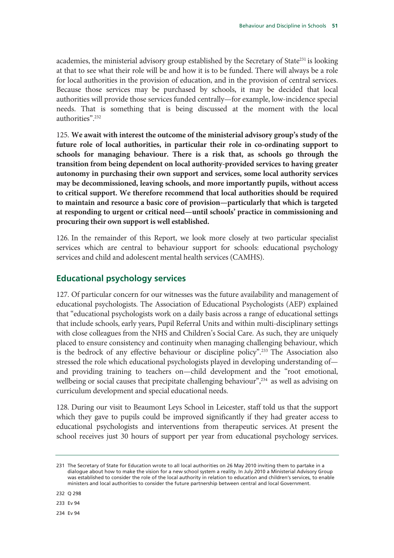academies, the ministerial advisory group established by the Secretary of State<sup>231</sup> is looking at that to see what their role will be and how it is to be funded. There will always be a role for local authorities in the provision of education, and in the provision of central services. Because those services may be purchased by schools, it may be decided that local authorities will provide those services funded centrally—for example, low-incidence special needs. That is something that is being discussed at the moment with the local authorities".232

125. **We await with interest the outcome of the ministerial advisory group's study of the future role of local authorities, in particular their role in co-ordinating support to schools for managing behaviour. There is a risk that, as schools go through the transition from being dependent on local authority-provided services to having greater autonomy in purchasing their own support and services, some local authority services may be decommissioned, leaving schools, and more importantly pupils, without access to critical support. We therefore recommend that local authorities should be required to maintain and resource a basic core of provision—particularly that which is targeted at responding to urgent or critical need—until schools' practice in commissioning and procuring their own support is well established.** 

126. In the remainder of this Report, we look more closely at two particular specialist services which are central to behaviour support for schools: educational psychology services and child and adolescent mental health services (CAMHS).

## **Educational psychology services**

127. Of particular concern for our witnesses was the future availability and management of educational psychologists. The Association of Educational Psychologists (AEP) explained that "educational psychologists work on a daily basis across a range of educational settings that include schools, early years, Pupil Referral Units and within multi-disciplinary settings with close colleagues from the NHS and Children's Social Care. As such, they are uniquely placed to ensure consistency and continuity when managing challenging behaviour, which is the bedrock of any effective behaviour or discipline policy".233 The Association also stressed the role which educational psychologists played in developing understanding of and providing training to teachers on—child development and the "root emotional, wellbeing or social causes that precipitate challenging behaviour",<sup>234</sup> as well as advising on curriculum development and special educational needs.

128. During our visit to Beaumont Leys School in Leicester, staff told us that the support which they gave to pupils could be improved significantly if they had greater access to educational psychologists and interventions from therapeutic services. At present the school receives just 30 hours of support per year from educational psychology services.

232 Q 298

233 Ev 94

234 Ev 94

<sup>231</sup> The Secretary of State for Education wrote to all local authorities on 26 May 2010 inviting them to partake in a dialogue about how to make the vision for a new school system a reality. In July 2010 a Ministerial Advisory Group was established to consider the role of the local authority in relation to education and children's services, to enable ministers and local authorities to consider the future partnership between central and local Government.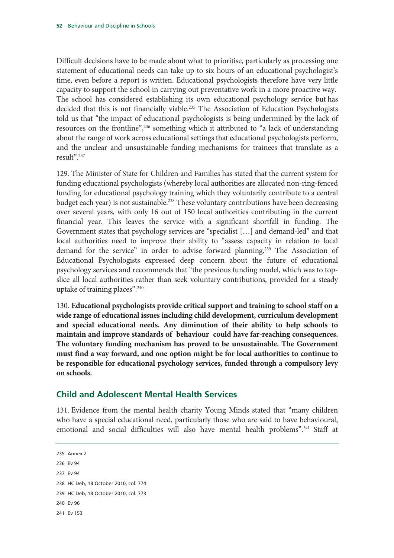Difficult decisions have to be made about what to prioritise, particularly as processing one statement of educational needs can take up to six hours of an educational psychologist's time, even before a report is written. Educational psychologists therefore have very little capacity to support the school in carrying out preventative work in a more proactive way. The school has considered establishing its own educational psychology service but has decided that this is not financially viable.<sup>235</sup> The Association of Education Psychologists told us that "the impact of educational psychologists is being undermined by the lack of resources on the frontline",<sup>236</sup> something which it attributed to "a lack of understanding about the range of work across educational settings that educational psychologists perform, and the unclear and unsustainable funding mechanisms for trainees that translate as a result".237

129. The Minister of State for Children and Families has stated that the current system for funding educational psychologists (whereby local authorities are allocated non-ring-fenced funding for educational psychology training which they voluntarily contribute to a central budget each year) is not sustainable.<sup>238</sup> These voluntary contributions have been decreasing over several years, with only 16 out of 150 local authorities contributing in the current financial year. This leaves the service with a significant shortfall in funding. The Government states that psychology services are "specialist […] and demand-led" and that local authorities need to improve their ability to "assess capacity in relation to local demand for the service" in order to advise forward planning.<sup>239</sup> The Association of Educational Psychologists expressed deep concern about the future of educational psychology services and recommends that "the previous funding model, which was to topslice all local authorities rather than seek voluntary contributions, provided for a steady uptake of training places".240

130. **Educational psychologists provide critical support and training to school staff on a wide range of educational issues including child development, curriculum development and special educational needs. Any diminution of their ability to help schools to maintain and improve standards of behaviour could have far-reaching consequences. The voluntary funding mechanism has proved to be unsustainable. The Government must find a way forward, and one option might be for local authorities to continue to be responsible for educational psychology services, funded through a compulsory levy on schools.** 

# **Child and Adolescent Mental Health Services**

131. Evidence from the mental health charity Young Minds stated that "many children who have a special educational need, particularly those who are said to have behavioural, emotional and social difficulties will also have mental health problems".<sup>241</sup> Staff at

235 Annex 2 236 Ev 94 237 Ev 94 238 HC Deb, 18 October 2010, col. 774 239 HC Deb, 18 October 2010, col. 773 240 Ev 96

241 Ev 153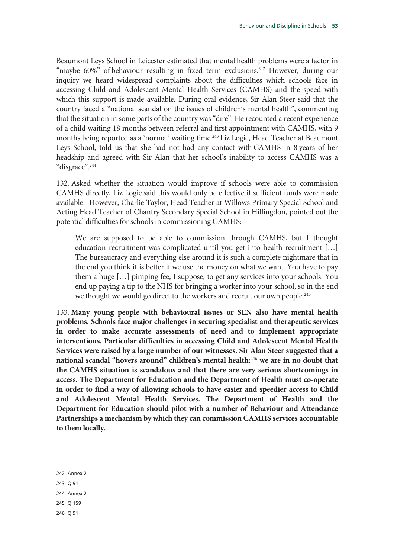Beaumont Leys School in Leicester estimated that mental health problems were a factor in "maybe 60%" of behaviour resulting in fixed term exclusions.<sup>242</sup> However, during our inquiry we heard widespread complaints about the difficulties which schools face in accessing Child and Adolescent Mental Health Services (CAMHS) and the speed with which this support is made available. During oral evidence, Sir Alan Steer said that the country faced a "national scandal on the issues of children's mental health", commenting that the situation in some parts of the country was "dire". He recounted a recent experience of a child waiting 18 months between referral and first appointment with CAMHS, with 9 months being reported as a 'normal' waiting time.<sup>243</sup> Liz Logie, Head Teacher at Beaumont Leys School, told us that she had not had any contact with CAMHS in 8 years of her headship and agreed with Sir Alan that her school's inability to access CAMHS was a "disgrace".244

132. Asked whether the situation would improve if schools were able to commission CAMHS directly, Liz Logie said this would only be effective if sufficient funds were made available. However, Charlie Taylor, Head Teacher at Willows Primary Special School and Acting Head Teacher of Chantry Secondary Special School in Hillingdon, pointed out the potential difficulties for schools in commissioning CAMHS:

We are supposed to be able to commission through CAMHS, but I thought education recruitment was complicated until you get into health recruitment […] The bureaucracy and everything else around it is such a complete nightmare that in the end you think it is better if we use the money on what we want. You have to pay them a huge […] pimping fee, I suppose, to get any services into your schools. You end up paying a tip to the NHS for bringing a worker into your school, so in the end we thought we would go direct to the workers and recruit our own people.<sup>245</sup>

133. **Many young people with behavioural issues or SEN also have mental health problems. Schools face major challenges in securing specialist and therapeutic services in order to make accurate assessments of need and to implement appropriate interventions. Particular difficulties in accessing Child and Adolescent Mental Health Services were raised by a large number of our witnesses. Sir Alan Steer suggested that a national scandal "hovers around" children's mental health:**<sup>246</sup> **we are in no doubt that the CAMHS situation is scandalous and that there are very serious shortcomings in access. The Department for Education and the Department of Health must co-operate in order to find a way of allowing schools to have easier and speedier access to Child and Adolescent Mental Health Services. The Department of Health and the Department for Education should pilot with a number of Behaviour and Attendance Partnerships a mechanism by which they can commission CAMHS services accountable to them locally.**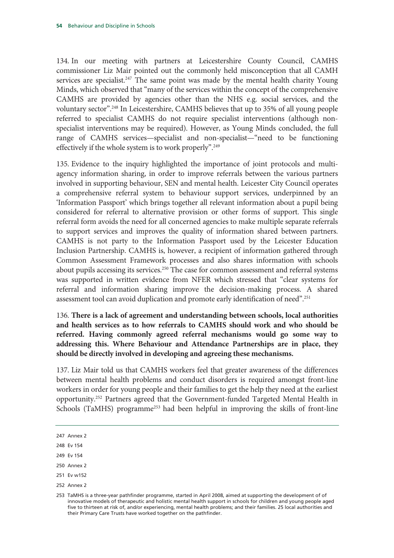134. In our meeting with partners at Leicestershire County Council, CAMHS commissioner Liz Mair pointed out the commonly held misconception that all CAMH services are specialist.<sup>247</sup> The same point was made by the mental health charity Young Minds, which observed that "many of the services within the concept of the comprehensive CAMHS are provided by agencies other than the NHS e.g. social services, and the voluntary sector".248 In Leicestershire, CAMHS believes that up to 35% of all young people referred to specialist CAMHS do not require specialist interventions (although nonspecialist interventions may be required). However, as Young Minds concluded, the full range of CAMHS services—specialist and non-specialist—"need to be functioning effectively if the whole system is to work properly".<sup>249</sup>

135. Evidence to the inquiry highlighted the importance of joint protocols and multiagency information sharing, in order to improve referrals between the various partners involved in supporting behaviour, SEN and mental health. Leicester City Council operates a comprehensive referral system to behaviour support services, underpinned by an 'Information Passport' which brings together all relevant information about a pupil being considered for referral to alternative provision or other forms of support. This single referral form avoids the need for all concerned agencies to make multiple separate referrals to support services and improves the quality of information shared between partners. CAMHS is not party to the Information Passport used by the Leicester Education Inclusion Partnership. CAMHS is, however, a recipient of information gathered through Common Assessment Framework processes and also shares information with schools about pupils accessing its services.<sup>250</sup> The case for common assessment and referral systems was supported in written evidence from NFER which stressed that "clear systems for referral and information sharing improve the decision-making process. A shared assessment tool can avoid duplication and promote early identification of need".251

136. **There is a lack of agreement and understanding between schools, local authorities and health services as to how referrals to CAMHS should work and who should be referred. Having commonly agreed referral mechanisms would go some way to addressing this. Where Behaviour and Attendance Partnerships are in place, they should be directly involved in developing and agreeing these mechanisms.**

137. Liz Mair told us that CAMHS workers feel that greater awareness of the differences between mental health problems and conduct disorders is required amongst front-line workers in order for young people and their families to get the help they need at the earliest opportunity.252 Partners agreed that the Government-funded Targeted Mental Health in Schools (TaMHS) programme<sup>253</sup> had been helpful in improving the skills of front-line

250 Annex 2

252 Annex 2

<sup>247</sup> Annex 2

<sup>248</sup> Ev 154

<sup>249</sup> Ev 154

<sup>251</sup> Ev w152

<sup>253</sup> TaMHS is a three-year pathfinder programme, started in April 2008, aimed at supporting the development of of innovative models of therapeutic and holistic mental health support in schools for children and young people aged five to thirteen at risk of, and/or experiencing, mental health problems; and their families. 25 local authorities and their Primary Care Trusts have worked together on the pathfinder.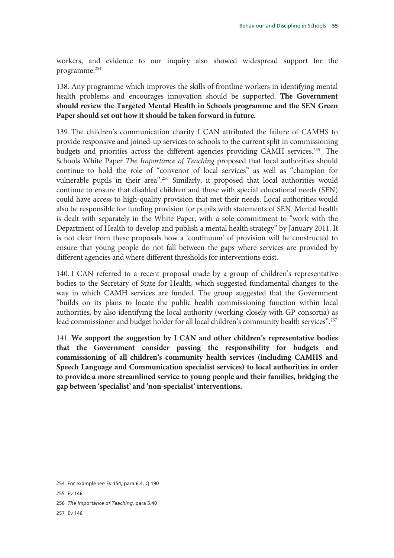workers, and evidence to our inquiry also showed widespread support for the programme.254

138. Any programme which improves the skills of frontline workers in identifying mental health problems and encourages innovation should be supported. **The Government should review the Targeted Mental Health in Schools programme and the SEN Green Paper should set out how it should be taken forward in future.** 

139. The children's communication charity I CAN attributed the failure of CAMHS to provide responsive and joined-up services to schools to the current split in commissioning budgets and priorities across the different agencies providing CAMH services.<sup>255</sup> The Schools White Paper *The Importance of Teaching* proposed that local authorities should continue to hold the role of "convenor of local services" as well as "champion for vulnerable pupils in their area".256 Similarly, it proposed that local authorities would continue to ensure that disabled children and those with special educational needs (SEN) could have access to high-quality provision that met their needs. Local authorities would also be responsible for funding provision for pupils with statements of SEN. Mental health is dealt with separately in the White Paper, with a sole commitment to "work with the Department of Health to develop and publish a mental health strategy" by January 2011. It is not clear from these proposals how a 'continuum' of provision will be constructed to ensure that young people do not fall between the gaps where services are provided by different agencies and where different thresholds for interventions exist.

140. I CAN referred to a recent proposal made by a group of children's representative bodies to the Secretary of State for Health, which suggested fundamental changes to the way in which CAMH services are funded. The group suggested that the Government "builds on its plans to locate the public health commissioning function within local authorities, by also identifying the local authority (working closely with GP consortia) as lead commissioner and budget holder for all local children's community health services".257

141. **We support the suggestion by I CAN and other children's representative bodies that the Government consider passing the responsibility for budgets and commissioning of all children's community health services (including CAMHS and Speech Language and Communication specialist services) to local authorities in order to provide a more streamlined service to young people and their families, bridging the gap between 'specialist' and 'non-specialist' interventions.** 

- 255 Ev 146
- 256 *The Importance of Teaching*, para 5.40
- 257 Ev 146

<sup>254</sup> For example see Ev 154, para 6.4, Q 190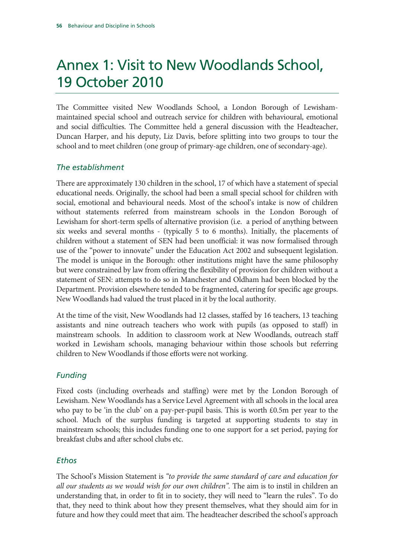# Annex 1: Visit to New Woodlands School, 19 October 2010

The Committee visited New Woodlands School, a London Borough of Lewishammaintained special school and outreach service for children with behavioural, emotional and social difficulties. The Committee held a general discussion with the Headteacher, Duncan Harper, and his deputy, Liz Davis, before splitting into two groups to tour the school and to meet children (one group of primary-age children, one of secondary-age).

### *The establishment*

There are approximately 130 children in the school, 17 of which have a statement of special educational needs. Originally, the school had been a small special school for children with social, emotional and behavioural needs. Most of the school's intake is now of children without statements referred from mainstream schools in the London Borough of Lewisham for short-term spells of alternative provision (i.e. a period of anything between six weeks and several months - (typically 5 to 6 months). Initially, the placements of children without a statement of SEN had been unofficial: it was now formalised through use of the "power to innovate" under the Education Act 2002 and subsequent legislation. The model is unique in the Borough: other institutions might have the same philosophy but were constrained by law from offering the flexibility of provision for children without a statement of SEN: attempts to do so in Manchester and Oldham had been blocked by the Department. Provision elsewhere tended to be fragmented, catering for specific age groups. New Woodlands had valued the trust placed in it by the local authority.

At the time of the visit, New Woodlands had 12 classes, staffed by 16 teachers, 13 teaching assistants and nine outreach teachers who work with pupils (as opposed to staff) in mainstream schools. In addition to classroom work at New Woodlands, outreach staff worked in Lewisham schools, managing behaviour within those schools but referring children to New Woodlands if those efforts were not working.

# *Funding*

Fixed costs (including overheads and staffing) were met by the London Borough of Lewisham. New Woodlands has a Service Level Agreement with all schools in the local area who pay to be 'in the club' on a pay-per-pupil basis. This is worth £0.5m per year to the school. Much of the surplus funding is targeted at supporting students to stay in mainstream schools; this includes funding one to one support for a set period, paying for breakfast clubs and after school clubs etc.

#### *Ethos*

The School's Mission Statement is *"to provide the same standard of care and education for all our students as we would wish for our own children".* The aim is to instil in children an understanding that, in order to fit in to society, they will need to "learn the rules". To do that, they need to think about how they present themselves, what they should aim for in future and how they could meet that aim. The headteacher described the school's approach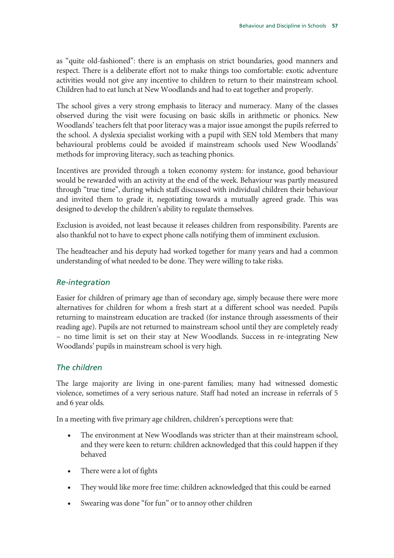as "quite old-fashioned": there is an emphasis on strict boundaries, good manners and respect. There is a deliberate effort not to make things too comfortable: exotic adventure activities would not give any incentive to children to return to their mainstream school. Children had to eat lunch at New Woodlands and had to eat together and properly.

The school gives a very strong emphasis to literacy and numeracy. Many of the classes observed during the visit were focusing on basic skills in arithmetic or phonics. New Woodlands' teachers felt that poor literacy was a major issue amongst the pupils referred to the school. A dyslexia specialist working with a pupil with SEN told Members that many behavioural problems could be avoided if mainstream schools used New Woodlands' methods for improving literacy, such as teaching phonics.

Incentives are provided through a token economy system: for instance, good behaviour would be rewarded with an activity at the end of the week. Behaviour was partly measured through "true time", during which staff discussed with individual children their behaviour and invited them to grade it, negotiating towards a mutually agreed grade. This was designed to develop the children's ability to regulate themselves.

Exclusion is avoided, not least because it releases children from responsibility. Parents are also thankful not to have to expect phone calls notifying them of imminent exclusion.

The headteacher and his deputy had worked together for many years and had a common understanding of what needed to be done. They were willing to take risks.

#### *Re-integration*

Easier for children of primary age than of secondary age, simply because there were more alternatives for children for whom a fresh start at a different school was needed. Pupils returning to mainstream education are tracked (for instance through assessments of their reading age). Pupils are not returned to mainstream school until they are completely ready – no time limit is set on their stay at New Woodlands. Success in re-integrating New Woodlands' pupils in mainstream school is very high.

#### *The children*

The large majority are living in one-parent families; many had witnessed domestic violence, sometimes of a very serious nature. Staff had noted an increase in referrals of 5 and 6 year olds.

In a meeting with five primary age children, children's perceptions were that:

- The environment at New Woodlands was stricter than at their mainstream school, and they were keen to return: children acknowledged that this could happen if they behaved
- There were a lot of fights
- They would like more free time: children acknowledged that this could be earned
- Swearing was done "for fun" or to annoy other children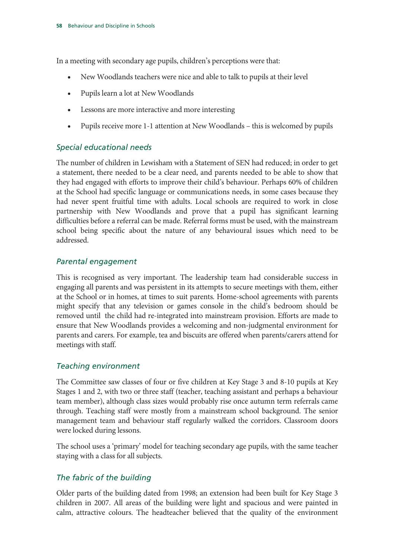In a meeting with secondary age pupils, children's perceptions were that:

- New Woodlands teachers were nice and able to talk to pupils at their level
- Pupils learn a lot at New Woodlands
- Lessons are more interactive and more interesting
- Pupils receive more 1-1 attention at New Woodlands this is welcomed by pupils

# *Special educational needs*

The number of children in Lewisham with a Statement of SEN had reduced; in order to get a statement, there needed to be a clear need, and parents needed to be able to show that they had engaged with efforts to improve their child's behaviour. Perhaps 60% of children at the School had specific language or communications needs, in some cases because they had never spent fruitful time with adults. Local schools are required to work in close partnership with New Woodlands and prove that a pupil has significant learning difficulties before a referral can be made. Referral forms must be used, with the mainstream school being specific about the nature of any behavioural issues which need to be addressed.

# *Parental engagement*

This is recognised as very important. The leadership team had considerable success in engaging all parents and was persistent in its attempts to secure meetings with them, either at the School or in homes, at times to suit parents. Home-school agreements with parents might specify that any television or games console in the child's bedroom should be removed until the child had re-integrated into mainstream provision. Efforts are made to ensure that New Woodlands provides a welcoming and non-judgmental environment for parents and carers. For example, tea and biscuits are offered when parents/carers attend for meetings with staff.

# *Teaching environment*

The Committee saw classes of four or five children at Key Stage 3 and 8-10 pupils at Key Stages 1 and 2, with two or three staff (teacher, teaching assistant and perhaps a behaviour team member), although class sizes would probably rise once autumn term referrals came through. Teaching staff were mostly from a mainstream school background. The senior management team and behaviour staff regularly walked the corridors. Classroom doors were locked during lessons.

The school uses a 'primary' model for teaching secondary age pupils, with the same teacher staying with a class for all subjects.

# *The fabric of the building*

Older parts of the building dated from 1998; an extension had been built for Key Stage 3 children in 2007. All areas of the building were light and spacious and were painted in calm, attractive colours. The headteacher believed that the quality of the environment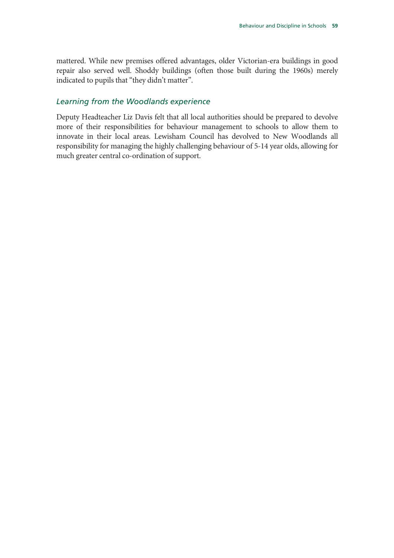mattered. While new premises offered advantages, older Victorian-era buildings in good repair also served well. Shoddy buildings (often those built during the 1960s) merely indicated to pupils that "they didn't matter".

#### *Learning from the Woodlands experience*

Deputy Headteacher Liz Davis felt that all local authorities should be prepared to devolve more of their responsibilities for behaviour management to schools to allow them to innovate in their local areas. Lewisham Council has devolved to New Woodlands all responsibility for managing the highly challenging behaviour of 5-14 year olds, allowing for much greater central co-ordination of support.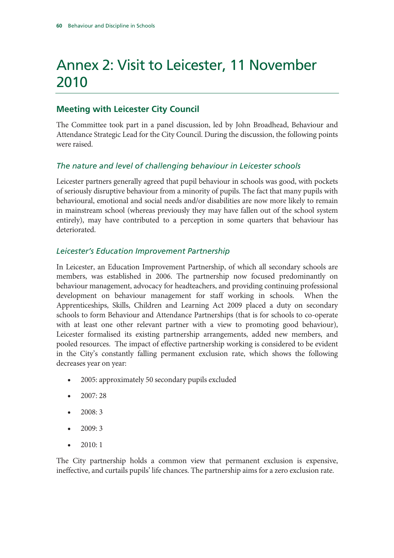# Annex 2: Visit to Leicester, 11 November 2010

# **Meeting with Leicester City Council**

The Committee took part in a panel discussion, led by John Broadhead, Behaviour and Attendance Strategic Lead for the City Council. During the discussion, the following points were raised.

### *The nature and level of challenging behaviour in Leicester schools*

Leicester partners generally agreed that pupil behaviour in schools was good, with pockets of seriously disruptive behaviour from a minority of pupils. The fact that many pupils with behavioural, emotional and social needs and/or disabilities are now more likely to remain in mainstream school (whereas previously they may have fallen out of the school system entirely), may have contributed to a perception in some quarters that behaviour has deteriorated.

### *Leicester's Education Improvement Partnership*

In Leicester, an Education Improvement Partnership, of which all secondary schools are members, was established in 2006. The partnership now focused predominantly on behaviour management, advocacy for headteachers, and providing continuing professional development on behaviour management for staff working in schools. When the Apprenticeships, Skills, Children and Learning Act 2009 placed a duty on secondary schools to form Behaviour and Attendance Partnerships (that is for schools to co-operate with at least one other relevant partner with a view to promoting good behaviour), Leicester formalised its existing partnership arrangements, added new members, and pooled resources. The impact of effective partnership working is considered to be evident in the City's constantly falling permanent exclusion rate, which shows the following decreases year on year:

- 2005: approximately 50 secondary pupils excluded
- 2007: 28
- 2008: 3
- 2009: 3
- $2010:1$

The City partnership holds a common view that permanent exclusion is expensive, ineffective, and curtails pupils' life chances. The partnership aims for a zero exclusion rate.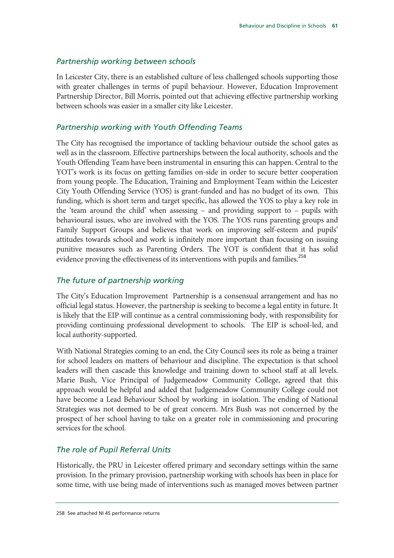#### *Partnership working between schools*

In Leicester City, there is an established culture of less challenged schools supporting those with greater challenges in terms of pupil behaviour. However, Education Improvement Partnership Director, Bill Morris, pointed out that achieving effective partnership working between schools was easier in a smaller city like Leicester.

#### *Partnership working with Youth Offending Teams*

The City has recognised the importance of tackling behaviour outside the school gates as well as in the classroom. Effective partnerships between the local authority, schools and the Youth Offending Team have been instrumental in ensuring this can happen. Central to the YOT's work is its focus on getting families on-side in order to secure better cooperation from young people. The Education, Training and Employment Team within the Leicester City Youth Offending Service (YOS) is grant-funded and has no budget of its own. This funding, which is short term and target specific, has allowed the YOS to play a key role in the 'team around the child' when assessing – and providing support to – pupils with behavioural issues, who are involved with the YOS. The YOS runs parenting groups and Family Support Groups and believes that work on improving self-esteem and pupils' attitudes towards school and work is infinitely more important than focusing on issuing punitive measures such as Parenting Orders. The YOT is confident that it has solid evidence proving the effectiveness of its interventions with pupils and families.<sup>258</sup>

### *The future of partnership working*

The City's Education Improvement Partnership is a consensual arrangement and has no official legal status. However, the partnership is seeking to become a legal entity in future. It is likely that the EIP will continue as a central commissioning body, with responsibility for providing continuing professional development to schools. The EIP is school-led, and local authority-supported.

With National Strategies coming to an end, the City Council sees its role as being a trainer for school leaders on matters of behaviour and discipline. The expectation is that school leaders will then cascade this knowledge and training down to school staff at all levels. Marie Bush, Vice Principal of Judgemeadow Community College, agreed that this approach would be helpful and added that Judgemeadow Community College could not have become a Lead Behaviour School by working in isolation. The ending of National Strategies was not deemed to be of great concern. Mrs Bush was not concerned by the prospect of her school having to take on a greater role in commissioning and procuring services for the school.

#### *The role of Pupil Referral Units*

Historically, the PRU in Leicester offered primary and secondary settings within the same provision. In the primary provision, partnership working with schools has been in place for some time, with use being made of interventions such as managed moves between partner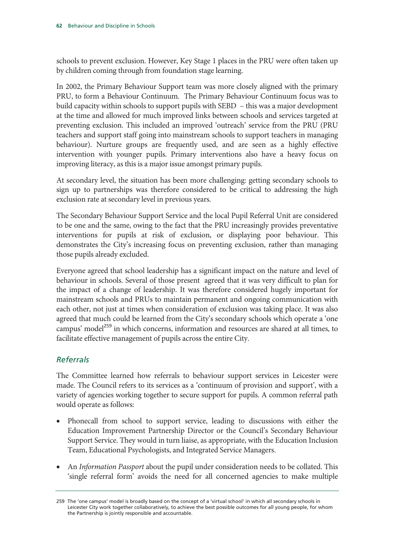schools to prevent exclusion. However, Key Stage 1 places in the PRU were often taken up by children coming through from foundation stage learning.

In 2002, the Primary Behaviour Support team was more closely aligned with the primary PRU, to form a Behaviour Continuum. The Primary Behaviour Continuum focus was to build capacity within schools to support pupils with SEBD – this was a major development at the time and allowed for much improved links between schools and services targeted at preventing exclusion. This included an improved 'outreach' service from the PRU (PRU teachers and support staff going into mainstream schools to support teachers in managing behaviour). Nurture groups are frequently used, and are seen as a highly effective intervention with younger pupils. Primary interventions also have a heavy focus on improving literacy, as this is a major issue amongst primary pupils.

At secondary level, the situation has been more challenging: getting secondary schools to sign up to partnerships was therefore considered to be critical to addressing the high exclusion rate at secondary level in previous years.

The Secondary Behaviour Support Service and the local Pupil Referral Unit are considered to be one and the same, owing to the fact that the PRU increasingly provides preventative interventions for pupils at risk of exclusion, or displaying poor behaviour. This demonstrates the City's increasing focus on preventing exclusion, rather than managing those pupils already excluded.

Everyone agreed that school leadership has a significant impact on the nature and level of behaviour in schools. Several of those present agreed that it was very difficult to plan for the impact of a change of leadership. It was therefore considered hugely important for mainstream schools and PRUs to maintain permanent and ongoing communication with each other, not just at times when consideration of exclusion was taking place. It was also agreed that much could be learned from the City's secondary schools which operate a 'one campus' model<sup>259</sup> in which concerns, information and resources are shared at all times, to facilitate effective management of pupils across the entire City.

# *Referrals*

The Committee learned how referrals to behaviour support services in Leicester were made. The Council refers to its services as a 'continuum of provision and support', with a variety of agencies working together to secure support for pupils. A common referral path would operate as follows:

- Phonecall from school to support service, leading to discussions with either the Education Improvement Partnership Director or the Council's Secondary Behaviour Support Service. They would in turn liaise, as appropriate, with the Education Inclusion Team, Educational Psychologists, and Integrated Service Managers.
- An *Information Passport* about the pupil under consideration needs to be collated. This 'single referral form' avoids the need for all concerned agencies to make multiple

<sup>259</sup> The 'one campus' model is broadly based on the concept of a 'virtual school' in which all secondary schools in Leicester City work together collaboratively, to achieve the best possible outcomes for all young people, for whom the Partnership is jointly responsible and accountable.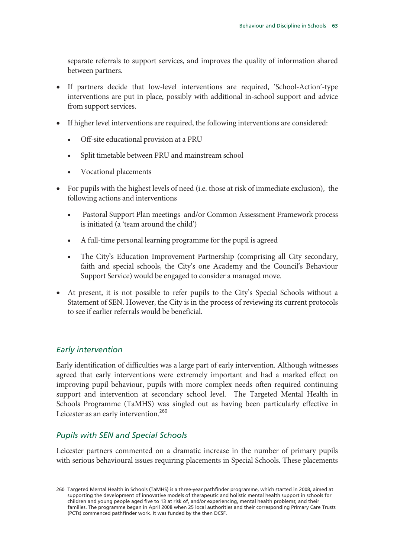separate referrals to support services, and improves the quality of information shared between partners.

- If partners decide that low-level interventions are required, 'School-Action'-type interventions are put in place, possibly with additional in-school support and advice from support services.
- If higher level interventions are required, the following interventions are considered:
	- Off-site educational provision at a PRU
	- Split timetable between PRU and mainstream school
	- Vocational placements
- For pupils with the highest levels of need (i.e. those at risk of immediate exclusion), the following actions and interventions
	- Pastoral Support Plan meetings and/or Common Assessment Framework process is initiated (a 'team around the child')
	- A full-time personal learning programme for the pupil is agreed
	- The City's Education Improvement Partnership (comprising all City secondary, faith and special schools, the City's one Academy and the Council's Behaviour Support Service) would be engaged to consider a managed move.
- At present, it is not possible to refer pupils to the City's Special Schools without a Statement of SEN. However, the City is in the process of reviewing its current protocols to see if earlier referrals would be beneficial.

# *Early intervention*

Early identification of difficulties was a large part of early intervention. Although witnesses agreed that early interventions were extremely important and had a marked effect on improving pupil behaviour, pupils with more complex needs often required continuing support and intervention at secondary school level. The Targeted Mental Health in Schools Programme (TaMHS) was singled out as having been particularly effective in Leicester as an early intervention.<sup>260</sup>

#### *Pupils with SEN and Special Schools*

Leicester partners commented on a dramatic increase in the number of primary pupils with serious behavioural issues requiring placements in Special Schools. These placements

<sup>260</sup> Targeted Mental Health in Schools (TaMHS) is a three-year pathfinder programme, which started in 2008, aimed at supporting the development of innovative models of therapeutic and holistic mental health support in schools for children and young people aged five to 13 at risk of, and/or experiencing, mental health problems; and their families. The programme began in April 2008 when 25 local authorities and their corresponding Primary Care Trusts (PCTs) commenced pathfinder work. It was funded by the then DCSF.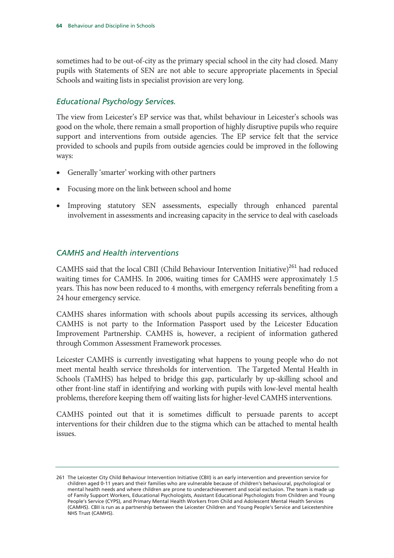sometimes had to be out-of-city as the primary special school in the city had closed. Many pupils with Statements of SEN are not able to secure appropriate placements in Special Schools and waiting lists in specialist provision are very long.

### *Educational Psychology Services.*

The view from Leicester's EP service was that, whilst behaviour in Leicester's schools was good on the whole, there remain a small proportion of highly disruptive pupils who require support and interventions from outside agencies. The EP service felt that the service provided to schools and pupils from outside agencies could be improved in the following ways:

- Generally 'smarter' working with other partners
- Focusing more on the link between school and home
- Improving statutory SEN assessments, especially through enhanced parental involvement in assessments and increasing capacity in the service to deal with caseloads

#### *CAMHS and Health interventions*

CAMHS said that the local CBII (Child Behaviour Intervention Initiative)<sup>261</sup> had reduced waiting times for CAMHS. In 2006, waiting times for CAMHS were approximately 1.5 years. This has now been reduced to 4 months, with emergency referrals benefiting from a 24 hour emergency service.

CAMHS shares information with schools about pupils accessing its services, although CAMHS is not party to the Information Passport used by the Leicester Education Improvement Partnership. CAMHS is, however, a recipient of information gathered through Common Assessment Framework processes.

Leicester CAMHS is currently investigating what happens to young people who do not meet mental health service thresholds for intervention. The Targeted Mental Health in Schools (TaMHS) has helped to bridge this gap, particularly by up-skilling school and other front-line staff in identifying and working with pupils with low-level mental health problems, therefore keeping them off waiting lists for higher-level CAMHS interventions.

CAMHS pointed out that it is sometimes difficult to persuade parents to accept interventions for their children due to the stigma which can be attached to mental health issues.

<sup>261</sup> The Leicester City Child Behaviour Intervention Initiative (CBII) is an early intervention and prevention service for children aged 0-11 years and their families who are vulnerable because of children's behavioural, psychological or mental health needs and where children are prone to underachievement and social exclusion. The team is made up of Family Support Workers, Educational Psychologists, Assistant Educational Psychologists from Children and Young People's Service (CYPS), and Primary Mental Health Workers from Child and Adolescent Mental Health Services (CAMHS). CBII is run as a partnership between the Leicester Children and Young People's Service and Leicestershire NHS Trust (CAMHS).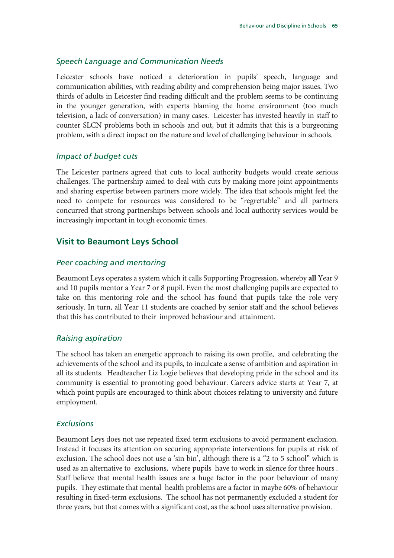#### *Speech Language and Communication Needs*

Leicester schools have noticed a deterioration in pupils' speech, language and communication abilities, with reading ability and comprehension being major issues. Two thirds of adults in Leicester find reading difficult and the problem seems to be continuing in the younger generation, with experts blaming the home environment (too much television, a lack of conversation) in many cases. Leicester has invested heavily in staff to counter SLCN problems both in schools and out, but it admits that this is a burgeoning problem, with a direct impact on the nature and level of challenging behaviour in schools.

#### *Impact of budget cuts*

The Leicester partners agreed that cuts to local authority budgets would create serious challenges. The partnership aimed to deal with cuts by making more joint appointments and sharing expertise between partners more widely. The idea that schools might feel the need to compete for resources was considered to be "regrettable" and all partners concurred that strong partnerships between schools and local authority services would be increasingly important in tough economic times.

#### **Visit to Beaumont Leys School**

#### *Peer coaching and mentoring*

Beaumont Leys operates a system which it calls Supporting Progression, whereby **all** Year 9 and 10 pupils mentor a Year 7 or 8 pupil. Even the most challenging pupils are expected to take on this mentoring role and the school has found that pupils take the role very seriously. In turn, all Year 11 students are coached by senior staff and the school believes that this has contributed to their improved behaviour and attainment.

#### *Raising aspiration*

The school has taken an energetic approach to raising its own profile, and celebrating the achievements of the school and its pupils, to inculcate a sense of ambition and aspiration in all its students. Headteacher Liz Logie believes that developing pride in the school and its community is essential to promoting good behaviour. Careers advice starts at Year 7, at which point pupils are encouraged to think about choices relating to university and future employment.

#### *Exclusions*

Beaumont Leys does not use repeated fixed term exclusions to avoid permanent exclusion. Instead it focuses its attention on securing appropriate interventions for pupils at risk of exclusion. The school does not use a 'sin bin', although there is a "2 to 5 school" which is used as an alternative to exclusions, where pupils have to work in silence for three hours . Staff believe that mental health issues are a huge factor in the poor behaviour of many pupils. They estimate that mental health problems are a factor in maybe 60% of behaviour resulting in fixed-term exclusions. The school has not permanently excluded a student for three years, but that comes with a significant cost, as the school uses alternative provision.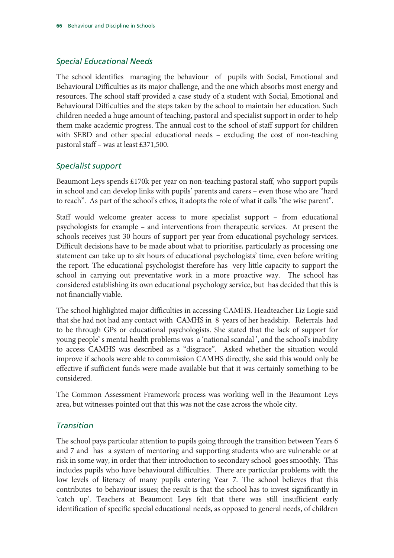#### *Special Educational Needs*

The school identifies managing the behaviour of pupils with Social, Emotional and Behavioural Difficulties as its major challenge, and the one which absorbs most energy and resources. The school staff provided a case study of a student with Social, Emotional and Behavioural Difficulties and the steps taken by the school to maintain her education. Such children needed a huge amount of teaching, pastoral and specialist support in order to help them make academic progress. The annual cost to the school of staff support for children with SEBD and other special educational needs – excluding the cost of non-teaching pastoral staff – was at least £371,500.

### *Specialist support*

Beaumont Leys spends £170k per year on non-teaching pastoral staff, who support pupils in school and can develop links with pupils' parents and carers – even those who are "hard to reach". As part of the school's ethos, it adopts the role of what it calls "the wise parent".

Staff would welcome greater access to more specialist support – from educational psychologists for example – and interventions from therapeutic services. At present the schools receives just 30 hours of support per year from educational psychology services. Difficult decisions have to be made about what to prioritise, particularly as processing one statement can take up to six hours of educational psychologists' time, even before writing the report. The educational psychologist therefore has very little capacity to support the school in carrying out preventative work in a more proactive way. The school has considered establishing its own educational psychology service, but has decided that this is not financially viable.

The school highlighted major difficulties in accessing CAMHS. Headteacher Liz Logie said that she had not had any contact with CAMHS in 8 years of her headship. Referrals had to be through GPs or educational psychologists. She stated that the lack of support for young people' s mental health problems was a 'national scandal ', and the school's inability to access CAMHS was described as a "disgrace". Asked whether the situation would improve if schools were able to commission CAMHS directly, she said this would only be effective if sufficient funds were made available but that it was certainly something to be considered.

The Common Assessment Framework process was working well in the Beaumont Leys area, but witnesses pointed out that this was not the case across the whole city.

#### *Transition*

The school pays particular attention to pupils going through the transition between Years 6 and 7 and has a system of mentoring and supporting students who are vulnerable or at risk in some way, in order that their introduction to secondary school goes smoothly. This includes pupils who have behavioural difficulties. There are particular problems with the low levels of literacy of many pupils entering Year 7. The school believes that this contributes to behaviour issues; the result is that the school has to invest significantly in 'catch up'. Teachers at Beaumont Leys felt that there was still insufficient early identification of specific special educational needs, as opposed to general needs, of children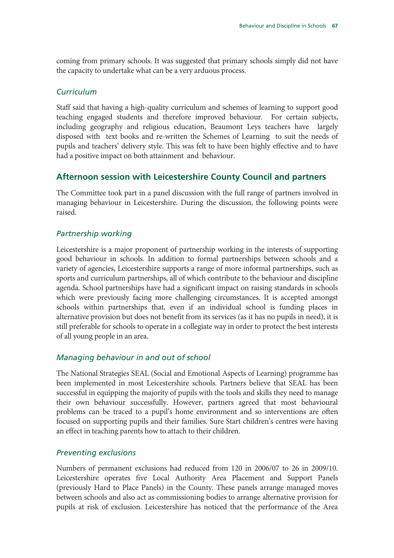coming from primary schools. It was suggested that primary schools simply did not have the capacity to undertake what can be a very arduous process.

### *Curriculum*

Staff said that having a high-quality curriculum and schemes of learning to support good teaching engaged students and therefore improved behaviour. For certain subjects, including geography and religious education, Beaumont Leys teachers have largely disposed with text books and re-written the Schemes of Learning to suit the needs of pupils and teachers' delivery style. This was felt to have been highly effective and to have had a positive impact on both attainment and behaviour.

# **Afternoon session with Leicestershire County Council and partners**

The Committee took part in a panel discussion with the full range of partners involved in managing behaviour in Leicestershire. During the discussion, the following points were raised.

# *Partnership working*

Leicestershire is a major proponent of partnership working in the interests of supporting good behaviour in schools. In addition to formal partnerships between schools and a variety of agencies, Leicestershire supports a range of more informal partnerships, such as sports and curriculum partnerships, all of which contribute to the behaviour and discipline agenda. School partnerships have had a significant impact on raising standards in schools which were previously facing more challenging circumstances. It is accepted amongst schools within partnerships that, even if an individual school is funding places in alternative provision but does not benefit from its services (as it has no pupils in need), it is still preferable for schools to operate in a collegiate way in order to protect the best interests of all young people in an area.

# *Managing behaviour in and out of school*

The National Strategies SEAL (Social and Emotional Aspects of Learning) programme has been implemented in most Leicestershire schools. Partners believe that SEAL has been successful in equipping the majority of pupils with the tools and skills they need to manage their own behaviour successfully. However, partners agreed that most behavioural problems can be traced to a pupil's home environment and so interventions are often focused on supporting pupils and their families. Sure Start children's centres were having an effect in teaching parents how to attach to their children.

#### *Preventing exclusions*

Numbers of permanent exclusions had reduced from 120 in 2006/07 to 26 in 2009/10. Leicestershire operates five Local Authority Area Placement and Support Panels (previously Hard to Place Panels) in the County. These panels arrange managed moves between schools and also act as commissioning bodies to arrange alternative provision for pupils at risk of exclusion. Leicestershire has noticed that the performance of the Area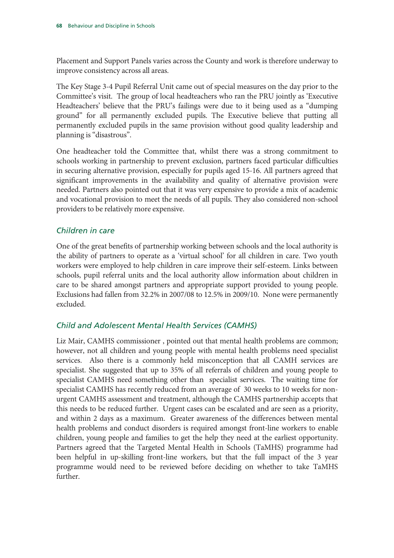Placement and Support Panels varies across the County and work is therefore underway to improve consistency across all areas.

The Key Stage 3-4 Pupil Referral Unit came out of special measures on the day prior to the Committee's visit. The group of local headteachers who ran the PRU jointly as 'Executive Headteachers' believe that the PRU's failings were due to it being used as a "dumping ground" for all permanently excluded pupils. The Executive believe that putting all permanently excluded pupils in the same provision without good quality leadership and planning is "disastrous".

One headteacher told the Committee that, whilst there was a strong commitment to schools working in partnership to prevent exclusion, partners faced particular difficulties in securing alternative provision, especially for pupils aged 15-16. All partners agreed that significant improvements in the availability and quality of alternative provision were needed. Partners also pointed out that it was very expensive to provide a mix of academic and vocational provision to meet the needs of all pupils. They also considered non-school providers to be relatively more expensive.

# *Children in care*

One of the great benefits of partnership working between schools and the local authority is the ability of partners to operate as a 'virtual school' for all children in care. Two youth workers were employed to help children in care improve their self-esteem. Links between schools, pupil referral units and the local authority allow information about children in care to be shared amongst partners and appropriate support provided to young people. Exclusions had fallen from 32.2% in 2007/08 to 12.5% in 2009/10. None were permanently excluded.

#### *Child and Adolescent Mental Health Services (CAMHS)*

Liz Mair, CAMHS commissioner , pointed out that mental health problems are common; however, not all children and young people with mental health problems need specialist services. Also there is a commonly held misconception that all CAMH services are specialist. She suggested that up to 35% of all referrals of children and young people to specialist CAMHS need something other than specialist services. The waiting time for specialist CAMHS has recently reduced from an average of 30 weeks to 10 weeks for nonurgent CAMHS assessment and treatment, although the CAMHS partnership accepts that this needs to be reduced further. Urgent cases can be escalated and are seen as a priority, and within 2 days as a maximum. Greater awareness of the differences between mental health problems and conduct disorders is required amongst front-line workers to enable children, young people and families to get the help they need at the earliest opportunity. Partners agreed that the Targeted Mental Health in Schools (TaMHS) programme had been helpful in up-skilling front-line workers, but that the full impact of the 3 year programme would need to be reviewed before deciding on whether to take TaMHS further.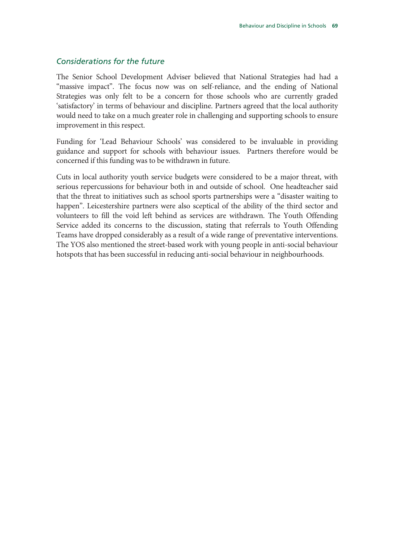#### *Considerations for the future*

The Senior School Development Adviser believed that National Strategies had had a "massive impact". The focus now was on self-reliance, and the ending of National Strategies was only felt to be a concern for those schools who are currently graded 'satisfactory' in terms of behaviour and discipline. Partners agreed that the local authority would need to take on a much greater role in challenging and supporting schools to ensure improvement in this respect.

Funding for 'Lead Behaviour Schools' was considered to be invaluable in providing guidance and support for schools with behaviour issues. Partners therefore would be concerned if this funding was to be withdrawn in future.

Cuts in local authority youth service budgets were considered to be a major threat, with serious repercussions for behaviour both in and outside of school. One headteacher said that the threat to initiatives such as school sports partnerships were a "disaster waiting to happen". Leicestershire partners were also sceptical of the ability of the third sector and volunteers to fill the void left behind as services are withdrawn. The Youth Offending Service added its concerns to the discussion, stating that referrals to Youth Offending Teams have dropped considerably as a result of a wide range of preventative interventions. The YOS also mentioned the street-based work with young people in anti-social behaviour hotspots that has been successful in reducing anti-social behaviour in neighbourhoods.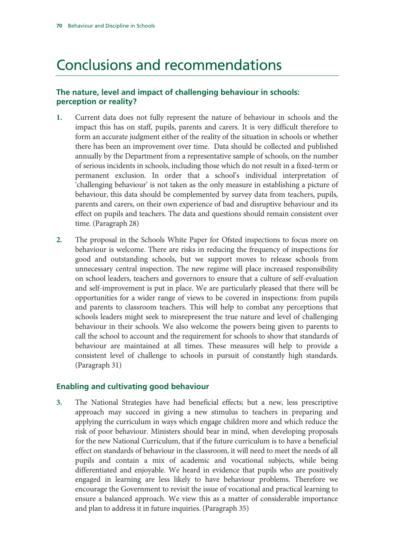# Conclusions and recommendations

## **The nature, level and impact of challenging behaviour in schools: perception or reality?**

- **1.** Current data does not fully represent the nature of behaviour in schools and the impact this has on staff, pupils, parents and carers. It is very difficult therefore to form an accurate judgment either of the reality of the situation in schools or whether there has been an improvement over time. Data should be collected and published annually by the Department from a representative sample of schools, on the number of serious incidents in schools, including those which do not result in a fixed-term or permanent exclusion. In order that a school's individual interpretation of 'challenging behaviour' is not taken as the only measure in establishing a picture of behaviour, this data should be complemented by survey data from teachers, pupils, parents and carers, on their own experience of bad and disruptive behaviour and its effect on pupils and teachers. The data and questions should remain consistent over time. (Paragraph 28)
- **2.** The proposal in the Schools White Paper for Ofsted inspections to focus more on behaviour is welcome. There are risks in reducing the frequency of inspections for good and outstanding schools, but we support moves to release schools from unnecessary central inspection. The new regime will place increased responsibility on school leaders, teachers and governors to ensure that a culture of self-evaluation and self-improvement is put in place. We are particularly pleased that there will be opportunities for a wider range of views to be covered in inspections: from pupils and parents to classroom teachers. This will help to combat any perceptions that schools leaders might seek to misrepresent the true nature and level of challenging behaviour in their schools. We also welcome the powers being given to parents to call the school to account and the requirement for schools to show that standards of behaviour are maintained at all times. These measures will help to provide a consistent level of challenge to schools in pursuit of constantly high standards. (Paragraph 31)

#### **Enabling and cultivating good behaviour**

**3.** The National Strategies have had beneficial effects; but a new, less prescriptive approach may succeed in giving a new stimulus to teachers in preparing and applying the curriculum in ways which engage children more and which reduce the risk of poor behaviour. Ministers should bear in mind, when developing proposals for the new National Curriculum, that if the future curriculum is to have a beneficial effect on standards of behaviour in the classroom, it will need to meet the needs of all pupils and contain a mix of academic and vocational subjects, while being differentiated and enjoyable. We heard in evidence that pupils who are positively engaged in learning are less likely to have behaviour problems. Therefore we encourage the Government to revisit the issue of vocational and practical learning to ensure a balanced approach. We view this as a matter of considerable importance and plan to address it in future inquiries. (Paragraph 35)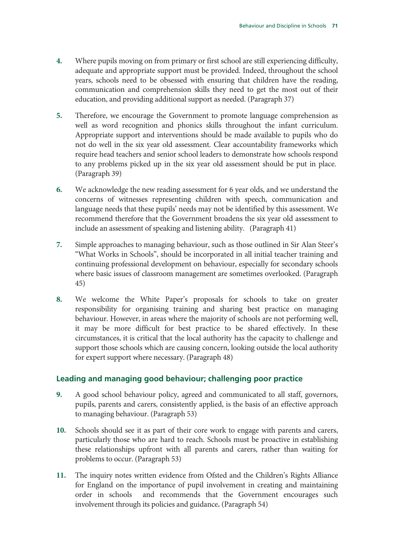- **4.** Where pupils moving on from primary or first school are still experiencing difficulty, adequate and appropriate support must be provided. Indeed, throughout the school years, schools need to be obsessed with ensuring that children have the reading, communication and comprehension skills they need to get the most out of their education, and providing additional support as needed. (Paragraph 37)
- **5.** Therefore, we encourage the Government to promote language comprehension as well as word recognition and phonics skills throughout the infant curriculum. Appropriate support and interventions should be made available to pupils who do not do well in the six year old assessment. Clear accountability frameworks which require head teachers and senior school leaders to demonstrate how schools respond to any problems picked up in the six year old assessment should be put in place. (Paragraph 39)
- **6.** We acknowledge the new reading assessment for 6 year olds, and we understand the concerns of witnesses representing children with speech, communication and language needs that these pupils' needs may not be identified by this assessment. We recommend therefore that the Government broadens the six year old assessment to include an assessment of speaking and listening ability. (Paragraph 41)
- **7.** Simple approaches to managing behaviour, such as those outlined in Sir Alan Steer's "What Works in Schools", should be incorporated in all initial teacher training and continuing professional development on behaviour, especially for secondary schools where basic issues of classroom management are sometimes overlooked. (Paragraph 45)
- **8.** We welcome the White Paper's proposals for schools to take on greater responsibility for organising training and sharing best practice on managing behaviour. However, in areas where the majority of schools are not performing well, it may be more difficult for best practice to be shared effectively. In these circumstances, it is critical that the local authority has the capacity to challenge and support those schools which are causing concern, looking outside the local authority for expert support where necessary. (Paragraph 48)

#### **Leading and managing good behaviour; challenging poor practice**

- **9.** A good school behaviour policy, agreed and communicated to all staff, governors, pupils, parents and carers, consistently applied, is the basis of an effective approach to managing behaviour. (Paragraph 53)
- **10.** Schools should see it as part of their core work to engage with parents and carers, particularly those who are hard to reach. Schools must be proactive in establishing these relationships upfront with all parents and carers, rather than waiting for problems to occur. (Paragraph 53)
- **11.** The inquiry notes written evidence from Ofsted and the Children's Rights Alliance for England on the importance of pupil involvement in creating and maintaining order in schools and recommends that the Government encourages such involvement through its policies and guidance**.** (Paragraph 54)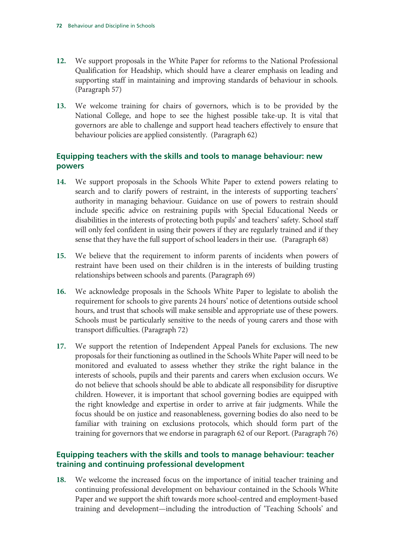- **12.** We support proposals in the White Paper for reforms to the National Professional Qualification for Headship, which should have a clearer emphasis on leading and supporting staff in maintaining and improving standards of behaviour in schools. (Paragraph 57)
- **13.** We welcome training for chairs of governors, which is to be provided by the National College, and hope to see the highest possible take-up. It is vital that governors are able to challenge and support head teachers effectively to ensure that behaviour policies are applied consistently. (Paragraph 62)

## **Equipping teachers with the skills and tools to manage behaviour: new powers**

- **14.** We support proposals in the Schools White Paper to extend powers relating to search and to clarify powers of restraint, in the interests of supporting teachers' authority in managing behaviour. Guidance on use of powers to restrain should include specific advice on restraining pupils with Special Educational Needs or disabilities in the interests of protecting both pupils' and teachers' safety. School staff will only feel confident in using their powers if they are regularly trained and if they sense that they have the full support of school leaders in their use. (Paragraph 68)
- **15.** We believe that the requirement to inform parents of incidents when powers of restraint have been used on their children is in the interests of building trusting relationships between schools and parents. (Paragraph 69)
- **16.** We acknowledge proposals in the Schools White Paper to legislate to abolish the requirement for schools to give parents 24 hours' notice of detentions outside school hours, and trust that schools will make sensible and appropriate use of these powers. Schools must be particularly sensitive to the needs of young carers and those with transport difficulties. (Paragraph 72)
- **17.** We support the retention of Independent Appeal Panels for exclusions. The new proposals for their functioning as outlined in the Schools White Paper will need to be monitored and evaluated to assess whether they strike the right balance in the interests of schools, pupils and their parents and carers when exclusion occurs. We do not believe that schools should be able to abdicate all responsibility for disruptive children. However, it is important that school governing bodies are equipped with the right knowledge and expertise in order to arrive at fair judgments. While the focus should be on justice and reasonableness, governing bodies do also need to be familiar with training on exclusions protocols, which should form part of the training for governors that we endorse in paragraph 62 of our Report. (Paragraph 76)

## **Equipping teachers with the skills and tools to manage behaviour: teacher training and continuing professional development**

**18.** We welcome the increased focus on the importance of initial teacher training and continuing professional development on behaviour contained in the Schools White Paper and we support the shift towards more school-centred and employment-based training and development—including the introduction of 'Teaching Schools' and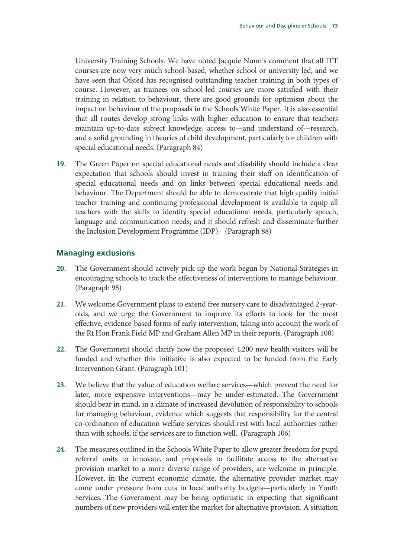University Training Schools. We have noted Jacquie Nunn's comment that all ITT courses are now very much school-based, whether school or university led, and we have seen that Ofsted has recognised outstanding teacher training in both types of course. However, as trainees on school-led courses are more satisfied with their training in relation to behaviour, there are good grounds for optimism about the impact on behaviour of the proposals in the Schools White Paper. It is also essential that all routes develop strong links with higher education to ensure that teachers maintain up-to-date subject knowledge, access to—and understand of—research, and a solid grounding in theories of child development, particularly for children with special educational needs. (Paragraph 84)

**19.** The Green Paper on special educational needs and disability should include a clear expectation that schools should invest in training their staff on identification of special educational needs and on links between special educational needs and behaviour. The Department should be able to demonstrate that high quality initial teacher training and continuing professional development is available to equip all teachers with the skills to identify special educational needs, particularly speech, language and communication needs; and it should refresh and disseminate further the Inclusion Development Programme (IDP). (Paragraph 88)

### **Managing exclusions**

- **20.** The Government should actively pick up the work begun by National Strategies in encouraging schools to track the effectiveness of interventions to manage behaviour. (Paragraph 98)
- **21.** We welcome Government plans to extend free nursery care to disadvantaged 2-yearolds, and we urge the Government to improve its efforts to look for the most effective, evidence-based forms of early intervention, taking into account the work of the Rt Hon Frank Field MP and Graham Allen MP in their reports. (Paragraph 100)
- **22.** The Government should clarify how the proposed 4,200 new health visitors will be funded and whether this initiative is also expected to be funded from the Early Intervention Grant. (Paragraph 101)
- **23.** We believe that the value of education welfare services—which prevent the need for later, more expensive interventions—may be under-estimated. The Government should bear in mind, in a climate of increased devolution of responsibility to schools for managing behaviour, evidence which suggests that responsibility for the central co-ordination of education welfare services should rest with local authorities rather than with schools, if the services are to function well. (Paragraph 106)
- **24.** The measures outlined in the Schools White Paper to allow greater freedom for pupil referral units to innovate, and proposals to facilitate access to the alternative provision market to a more diverse range of providers, are welcome in principle. However, in the current economic climate, the alternative provider market may come under pressure from cuts in local authority budgets—particularly in Youth Services. The Government may be being optimistic in expecting that significant numbers of new providers will enter the market for alternative provision. A situation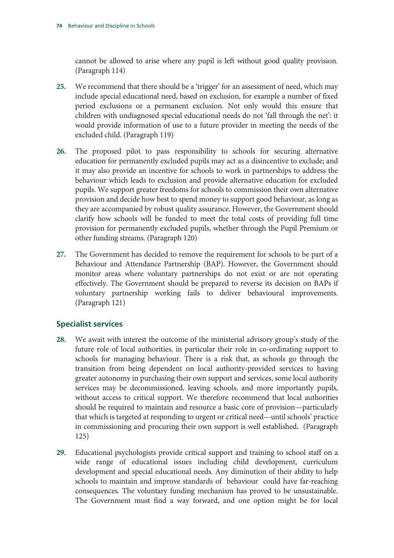cannot be allowed to arise where any pupil is left without good quality provision. (Paragraph 114)

- **25.** We recommend that there should be a 'trigger' for an assessment of need, which may include special educational need, based on exclusion, for example a number of fixed period exclusions or a permanent exclusion. Not only would this ensure that children with undiagnosed special educational needs do not 'fall through the net': it would provide information of use to a future provider in meeting the needs of the excluded child. (Paragraph 119)
- **26.** The proposed pilot to pass responsibility to schools for securing alternative education for permanently excluded pupils may act as a disincentive to exclude; and it may also provide an incentive for schools to work in partnerships to address the behaviour which leads to exclusion and provide alternative education for excluded pupils. We support greater freedoms for schools to commission their own alternative provision and decide how best to spend money to support good behaviour, as long as they are accompanied by robust quality assurance. However, the Government should clarify how schools will be funded to meet the total costs of providing full time provision for permanently excluded pupils, whether through the Pupil Premium or other funding streams. (Paragraph 120)
- **27.** The Government has decided to remove the requirement for schools to be part of a Behaviour and Attendance Partnership (BAP). However, the Government should monitor areas where voluntary partnerships do not exist or are not operating effectively. The Government should be prepared to reverse its decision on BAPs if voluntary partnership working fails to deliver behavioural improvements. (Paragraph 121)

## **Specialist services**

- **28.** We await with interest the outcome of the ministerial advisory group's study of the future role of local authorities, in particular their role in co-ordinating support to schools for managing behaviour. There is a risk that, as schools go through the transition from being dependent on local authority-provided services to having greater autonomy in purchasing their own support and services, some local authority services may be decommissioned, leaving schools, and more importantly pupils, without access to critical support. We therefore recommend that local authorities should be required to maintain and resource a basic core of provision—particularly that which is targeted at responding to urgent or critical need—until schools' practice in commissioning and procuring their own support is well established**.** (Paragraph 125)
- **29.** Educational psychologists provide critical support and training to school staff on a wide range of educational issues including child development, curriculum development and special educational needs. Any diminution of their ability to help schools to maintain and improve standards of behaviour could have far-reaching consequences. The voluntary funding mechanism has proved to be unsustainable. The Government must find a way forward, and one option might be for local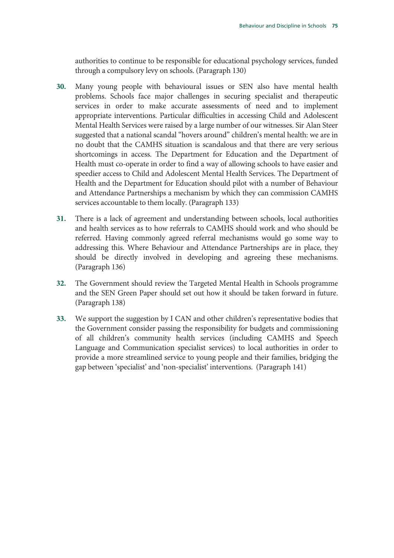authorities to continue to be responsible for educational psychology services, funded through a compulsory levy on schools. (Paragraph 130)

- **30.** Many young people with behavioural issues or SEN also have mental health problems. Schools face major challenges in securing specialist and therapeutic services in order to make accurate assessments of need and to implement appropriate interventions. Particular difficulties in accessing Child and Adolescent Mental Health Services were raised by a large number of our witnesses. Sir Alan Steer suggested that a national scandal "hovers around" children's mental health: we are in no doubt that the CAMHS situation is scandalous and that there are very serious shortcomings in access. The Department for Education and the Department of Health must co-operate in order to find a way of allowing schools to have easier and speedier access to Child and Adolescent Mental Health Services. The Department of Health and the Department for Education should pilot with a number of Behaviour and Attendance Partnerships a mechanism by which they can commission CAMHS services accountable to them locally. (Paragraph 133)
- **31.** There is a lack of agreement and understanding between schools, local authorities and health services as to how referrals to CAMHS should work and who should be referred. Having commonly agreed referral mechanisms would go some way to addressing this. Where Behaviour and Attendance Partnerships are in place, they should be directly involved in developing and agreeing these mechanisms. (Paragraph 136)
- **32.** The Government should review the Targeted Mental Health in Schools programme and the SEN Green Paper should set out how it should be taken forward in future. (Paragraph 138)
- **33.** We support the suggestion by I CAN and other children's representative bodies that the Government consider passing the responsibility for budgets and commissioning of all children's community health services (including CAMHS and Speech Language and Communication specialist services) to local authorities in order to provide a more streamlined service to young people and their families, bridging the gap between 'specialist' and 'non-specialist' interventions. (Paragraph 141)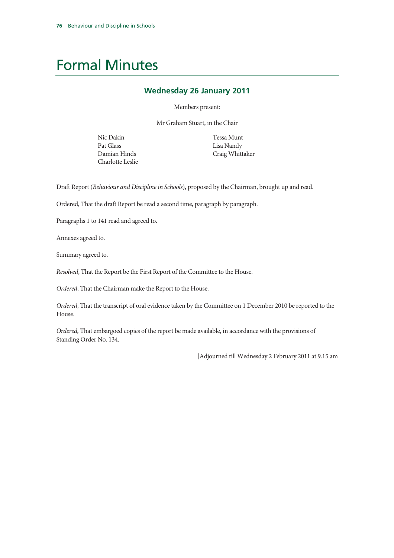# Formal Minutes

#### **Wednesday 26 January 2011**

Members present:

Mr Graham Stuart, in the Chair

Nic Dakin Pat Glass Damian Hinds Charlotte Leslie Tessa Munt Lisa Nandy Craig Whittaker

Draft Report (*Behaviour and Discipline in Schools*), proposed by the Chairman, brought up and read.

Ordered, That the draft Report be read a second time, paragraph by paragraph.

Paragraphs 1 to 141 read and agreed to.

Annexes agreed to.

Summary agreed to.

*Resolved*, That the Report be the First Report of the Committee to the House.

*Ordered*, That the Chairman make the Report to the House.

*Ordered*, That the transcript of oral evidence taken by the Committee on 1 December 2010 be reported to the House.

*Ordered*, That embargoed copies of the report be made available, in accordance with the provisions of Standing Order No. 134.

[Adjourned till Wednesday 2 February 2011 at 9.15 am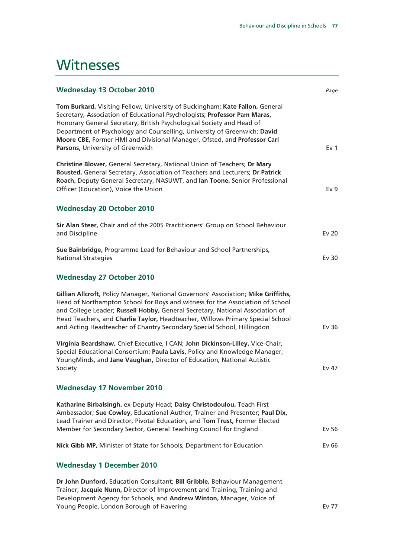## **Witnesses**

| <b>Wednesday 13 October 2010</b>                                                                                                                                                                                                                                                                                                                                                                                               | Page            |
|--------------------------------------------------------------------------------------------------------------------------------------------------------------------------------------------------------------------------------------------------------------------------------------------------------------------------------------------------------------------------------------------------------------------------------|-----------------|
| Tom Burkard, Visiting Fellow, University of Buckingham; Kate Fallon, General<br>Secretary, Association of Educational Psychologists; Professor Pam Maras,<br>Honorary General Secretary, British Psychological Society and Head of<br>Department of Psychology and Counselling, University of Greenwich; David<br>Moore CBE, Former HMI and Divisional Manager, Ofsted, and Professor Carl<br>Parsons, University of Greenwich | Ev <sub>1</sub> |
| Christine Blower, General Secretary, National Union of Teachers; Dr Mary<br>Bousted, General Secretary, Association of Teachers and Lecturers; Dr Patrick<br>Roach, Deputy General Secretary, NASUWT, and Ian Toone, Senior Professional<br>Officer (Education), Voice the Union                                                                                                                                               | Ev <sub>9</sub> |
| <b>Wednesday 20 October 2010</b>                                                                                                                                                                                                                                                                                                                                                                                               |                 |
| Sir Alan Steer, Chair and of the 2005 Practitioners' Group on School Behaviour<br>and Discipline                                                                                                                                                                                                                                                                                                                               | <b>Ev 20</b>    |
| Sue Bainbridge, Programme Lead for Behaviour and School Partnerships,<br><b>National Strategies</b>                                                                                                                                                                                                                                                                                                                            | Ev 30           |
| <b>Wednesday 27 October 2010</b>                                                                                                                                                                                                                                                                                                                                                                                               |                 |
| Gillian Allcroft, Policy Manager, National Governors' Association; Mike Griffiths,<br>Head of Northampton School for Boys and witness for the Association of School<br>and College Leader; Russell Hobby, General Secretary, National Association of<br>Head Teachers, and Charlie Taylor, Headteacher, Willows Primary Special School<br>and Acting Headteacher of Chantry Secondary Special School, Hillingdon               | Ev 36           |
| Virginia Beardshaw, Chief Executive, I CAN; John Dickinson-Lilley, Vice-Chair,<br>Special Educational Consortium; Paula Lavis, Policy and Knowledge Manager,<br>YoungMinds, and Jane Vaughan, Director of Education, National Autistic<br>Society                                                                                                                                                                              | Ev 47           |
| <b>Wednesday 17 November 2010</b>                                                                                                                                                                                                                                                                                                                                                                                              |                 |
| Katharine Birbalsingh, ex-Deputy Head; Daisy Christodoulou, Teach First<br>Ambassador; Sue Cowley, Educational Author, Trainer and Presenter; Paul Dix,<br>Lead Trainer and Director, Pivotal Education, and Tom Trust, Former Elected<br>Member for Secondary Sector, General Teaching Council for England                                                                                                                    | Ev 56           |
| Nick Gibb MP, Minister of State for Schools, Department for Education                                                                                                                                                                                                                                                                                                                                                          | Ev 66           |
|                                                                                                                                                                                                                                                                                                                                                                                                                                |                 |
| <b>Wednesday 1 December 2010</b>                                                                                                                                                                                                                                                                                                                                                                                               |                 |
| Dr John Dunford, Education Consultant; Bill Gribble, Behaviour Management<br>Trainer; Jacquie Nunn, Director of Improvement and Training, Training and<br>Development Agency for Schools, and Andrew Winton, Manager, Voice of<br>Young People, London Borough of Havering                                                                                                                                                     | Ev 77           |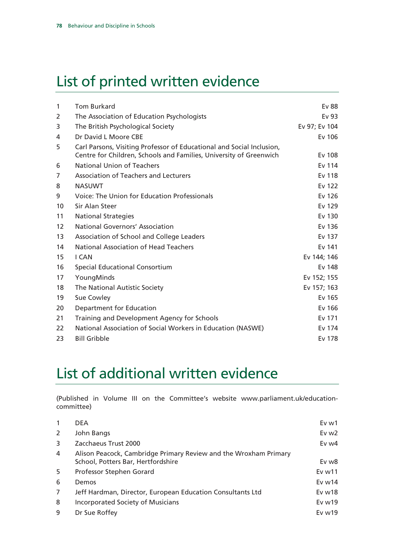# List of printed written evidence

| 1                 | <b>Tom Burkard</b>                                                                                                                          | Ev 88         |
|-------------------|---------------------------------------------------------------------------------------------------------------------------------------------|---------------|
| 2                 | The Association of Education Psychologists                                                                                                  | Ev 93         |
| 3                 | The British Psychological Society                                                                                                           | Ev 97; Ev 104 |
| 4                 | Dr David L Moore CBE                                                                                                                        | Ev 106        |
| 5                 | Carl Parsons, Visiting Professor of Educational and Social Inclusion,<br>Centre for Children, Schools and Families, University of Greenwich | Ev 108        |
| 6                 | <b>National Union of Teachers</b>                                                                                                           | Ev 114        |
| 7                 | Association of Teachers and Lecturers                                                                                                       | Ev 118        |
| 8                 | <b>NASUWT</b>                                                                                                                               | Ev 122        |
| 9                 | Voice: The Union for Education Professionals                                                                                                | Ev 126        |
| 10                | Sir Alan Steer                                                                                                                              | Ev 129        |
| 11                | <b>National Strategies</b>                                                                                                                  | Ev 130        |
| $12 \overline{ }$ | National Governors' Association                                                                                                             | Ev 136        |
| 13                | Association of School and College Leaders                                                                                                   | Ev 137        |
| 14                | National Association of Head Teachers                                                                                                       | Ev 141        |
| 15                | I CAN                                                                                                                                       | Ev 144; 146   |
| 16                | <b>Special Educational Consortium</b>                                                                                                       | Ev 148        |
| 17                | YoungMinds                                                                                                                                  | Ev 152; 155   |
| 18                | The National Autistic Society                                                                                                               | Ev 157; 163   |
| 19                | Sue Cowley                                                                                                                                  | Ev 165        |
| 20                | Department for Education                                                                                                                    | Ev 166        |
| 21                | Training and Development Agency for Schools                                                                                                 | Ev 171        |
| 22                | National Association of Social Workers in Education (NASWE)                                                                                 | Ev 174        |
| 23                | <b>Bill Gribble</b>                                                                                                                         | Ev 178        |

# List of additional written evidence

(Published in Volume III on the Committee's website www.parliament.uk/educationcommittee)

| 1  | <b>DEA</b>                                                                                             | Ev <sub>w1</sub>  |
|----|--------------------------------------------------------------------------------------------------------|-------------------|
| 2  | John Bangs                                                                                             | Ev $w2$           |
| 3  | Zacchaeus Trust 2000                                                                                   | Ev $w4$           |
| 4  | Alison Peacock, Cambridge Primary Review and the Wroxham Primary<br>School, Potters Bar, Hertfordshire | Ev w8             |
| -5 | Professor Stephen Gorard                                                                               | Ev <sub>w11</sub> |
| 6  | Demos                                                                                                  | Ev $w14$          |
| 7  | Jeff Hardman, Director, European Education Consultants Ltd                                             | Evw18             |
| 8  | <b>Incorporated Society of Musicians</b>                                                               | Ev $w19$          |
| 9  | Dr Sue Roffey                                                                                          | Ev $w19$          |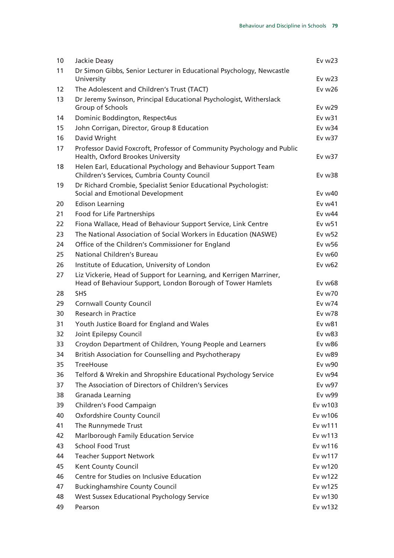| 10 | Jackie Deasy                                                                                                                     | Ev $w23$           |
|----|----------------------------------------------------------------------------------------------------------------------------------|--------------------|
| 11 | Dr Simon Gibbs, Senior Lecturer in Educational Psychology, Newcastle<br>University                                               | Ev $w23$           |
| 12 | The Adolescent and Children's Trust (TACT)                                                                                       | Ev w26             |
| 13 | Dr Jeremy Swinson, Principal Educational Psychologist, Witherslack                                                               |                    |
|    | Group of Schools                                                                                                                 | Ev $w29$           |
| 14 | Dominic Boddington, Respect4us                                                                                                   | Ev w31             |
| 15 | John Corrigan, Director, Group 8 Education                                                                                       | Ev w34             |
| 16 | David Wright                                                                                                                     | Ev w37             |
| 17 | Professor David Foxcroft, Professor of Community Psychology and Public<br>Health, Oxford Brookes University                      | Ev w37             |
| 18 | Helen Earl, Educational Psychology and Behaviour Support Team<br>Children's Services, Cumbria County Council                     | Ev w38             |
| 19 | Dr Richard Crombie, Specialist Senior Educational Psychologist:<br>Social and Emotional Development                              | Ev $w40$           |
| 20 | <b>Edison Learning</b>                                                                                                           | Ev w41             |
| 21 | Food for Life Partnerships                                                                                                       | Ev w44             |
| 22 | Fiona Wallace, Head of Behaviour Support Service, Link Centre                                                                    | Ev w <sub>51</sub> |
| 23 | The National Association of Social Workers in Education (NASWE)                                                                  | Ev w <sub>52</sub> |
| 24 | Office of the Children's Commissioner for England                                                                                | Ev w56             |
| 25 | National Children's Bureau                                                                                                       | Ev w60             |
| 26 | Institute of Education, University of London                                                                                     | Ev w62             |
| 27 | Liz Vickerie, Head of Support for Learning, and Kerrigen Marriner,<br>Head of Behaviour Support, London Borough of Tower Hamlets | $Ev$ w $68$        |
| 28 | <b>SHS</b>                                                                                                                       | Ev w70             |
| 29 | <b>Cornwall County Council</b>                                                                                                   | Ev w74             |
| 30 | <b>Research in Practice</b>                                                                                                      | Ev w78             |
| 31 | Youth Justice Board for England and Wales                                                                                        | Ev w81             |
| 32 | Joint Epilepsy Council                                                                                                           | Ev w83             |
| 33 | Croydon Department of Children, Young People and Learners                                                                        | Ev w86             |
| 34 | British Association for Counselling and Psychotherapy                                                                            | <b>Ev w89</b>      |
| 35 | <b>TreeHouse</b>                                                                                                                 | Ev w90             |
| 36 | Telford & Wrekin and Shropshire Educational Psychology Service                                                                   | <b>Ev w94</b>      |
| 37 | The Association of Directors of Children's Services                                                                              | Ev w97             |
| 38 | Granada Learning                                                                                                                 | <b>Ev w99</b>      |
| 39 | Children's Food Campaign                                                                                                         | Ev w103            |
| 40 | <b>Oxfordshire County Council</b>                                                                                                | Ev w106            |
| 41 | The Runnymede Trust                                                                                                              | Ev w111            |
| 42 | Marlborough Family Education Service                                                                                             | Ev w113            |
| 43 | <b>School Food Trust</b>                                                                                                         | Ev w116            |
| 44 | <b>Teacher Support Network</b>                                                                                                   | Ev w117            |
| 45 | Kent County Council                                                                                                              | Ev w120            |
| 46 | Centre for Studies on Inclusive Education                                                                                        | Ev w122            |
| 47 | <b>Buckinghamshire County Council</b>                                                                                            | Ev w125            |
| 48 | West Sussex Educational Psychology Service                                                                                       | Ev w130            |
| 49 | Pearson                                                                                                                          | Ev w132            |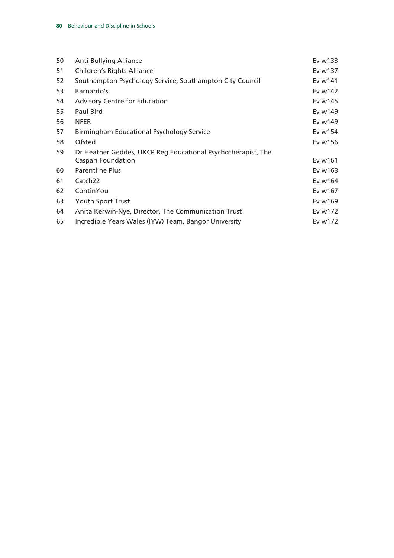| 50 | <b>Anti-Bullying Alliance</b>                                | Ev w133 |
|----|--------------------------------------------------------------|---------|
|    |                                                              |         |
| 51 | <b>Children's Rights Alliance</b>                            | Ev w137 |
| 52 | Southampton Psychology Service, Southampton City Council     | Ev w141 |
| 53 | Barnardo's                                                   | Ev w142 |
| 54 | <b>Advisory Centre for Education</b>                         | Ev w145 |
| 55 | Paul Bird                                                    | Ev w149 |
| 56 | <b>NFER</b>                                                  | Ev w149 |
| 57 | Birmingham Educational Psychology Service                    | Ev w154 |
| 58 | Ofsted                                                       | Ev w156 |
| 59 | Dr Heather Geddes, UKCP Reg Educational Psychotherapist, The |         |
|    | Caspari Foundation                                           | Ev w161 |
| 60 | <b>Parentline Plus</b>                                       | Ev w163 |
| 61 | Catch <sub>22</sub>                                          | Ev w164 |
| 62 | ContinYou                                                    | Ev w167 |
| 63 | Youth Sport Trust                                            | Ev w169 |
| 64 | Anita Kerwin-Nye, Director, The Communication Trust          | Ev w172 |
| 65 | Incredible Years Wales (IYW) Team, Bangor University         | Ev w172 |